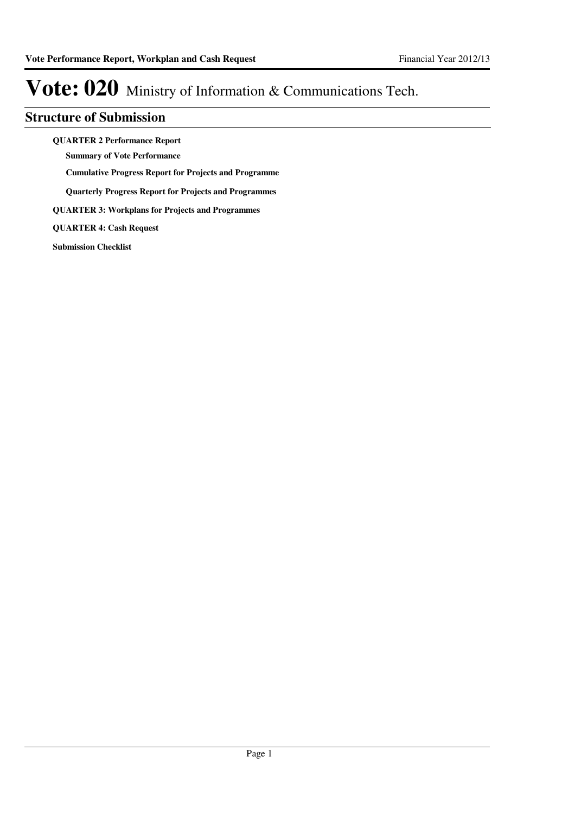### **Structure of Submission**

**QUARTER 2 Performance Report**

**Summary of Vote Performance**

**Cumulative Progress Report for Projects and Programme**

**Quarterly Progress Report for Projects and Programmes**

**QUARTER 3: Workplans for Projects and Programmes**

**QUARTER 4: Cash Request**

**Submission Checklist**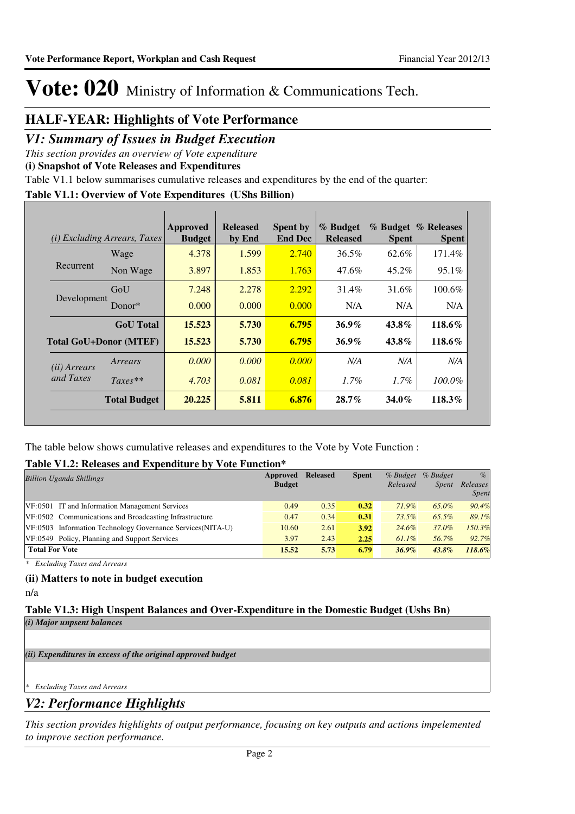## **HALF-YEAR: Highlights of Vote Performance**

### *V1: Summary of Issues in Budget Execution*

*This section provides an overview of Vote expenditure* 

**(i) Snapshot of Vote Releases and Expenditures**

Table V1.1 below summarises cumulative releases and expenditures by the end of the quarter:

### **Table V1.1: Overview of Vote Expenditures (UShs Billion)**

|                       | ( <i>i</i> ) Excluding Arrears, Taxes | Approved<br><b>Budget</b> | <b>Released</b><br>by End | <b>Spent by</b><br><b>End Dec</b> | % Budget<br><b>Released</b> | <b>Spent</b> | % Budget % Releases<br><b>Spent</b> |
|-----------------------|---------------------------------------|---------------------------|---------------------------|-----------------------------------|-----------------------------|--------------|-------------------------------------|
|                       | Wage                                  | 4.378                     | 1.599                     | 2.740                             | 36.5%                       | 62.6%        | 171.4%                              |
| Recurrent             | Non Wage                              | 3.897                     | 1.853                     | 1.763                             | 47.6%                       | $45.2\%$     | 95.1%                               |
| Development           | GoU                                   | 7.248                     | 2.278                     | 2.292                             | $31.4\%$                    | 31.6%        | 100.6%                              |
|                       | Donor $*$                             | 0.000                     | 0.000                     | 0.000                             | N/A                         | N/A          | N/A                                 |
|                       | <b>GoU</b> Total                      | 15.523                    | 5.730                     | 6.795                             | $36.9\%$                    | $43.8\%$     | 118.6%                              |
|                       | <b>Total GoU+Donor (MTEF)</b>         | 15.523                    | 5.730                     | 6.795                             | $36.9\%$                    | $43.8\%$     | 118.6%                              |
| ( <i>ii</i> ) Arrears | Arrears                               | 0.000                     | 0.000                     | 0.000                             | N/A                         | N/A          | N/A                                 |
| and Taxes             | $Taxes**$                             | 4.703                     | 0.081                     | 0.081                             | $1.7\%$                     | $1.7\%$      | $100.0\%$                           |
|                       | <b>Total Budget</b>                   | 20.225                    | 5.811                     | 6.876                             | $28.7\%$                    | $34.0\%$     | 118.3%                              |

The table below shows cumulative releases and expenditures to the Vote by Vote Function :

### **Table V1.2: Releases and Expenditure by Vote Function\***

| <b>Billion Uganda Shillings</b>                             | Approved      | <b>Released</b> | <b>Spent</b> | $%$ Budget | % Budget     | $\%$         |
|-------------------------------------------------------------|---------------|-----------------|--------------|------------|--------------|--------------|
|                                                             | <b>Budget</b> |                 |              | Released   | <i>Spent</i> | Releases     |
|                                                             |               |                 |              |            |              | <b>Spent</b> |
| VF:0501 IT and Information Management Services              | 0.49          | 0.35            | 0.32         | 71.9%      | 65.0%        | 90.4%        |
| VF:0502 Communications and Broadcasting Infrastructure      | 0.47          | 0.34            | 0.31         | 73.5%      | 65.5%        | 89.1%        |
| VF:0503 Information Technology Governance Services (NITA-U) | 10.60         | 2.61            | 3.92         | 24.6%      | 37.0%        | 150.3%       |
| VF:0549 Policy, Planning and Support Services               | 3.97          | 2.43            | 2.25         | $61.1\%$   | 56.7%        | 92.7%        |
| <b>Total For Vote</b>                                       | 15.52         | 5.73            | 6.79         | $36.9\%$   | $43.8\%$     | 118.6%       |

*\* Excluding Taxes and Arrears*

### **(ii) Matters to note in budget execution**

n/a

### **Table V1.3: High Unspent Balances and Over-Expenditure in the Domestic Budget (Ushs Bn)** *(i) Major unpsent balances*

*(ii) Expenditures in excess of the original approved budget*

*\* Excluding Taxes and Arrears*

### *V2: Performance Highlights*

*This section provides highlights of output performance, focusing on key outputs and actions impelemented to improve section performance.*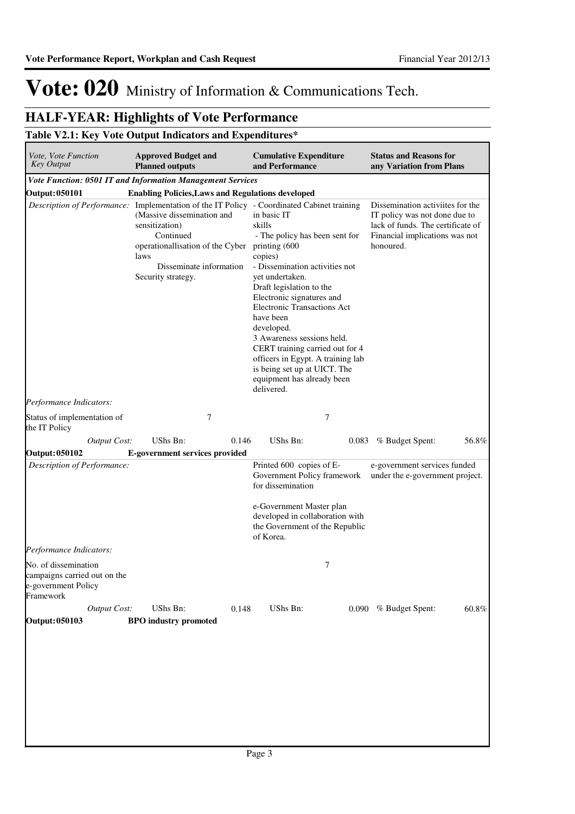## **HALF-YEAR: Highlights of Vote Performance**

### **Table V2.1: Key Vote Output Indicators and Expenditures\***

| Vote, Vote Function<br><b>Key Output</b>                                                 | <b>Approved Budget and</b><br><b>Planned outputs</b>                                                                                                                                                                                                 | <b>Cumulative Expenditure</b><br>and Performance                                                                                                                                                                                                                                                                                                                                                                                                     | <b>Status and Reasons for</b><br>any Variation from Plans                                                                                             |
|------------------------------------------------------------------------------------------|------------------------------------------------------------------------------------------------------------------------------------------------------------------------------------------------------------------------------------------------------|------------------------------------------------------------------------------------------------------------------------------------------------------------------------------------------------------------------------------------------------------------------------------------------------------------------------------------------------------------------------------------------------------------------------------------------------------|-------------------------------------------------------------------------------------------------------------------------------------------------------|
|                                                                                          | Vote Function: 0501 IT and Information Management Services                                                                                                                                                                                           |                                                                                                                                                                                                                                                                                                                                                                                                                                                      |                                                                                                                                                       |
| <b>Output: 050101</b>                                                                    | <b>Enabling Policies, Laws and Regulations developed</b>                                                                                                                                                                                             |                                                                                                                                                                                                                                                                                                                                                                                                                                                      |                                                                                                                                                       |
|                                                                                          | Description of Performance: Implementation of the IT Policy - Coordinated Cabinet training<br>(Massive dissemination and<br>sensitization)<br>Continued<br>operationallisation of the Cyber<br>laws<br>Disseminate information<br>Security strategy. | in basic IT<br>skills<br>- The policy has been sent for<br>printing (600<br>copies)<br>- Dissemination activities not<br>vet undertaken.<br>Draft legislation to the<br>Electronic signatures and<br><b>Electronic Transactions Act</b><br>have been<br>developed.<br>3 Awareness sessions held.<br>CERT training carried out for 4<br>officers in Egypt. A training lab<br>is being set up at UICT. The<br>equipment has already been<br>delivered. | Dissemination activiites for the<br>IT policy was not done due to<br>lack of funds. The certificate of<br>Financial implications was not<br>honoured. |
| Performance Indicators:                                                                  |                                                                                                                                                                                                                                                      |                                                                                                                                                                                                                                                                                                                                                                                                                                                      |                                                                                                                                                       |
| Status of implementation of<br>the IT Policy                                             | 7                                                                                                                                                                                                                                                    | 7                                                                                                                                                                                                                                                                                                                                                                                                                                                    |                                                                                                                                                       |
| <b>Output Cost:</b>                                                                      | UShs Bn:<br>0.146                                                                                                                                                                                                                                    | UShs Bn:<br>0.083                                                                                                                                                                                                                                                                                                                                                                                                                                    | 56.8%<br>% Budget Spent:                                                                                                                              |
| <b>Output: 050102</b>                                                                    | E-government services provided                                                                                                                                                                                                                       |                                                                                                                                                                                                                                                                                                                                                                                                                                                      |                                                                                                                                                       |
| Description of Performance:                                                              |                                                                                                                                                                                                                                                      | Printed 600 copies of E-<br>Government Policy framework<br>for dissemination<br>e-Government Master plan<br>developed in collaboration with<br>the Government of the Republic<br>of Korea.                                                                                                                                                                                                                                                           | e-government services funded<br>under the e-government project.                                                                                       |
| Performance Indicators:                                                                  |                                                                                                                                                                                                                                                      |                                                                                                                                                                                                                                                                                                                                                                                                                                                      |                                                                                                                                                       |
| No. of dissemination<br>campaigns carried out on the<br>e-government Policy<br>Framework |                                                                                                                                                                                                                                                      | 7                                                                                                                                                                                                                                                                                                                                                                                                                                                    |                                                                                                                                                       |
| <b>Output Cost:</b><br>Output: 050103                                                    | UShs Bn:<br>0.148<br><b>BPO</b> industry promoted                                                                                                                                                                                                    | UShs Bn:                                                                                                                                                                                                                                                                                                                                                                                                                                             | 0.090 % Budget Spent:<br>$60.8\%$                                                                                                                     |
|                                                                                          |                                                                                                                                                                                                                                                      |                                                                                                                                                                                                                                                                                                                                                                                                                                                      |                                                                                                                                                       |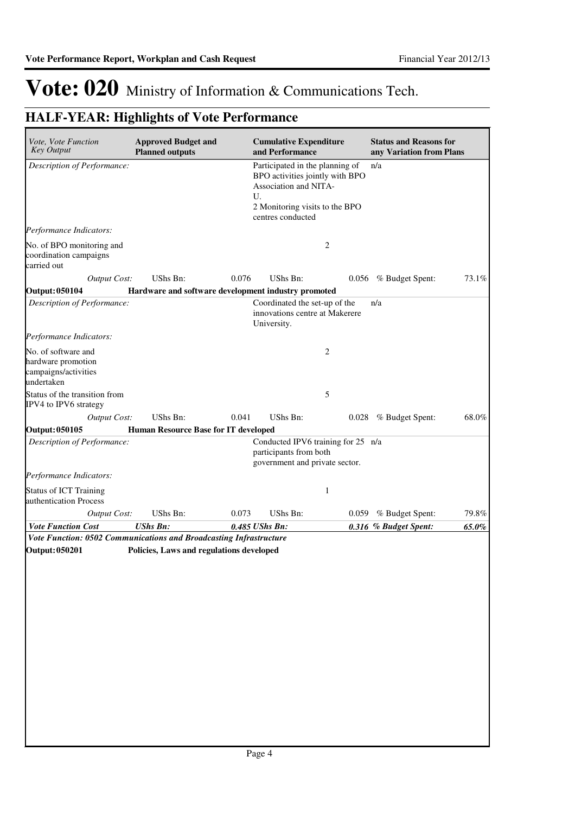| Vote, Vote Function<br><b>Key Output</b>                                        | <b>Approved Budget and</b><br><b>Planned outputs</b> |       | <b>Cumulative Expenditure</b><br>and Performance                                                                                                         |                | <b>Status and Reasons for</b><br>any Variation from Plans |       |
|---------------------------------------------------------------------------------|------------------------------------------------------|-------|----------------------------------------------------------------------------------------------------------------------------------------------------------|----------------|-----------------------------------------------------------|-------|
| Description of Performance:                                                     |                                                      |       | Participated in the planning of<br>BPO activities jointly with BPO<br>Association and NITA-<br>U.<br>2 Monitoring visits to the BPO<br>centres conducted |                | n/a                                                       |       |
| Performance Indicators:                                                         |                                                      |       |                                                                                                                                                          |                |                                                           |       |
| No. of BPO monitoring and<br>coordination campaigns<br>carried out              |                                                      |       |                                                                                                                                                          | 2              |                                                           |       |
| <b>Output Cost:</b>                                                             | UShs Bn:                                             | 0.076 | UShs Bn:                                                                                                                                                 |                | 0.056 % Budget Spent:                                     | 73.1% |
| <b>Output: 050104</b>                                                           | Hardware and software development industry promoted  |       |                                                                                                                                                          |                |                                                           |       |
| Description of Performance:                                                     |                                                      |       | Coordinated the set-up of the<br>innovations centre at Makerere<br>University.                                                                           |                | n/a                                                       |       |
| Performance Indicators:                                                         |                                                      |       |                                                                                                                                                          |                |                                                           |       |
| No. of software and<br>hardware promotion<br>campaigns/activities<br>undertaken |                                                      |       |                                                                                                                                                          | $\overline{2}$ |                                                           |       |
| Status of the transition from<br>IPV4 to IPV6 strategy                          |                                                      |       |                                                                                                                                                          | 5              |                                                           |       |
| <b>Output Cost:</b>                                                             | UShs Bn:                                             | 0.041 | UShs Bn:                                                                                                                                                 |                | 0.028 % Budget Spent:                                     | 68.0% |
| <b>Output: 050105</b>                                                           | Human Resource Base for IT developed                 |       |                                                                                                                                                          |                |                                                           |       |
| Description of Performance:                                                     |                                                      |       | Conducted IPV6 training for 25 n/a<br>participants from both<br>government and private sector.                                                           |                |                                                           |       |
| Performance Indicators:                                                         |                                                      |       |                                                                                                                                                          |                |                                                           |       |
| <b>Status of ICT Training</b><br>authentication Process                         |                                                      |       |                                                                                                                                                          | $\mathbf{1}$   |                                                           |       |
| <b>Output Cost:</b>                                                             | UShs Bn:                                             | 0.073 | UShs Bn:                                                                                                                                                 | 0.059          | % Budget Spent:                                           | 79.8% |
| <b>Vote Function Cost</b>                                                       | <b>UShs Bn:</b>                                      |       | 0.485 UShs Bn:                                                                                                                                           |                | 0.316 % Budget Spent:                                     | 65.0% |
| Vote Function: 0502 Communications and Broadcasting Infrastructure              |                                                      |       |                                                                                                                                                          |                |                                                           |       |
| Output: 050201                                                                  | Policies, Laws and regulations developed             |       |                                                                                                                                                          |                |                                                           |       |
|                                                                                 |                                                      |       |                                                                                                                                                          |                |                                                           |       |
|                                                                                 |                                                      |       |                                                                                                                                                          |                |                                                           |       |
|                                                                                 |                                                      |       |                                                                                                                                                          |                |                                                           |       |
|                                                                                 |                                                      |       |                                                                                                                                                          |                |                                                           |       |
|                                                                                 |                                                      |       |                                                                                                                                                          |                |                                                           |       |
|                                                                                 |                                                      |       |                                                                                                                                                          |                |                                                           |       |
|                                                                                 |                                                      |       |                                                                                                                                                          |                |                                                           |       |
|                                                                                 |                                                      |       |                                                                                                                                                          |                |                                                           |       |
|                                                                                 |                                                      |       |                                                                                                                                                          |                |                                                           |       |
|                                                                                 |                                                      |       |                                                                                                                                                          |                |                                                           |       |
|                                                                                 |                                                      |       |                                                                                                                                                          |                |                                                           |       |
|                                                                                 |                                                      |       |                                                                                                                                                          |                |                                                           |       |
|                                                                                 |                                                      |       |                                                                                                                                                          |                |                                                           |       |
|                                                                                 |                                                      |       |                                                                                                                                                          |                |                                                           |       |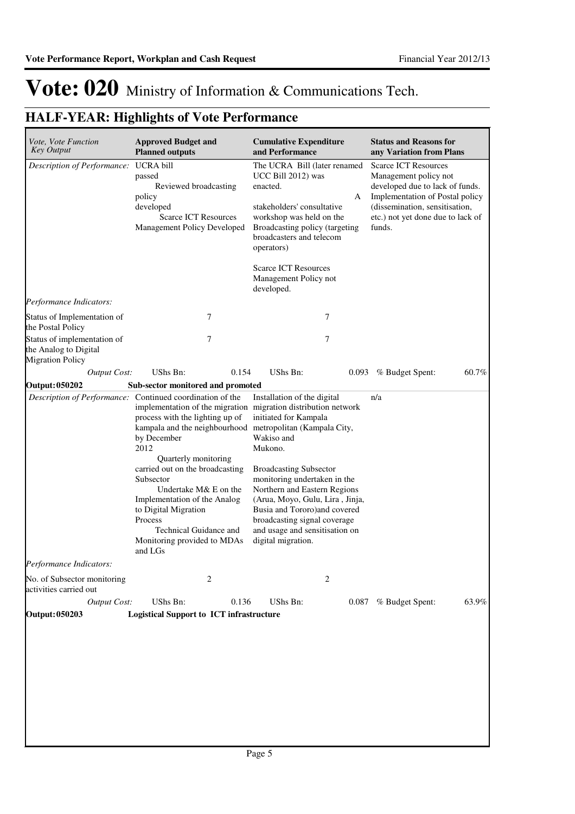| Vote, Vote Function<br><b>Key Output</b>                                        | <b>Approved Budget and</b><br><b>Planned outputs</b>                                                                                                                                                                                                                                                                                                                                                                                                           | <b>Cumulative Expenditure</b><br>and Performance                                                                                                                                                                                                                                                                                                                          | <b>Status and Reasons for</b><br>any Variation from Plans                                                                                                                                                   |  |  |
|---------------------------------------------------------------------------------|----------------------------------------------------------------------------------------------------------------------------------------------------------------------------------------------------------------------------------------------------------------------------------------------------------------------------------------------------------------------------------------------------------------------------------------------------------------|---------------------------------------------------------------------------------------------------------------------------------------------------------------------------------------------------------------------------------------------------------------------------------------------------------------------------------------------------------------------------|-------------------------------------------------------------------------------------------------------------------------------------------------------------------------------------------------------------|--|--|
| Description of Performance: UCRA bill                                           | passed<br>Reviewed broadcasting<br>policy<br>developed<br><b>Scarce ICT Resources</b><br>Management Policy Developed                                                                                                                                                                                                                                                                                                                                           | The UCRA Bill (later renamed<br>UCC Bill 2012) was<br>enacted.<br>А<br>stakeholders' consultative<br>workshop was held on the<br>Broadcasting policy (targeting<br>broadcasters and telecom<br>operators)<br><b>Scarce ICT Resources</b><br>Management Policy not                                                                                                         | <b>Scarce ICT Resources</b><br>Management policy not<br>developed due to lack of funds.<br>Implementation of Postal policy<br>(dissemination, sensitisation,<br>etc.) not yet done due to lack of<br>funds. |  |  |
| Performance Indicators:                                                         |                                                                                                                                                                                                                                                                                                                                                                                                                                                                | developed.                                                                                                                                                                                                                                                                                                                                                                |                                                                                                                                                                                                             |  |  |
| Status of Implementation of<br>the Postal Policy                                | 7                                                                                                                                                                                                                                                                                                                                                                                                                                                              | 7                                                                                                                                                                                                                                                                                                                                                                         |                                                                                                                                                                                                             |  |  |
| Status of implementation of<br>the Analog to Digital<br><b>Migration Policy</b> | 7                                                                                                                                                                                                                                                                                                                                                                                                                                                              | 7                                                                                                                                                                                                                                                                                                                                                                         |                                                                                                                                                                                                             |  |  |
| <b>Output Cost:</b>                                                             | 0.154<br>UShs Bn:                                                                                                                                                                                                                                                                                                                                                                                                                                              | UShs Bn:<br>0.093                                                                                                                                                                                                                                                                                                                                                         | 60.7%<br>% Budget Spent:                                                                                                                                                                                    |  |  |
| <b>Output: 050202</b>                                                           | Sub-sector monitored and promoted                                                                                                                                                                                                                                                                                                                                                                                                                              |                                                                                                                                                                                                                                                                                                                                                                           |                                                                                                                                                                                                             |  |  |
|                                                                                 | Description of Performance: Continued coordination of the<br>implementation of the migration migration distribution network<br>process with the lighting up of<br>kampala and the neighbourhood<br>by December<br>2012<br>Quarterly monitoring<br>carried out on the broadcasting<br>Subsector<br>Undertake M& E on the<br>Implementation of the Analog<br>to Digital Migration<br>Process<br>Technical Guidance and<br>Monitoring provided to MDAs<br>and LGs | Installation of the digital<br>initiated for Kampala<br>metropolitan (Kampala City,<br>Wakiso and<br>Mukono.<br><b>Broadcasting Subsector</b><br>monitoring undertaken in the<br>Northern and Eastern Regions<br>(Arua, Moyo, Gulu, Lira, Jinja,<br>Busia and Tororo) and covered<br>broadcasting signal coverage<br>and usage and sensitisation on<br>digital migration. | n/a                                                                                                                                                                                                         |  |  |
| Performance Indicators:                                                         |                                                                                                                                                                                                                                                                                                                                                                                                                                                                |                                                                                                                                                                                                                                                                                                                                                                           |                                                                                                                                                                                                             |  |  |
| No. of Subsector monitoring<br>activities carried out                           | 2                                                                                                                                                                                                                                                                                                                                                                                                                                                              | 2                                                                                                                                                                                                                                                                                                                                                                         |                                                                                                                                                                                                             |  |  |
| <b>Output Cost:</b>                                                             | UShs Bn:<br>0.136                                                                                                                                                                                                                                                                                                                                                                                                                                              | UShs Bn:<br>0.087                                                                                                                                                                                                                                                                                                                                                         | 63.9%<br>% Budget Spent:                                                                                                                                                                                    |  |  |
| <b>Output: 050203</b>                                                           | <b>Logistical Support to ICT infrastructure</b>                                                                                                                                                                                                                                                                                                                                                                                                                |                                                                                                                                                                                                                                                                                                                                                                           |                                                                                                                                                                                                             |  |  |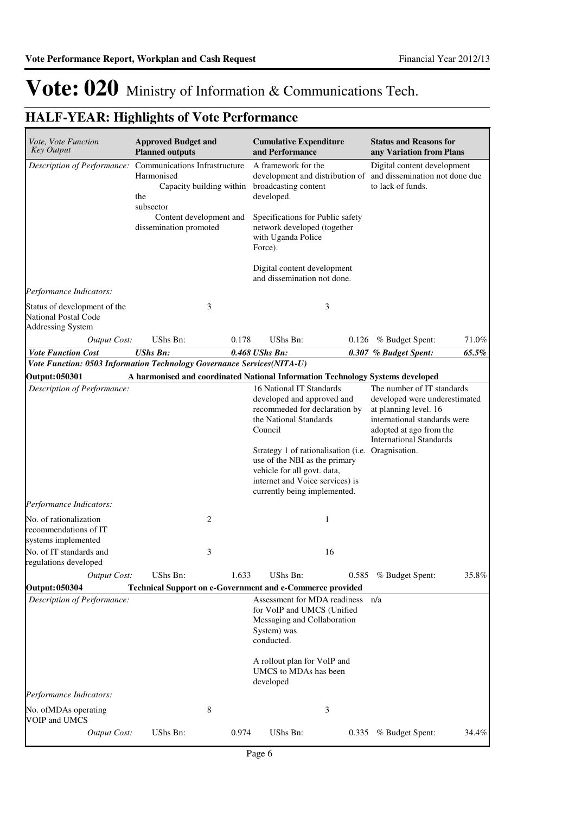| Vote, Vote Function<br><b>Key Output</b>                                                | <b>Approved Budget and</b><br><b>Planned outputs</b>                                                                                                                         |       | <b>Cumulative Expenditure</b><br>and Performance                                                                                                                                                                                                                                                                     |    | <b>Status and Reasons for</b><br>any Variation from Plans                                                                                                                         |       |
|-----------------------------------------------------------------------------------------|------------------------------------------------------------------------------------------------------------------------------------------------------------------------------|-------|----------------------------------------------------------------------------------------------------------------------------------------------------------------------------------------------------------------------------------------------------------------------------------------------------------------------|----|-----------------------------------------------------------------------------------------------------------------------------------------------------------------------------------|-------|
|                                                                                         | Description of Performance: Communications Infrastructure<br>Harmonised<br>Capacity building within<br>the<br>subsector<br>Content development and<br>dissemination promoted |       | A framework for the<br>broadcasting content<br>developed.<br>Specifications for Public safety<br>network developed (together                                                                                                                                                                                         |    | Digital content development<br>development and distribution of and dissemination not done due<br>to lack of funds.                                                                |       |
|                                                                                         |                                                                                                                                                                              |       | with Uganda Police<br>Force).                                                                                                                                                                                                                                                                                        |    |                                                                                                                                                                                   |       |
|                                                                                         |                                                                                                                                                                              |       | Digital content development<br>and dissemination not done.                                                                                                                                                                                                                                                           |    |                                                                                                                                                                                   |       |
| Performance Indicators:                                                                 |                                                                                                                                                                              |       |                                                                                                                                                                                                                                                                                                                      |    |                                                                                                                                                                                   |       |
| Status of development of the<br><b>National Postal Code</b><br><b>Addressing System</b> |                                                                                                                                                                              | 3     |                                                                                                                                                                                                                                                                                                                      | 3  |                                                                                                                                                                                   |       |
| <b>Output Cost:</b>                                                                     | UShs Bn:                                                                                                                                                                     | 0.178 | <b>UShs Bn:</b>                                                                                                                                                                                                                                                                                                      |    | $0.126$ % Budget Spent:                                                                                                                                                           | 71.0% |
| <b>Vote Function Cost</b>                                                               | <b>UShs Bn:</b>                                                                                                                                                              |       | 0.468 UShs Bn:                                                                                                                                                                                                                                                                                                       |    | 0.307 % Budget Spent:                                                                                                                                                             | 65.5% |
| Vote Function: 0503 Information Technology Governance Services(NITA-U)                  |                                                                                                                                                                              |       |                                                                                                                                                                                                                                                                                                                      |    |                                                                                                                                                                                   |       |
| <b>Output: 050301</b>                                                                   |                                                                                                                                                                              |       | A harmonised and coordinated National Information Technology Systems developed                                                                                                                                                                                                                                       |    |                                                                                                                                                                                   |       |
| Description of Performance:                                                             |                                                                                                                                                                              |       | 16 National IT Standards<br>developed and approved and<br>recommeded for declaration by<br>the National Standards<br>Council<br>Strategy 1 of rationalisation (i.e. Oragnisation.<br>use of the NBI as the primary<br>vehicle for all govt. data,<br>internet and Voice services) is<br>currently being implemented. |    | The number of IT standards<br>developed were underestimated<br>at planning level. 16<br>international standards were<br>adopted at ago from the<br><b>International Standards</b> |       |
| Performance Indicators:                                                                 |                                                                                                                                                                              |       |                                                                                                                                                                                                                                                                                                                      |    |                                                                                                                                                                                   |       |
| No. of rationalization<br>recommendations of IT<br>systems implemented                  |                                                                                                                                                                              | 2     |                                                                                                                                                                                                                                                                                                                      | 1  |                                                                                                                                                                                   |       |
| No. of IT standards and<br>regulations developed                                        |                                                                                                                                                                              | 3     |                                                                                                                                                                                                                                                                                                                      | 16 |                                                                                                                                                                                   |       |
| Output Cost:                                                                            | UShs Bn:                                                                                                                                                                     | 1.633 | UShs Bn:                                                                                                                                                                                                                                                                                                             |    | 0.585 % Budget Spent:                                                                                                                                                             | 35.8% |
| <b>Output: 050304</b><br>Description of Performance:                                    |                                                                                                                                                                              |       | Technical Support on e-Government and e-Commerce provided<br>Assessment for MDA readiness<br>for VoIP and UMCS (Unified<br>Messaging and Collaboration<br>System) was<br>conducted.<br>A rollout plan for VoIP and<br>UMCS to MDAs has been<br>developed                                                             |    | n/a                                                                                                                                                                               |       |
| Performance Indicators:                                                                 |                                                                                                                                                                              |       |                                                                                                                                                                                                                                                                                                                      |    |                                                                                                                                                                                   |       |
| No. of MDAs operating<br>VOIP and UMCS                                                  |                                                                                                                                                                              | 8     |                                                                                                                                                                                                                                                                                                                      | 3  |                                                                                                                                                                                   |       |
| <b>Output Cost:</b>                                                                     | UShs Bn:                                                                                                                                                                     | 0.974 | UShs Bn:                                                                                                                                                                                                                                                                                                             |    | 0.335 % Budget Spent:                                                                                                                                                             | 34.4% |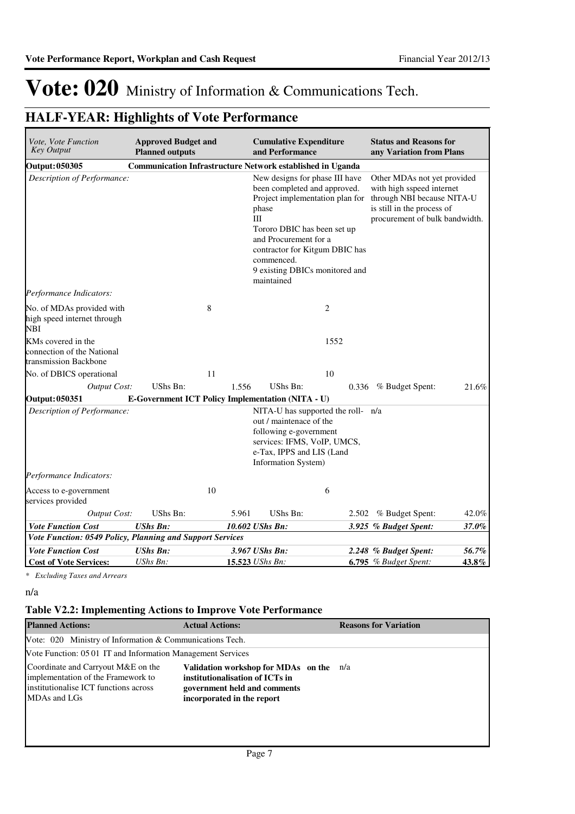## **HALF-YEAR: Highlights of Vote Performance**

| Vote, Vote Function<br><b>Key Output</b>                                  | <b>Approved Budget and</b><br><b>Planned outputs</b> |       | <b>Cumulative Expenditure</b><br>and Performance                                                                                                                                                                                                                          |       | <b>Status and Reasons for</b><br>any Variation from Plans                                                                                              |       |
|---------------------------------------------------------------------------|------------------------------------------------------|-------|---------------------------------------------------------------------------------------------------------------------------------------------------------------------------------------------------------------------------------------------------------------------------|-------|--------------------------------------------------------------------------------------------------------------------------------------------------------|-------|
| <b>Output: 050305</b>                                                     |                                                      |       | <b>Communication Infrastructure Network established in Uganda</b>                                                                                                                                                                                                         |       |                                                                                                                                                        |       |
| Description of Performance:                                               |                                                      |       | New designs for phase III have<br>been completed and approved.<br>Project implementation plan for<br>phase<br>III<br>Tororo DBIC has been set up<br>and Procurement for a<br>contractor for Kitgum DBIC has<br>commenced.<br>9 existing DBICs monitored and<br>maintained |       | Other MDAs not yet provided<br>with high sspeed internet<br>through NBI because NITA-U<br>is still in the process of<br>procurement of bulk bandwidth. |       |
| Performance Indicators:                                                   |                                                      |       |                                                                                                                                                                                                                                                                           |       |                                                                                                                                                        |       |
| No. of MDAs provided with<br>high speed internet through<br><b>NBI</b>    |                                                      | 8     | 2                                                                                                                                                                                                                                                                         |       |                                                                                                                                                        |       |
| KMs covered in the<br>connection of the National<br>transmission Backbone |                                                      |       |                                                                                                                                                                                                                                                                           | 1552  |                                                                                                                                                        |       |
| No. of DBICS operational                                                  |                                                      | 11    |                                                                                                                                                                                                                                                                           | 10    |                                                                                                                                                        |       |
| <b>Output Cost:</b>                                                       | UShs Bn:                                             | 1.556 | UShs Bn:                                                                                                                                                                                                                                                                  |       | 0.336 % Budget Spent:                                                                                                                                  | 21.6% |
| <b>Output: 050351</b>                                                     |                                                      |       | E-Government ICT Policy Implementation (NITA - U)                                                                                                                                                                                                                         |       |                                                                                                                                                        |       |
| Description of Performance:                                               |                                                      |       | NITA-U has supported the roll- n/a<br>out / maintenace of the<br>following e-government<br>services: IFMS, VoIP, UMCS,<br>e-Tax, IPPS and LIS (Land<br>Information System)                                                                                                |       |                                                                                                                                                        |       |
| Performance Indicators:                                                   |                                                      |       |                                                                                                                                                                                                                                                                           |       |                                                                                                                                                        |       |
| Access to e-government<br>services provided                               |                                                      | 10    | 6                                                                                                                                                                                                                                                                         |       |                                                                                                                                                        |       |
| <b>Output Cost:</b>                                                       | UShs Bn:                                             | 5.961 | <b>UShs Bn:</b>                                                                                                                                                                                                                                                           | 2.502 | % Budget Spent:                                                                                                                                        | 42.0% |
| <b>Vote Function Cost</b>                                                 | <b>UShs Bn:</b>                                      |       | 10.602 UShs Bn:                                                                                                                                                                                                                                                           |       | 3.925 % Budget Spent:                                                                                                                                  | 37.0% |
| Vote Function: 0549 Policy, Planning and Support Services                 |                                                      |       |                                                                                                                                                                                                                                                                           |       |                                                                                                                                                        |       |
| <b>Vote Function Cost</b>                                                 | <b>UShs Bn:</b>                                      |       | 3.967 UShs Bn:                                                                                                                                                                                                                                                            |       | 2.248 % Budget Spent:                                                                                                                                  | 56.7% |
| <b>Cost of Vote Services:</b>                                             | UShs Bn:                                             |       | 15.523 UShs Bn:                                                                                                                                                                                                                                                           |       | $6.795$ % Budget Spent:                                                                                                                                | 43.8% |

*\* Excluding Taxes and Arrears*

n/a

### **Table V2.2: Implementing Actions to Improve Vote Performance**

| <b>Planned Actions:</b>                                                                                                           | <b>Actual Actions:</b>                                                                                                                   | <b>Reasons for Variation</b> |
|-----------------------------------------------------------------------------------------------------------------------------------|------------------------------------------------------------------------------------------------------------------------------------------|------------------------------|
| Vote: 020 Ministry of Information & Communications Tech.                                                                          |                                                                                                                                          |                              |
| Vote Function: 05 01 IT and Information Management Services                                                                       |                                                                                                                                          |                              |
| Coordinate and Carryout M&E on the<br>implementation of the Framework to<br>institutionalise ICT functions across<br>MDAs and LGs | Validation workshop for MDAs on the n/a<br>institutionalisation of ICTs in<br>government held and comments<br>incorporated in the report |                              |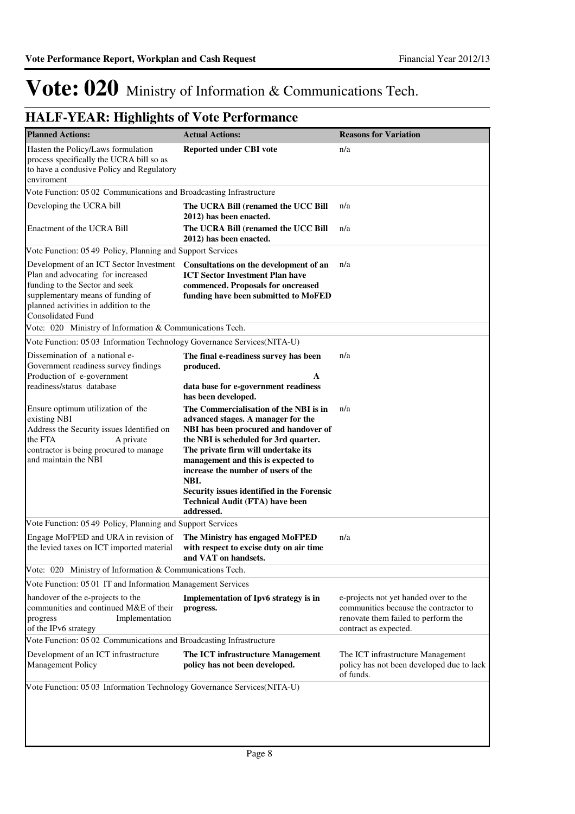| <b>Planned Actions:</b>                                                                                                                                                                                                  | <b>Actual Actions:</b>                                                                                                                                                                                                                                                                                                                                                                           | <b>Reasons for Variation</b>                                                                                                                   |
|--------------------------------------------------------------------------------------------------------------------------------------------------------------------------------------------------------------------------|--------------------------------------------------------------------------------------------------------------------------------------------------------------------------------------------------------------------------------------------------------------------------------------------------------------------------------------------------------------------------------------------------|------------------------------------------------------------------------------------------------------------------------------------------------|
| Hasten the Policy/Laws formulation<br>process specifically the UCRA bill so as<br>to have a condusive Policy and Regulatory<br>enviroment                                                                                | Reported under CBI vote                                                                                                                                                                                                                                                                                                                                                                          | n/a                                                                                                                                            |
| Vote Function: 05 02 Communications and Broadcasting Infrastructure                                                                                                                                                      |                                                                                                                                                                                                                                                                                                                                                                                                  |                                                                                                                                                |
| Developing the UCRA bill                                                                                                                                                                                                 | The UCRA Bill (renamed the UCC Bill<br>2012) has been enacted.                                                                                                                                                                                                                                                                                                                                   | n/a                                                                                                                                            |
| Enactment of the UCRA Bill                                                                                                                                                                                               | The UCRA Bill (renamed the UCC Bill<br>2012) has been enacted.                                                                                                                                                                                                                                                                                                                                   | n/a                                                                                                                                            |
| Vote Function: 05 49 Policy, Planning and Support Services                                                                                                                                                               |                                                                                                                                                                                                                                                                                                                                                                                                  |                                                                                                                                                |
| Development of an ICT Sector Investment<br>Plan and advocating for increased<br>funding to the Sector and seek<br>supplementary means of funding of<br>planned activities in addition to the<br><b>Consolidated Fund</b> | Consultations on the development of an<br><b>ICT Sector Investment Plan have</b><br>commenced. Proposals for oncreased<br>funding have been submitted to MoFED                                                                                                                                                                                                                                   | n/a                                                                                                                                            |
| Vote: 020 Ministry of Information & Communications Tech.                                                                                                                                                                 |                                                                                                                                                                                                                                                                                                                                                                                                  |                                                                                                                                                |
| Vote Function: 05 03 Information Technology Governance Services(NITA-U)                                                                                                                                                  |                                                                                                                                                                                                                                                                                                                                                                                                  |                                                                                                                                                |
| Dissemination of a national e-<br>Government readiness survey findings<br>Production of e-government                                                                                                                     | The final e-readiness survey has been<br>produced.<br>A                                                                                                                                                                                                                                                                                                                                          | n/a                                                                                                                                            |
| readiness/status database                                                                                                                                                                                                | data base for e-government readiness<br>has been developed.                                                                                                                                                                                                                                                                                                                                      |                                                                                                                                                |
| Ensure optimum utilization of the<br>existing NBI<br>Address the Security issues Identified on<br>the FTA<br>A private<br>contractor is being procured to manage<br>and maintain the NBI                                 | The Commercialisation of the NBI is in<br>advanced stages. A manager for the<br>NBI has been procured and handover of<br>the NBI is scheduled for 3rd quarter.<br>The private firm will undertake its<br>management and this is expected to<br>increase the number of users of the<br>NBI.<br>Security issues identified in the Forensic<br><b>Technical Audit (FTA) have been</b><br>addressed. | n/a                                                                                                                                            |
| Vote Function: 05 49 Policy, Planning and Support Services                                                                                                                                                               |                                                                                                                                                                                                                                                                                                                                                                                                  |                                                                                                                                                |
| Engage MoFPED and URA in revision of<br>the levied taxes on ICT imported material                                                                                                                                        | The Ministry has engaged MoFPED<br>with respect to excise duty on air time<br>and VAT on handsets.                                                                                                                                                                                                                                                                                               | n/a                                                                                                                                            |
| Vote: 020 Ministry of Information & Communications Tech.                                                                                                                                                                 |                                                                                                                                                                                                                                                                                                                                                                                                  |                                                                                                                                                |
| Vote Function: 05 01 IT and Information Management Services                                                                                                                                                              |                                                                                                                                                                                                                                                                                                                                                                                                  |                                                                                                                                                |
| handover of the e-projects to the<br>communities and continued M&E of their<br>Implementation<br>progress<br>of the IPv6 strategy                                                                                        | Implementation of Ipv6 strategy is in<br>progress.                                                                                                                                                                                                                                                                                                                                               | e-projects not yet handed over to the<br>communities because the contractor to<br>renovate them failed to perform the<br>contract as expected. |
| Vote Function: 05 02 Communications and Broadcasting Infrastructure                                                                                                                                                      |                                                                                                                                                                                                                                                                                                                                                                                                  |                                                                                                                                                |
| Development of an ICT infrastructure<br>Management Policy                                                                                                                                                                | The ICT infrastructure Management<br>policy has not been developed.                                                                                                                                                                                                                                                                                                                              | The ICT infrastructure Management<br>policy has not been developed due to lack<br>of funds.                                                    |
| Vote Function: 05 03 Information Technology Governance Services(NITA-U)                                                                                                                                                  |                                                                                                                                                                                                                                                                                                                                                                                                  |                                                                                                                                                |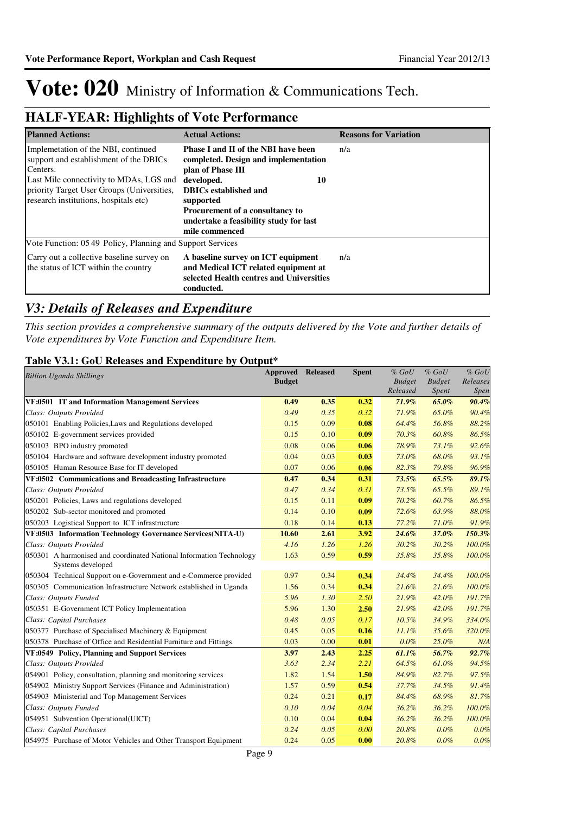## **HALF-YEAR: Highlights of Vote Performance**

| <b>Planned Actions:</b>                                                                                                                                                                                                     | <b>Actual Actions:</b>                                                                                                                                                                                                                                                  | <b>Reasons for Variation</b> |
|-----------------------------------------------------------------------------------------------------------------------------------------------------------------------------------------------------------------------------|-------------------------------------------------------------------------------------------------------------------------------------------------------------------------------------------------------------------------------------------------------------------------|------------------------------|
| Implemetation of the NBI, continued<br>support and establishment of the DBICs<br>Centers.<br>Last Mile connectivity to MDAs, LGS and<br>priority Target User Groups (Universities,<br>research institutions, hospitals etc) | <b>Phase I and II of the NBI have been</b><br>completed. Design and implementation<br>plan of Phase III<br>developed.<br>10<br><b>DBICs</b> established and<br>supported<br>Procurement of a consultancy to<br>undertake a feasibility study for last<br>mile commenced | n/a                          |
| Vote Function: 05.49 Policy, Planning and Support Services                                                                                                                                                                  |                                                                                                                                                                                                                                                                         |                              |
| Carry out a collective baseline survey on<br>the status of ICT within the country                                                                                                                                           | A baseline survey on ICT equipment<br>and Medical ICT related equipment at<br>selected Health centres and Universities<br>conducted.                                                                                                                                    | n/a                          |

### *V3: Details of Releases and Expenditure*

*This section provides a comprehensive summary of the outputs delivered by the Vote and further details of Vote expenditures by Vote Function and Expenditure Item.*

### **Table V3.1: GoU Releases and Expenditure by Output\***

| <b>Billion Uganda Shillings</b>                                     | <b>Approved Released</b> |      | <b>Spent</b> | $\%$ GoU                  | $%$ $GoU$              | $%$ $GoU$         |
|---------------------------------------------------------------------|--------------------------|------|--------------|---------------------------|------------------------|-------------------|
|                                                                     | <b>Budget</b>            |      |              | <b>Budget</b><br>Released | <b>Budget</b><br>Spent | Releases<br>Spen. |
| VF:0501 IT and Information Management Services                      | 0.49                     | 0.35 | 0.32         | 71.9%                     | 65.0%                  | 90.4%             |
| Class: Outputs Provided                                             | 0.49                     | 0.35 | 0.32         | 71.9%                     | 65.0%                  | 90.4%             |
| 050101 Enabling Policies, Laws and Regulations developed            | 0.15                     | 0.09 | 0.08         | 64.4%                     | 56.8%                  | 88.2%             |
| 050102 E-government services provided                               | 0.15                     | 0.10 | 0.09         | 70.3%                     | 60.8%                  | 86.5%             |
| 050103 BPO industry promoted                                        | 0.08                     | 0.06 | 0.06         | 78.9%                     | 73.1%                  | 92.6%             |
| 050104 Hardware and software development industry promoted          | 0.04                     | 0.03 | 0.03         | 73.0%                     | 68.0%                  | 93.1%             |
| 050105 Human Resource Base for IT developed                         | 0.07                     | 0.06 | 0.06         | 82.3%                     | 79.8%                  | 96.9%             |
| VF:0502 Communications and Broadcasting Infrastructure              | 0.47                     | 0.34 | 0.31         | 73.5%                     | 65.5%                  | 89.1%             |
| Class: Outputs Provided                                             | 0.47                     | 0.34 | 0.31         | 73.5%                     | 65.5%                  | 89.1%             |
| 050201 Policies, Laws and regulations developed                     | 0.15                     | 0.11 | 0.09         | 70.2%                     | 60.7%                  | 86.5%             |
| 050202 Sub-sector monitored and promoted                            | 0.14                     | 0.10 | 0.09         | 72.6%                     | 63.9%                  | 88.0%             |
| 050203 Logistical Support to ICT infrastructure                     | 0.18                     | 0.14 | 0.13         | 77.2%                     | 71.0%                  | 91.9%             |
| VF:0503 Information Technology Governance Services(NITA-U)          | 10.60                    | 2.61 | 3.92         | 24.6%                     | 37.0%                  | 150.3%            |
| Class: Outputs Provided                                             | 4.16                     | 1.26 | 1.26         | 30.2%                     | 30.2%                  | 100.0%            |
| 050301 A harmonised and coordinated National Information Technology | 1.63                     | 0.59 | 0.59         | 35.8%                     | 35.8%                  | 100.0%            |
| Systems developed                                                   |                          |      |              |                           |                        |                   |
| 050304 Technical Support on e-Government and e-Commerce provided    | 0.97                     | 0.34 | 0.34         | 34.4%                     | 34.4%                  | 100.0%            |
| 050305 Communication Infrastructure Network established in Uganda   | 1.56                     | 0.34 | 0.34         | 21.6%                     | 21.6%                  | 100.0%            |
| Class: Outputs Funded                                               | 5.96                     | 1.30 | 2.50         | 21.9%                     | 42.0%                  | 191.7%            |
| 050351 E-Government ICT Policy Implementation                       | 5.96                     | 1.30 | 2.50         | 21.9%                     | 42.0%                  | 191.7%            |
| Class: Capital Purchases                                            | 0.48                     | 0.05 | 0.17         | 10.5%                     | 34.9%                  | 334.0%            |
| 050377 Purchase of Specialised Machinery & Equipment                | 0.45                     | 0.05 | 0.16         | 11.1%                     | 35.6%                  | 320.0%            |
| 050378 Purchase of Office and Residential Furniture and Fittings    | 0.03                     | 0.00 | 0.01         | 0.0%                      | 25.0%                  | N/A               |
| VF:0549 Policy, Planning and Support Services                       | 3.97                     | 2.43 | 2.25         | 61.1%                     | 56.7%                  | 92.7%             |
| Class: Outputs Provided                                             | 3.63                     | 2.34 | 2.21         | 64.5%                     | 61.0%                  | 94.5%             |
| 054901 Policy, consultation, planning and monitoring services       | 1.82                     | 1.54 | 1.50         | 84.9%                     | 82.7%                  | 97.5%             |
| 054902 Ministry Support Services (Finance and Administration)       | 1.57                     | 0.59 | 0.54         | 37.7%                     | 34.5%                  | 91.4%             |
| 054903 Ministerial and Top Management Services                      | 0.24                     | 0.21 | 0.17         | 84.4%                     | 68.9%                  | 81.7%             |
| Class: Outputs Funded                                               | 0.10                     | 0.04 | 0.04         | 36.2%                     | 36.2%                  | 100.0%            |
| 054951 Subvention Operational(UICT)                                 | 0.10                     | 0.04 | 0.04         | 36.2%                     | 36.2%                  | 100.0%            |
| Class: Capital Purchases                                            | 0.24                     | 0.05 | 0.00         | 20.8%                     | 0.0%                   | 0.0%              |
| 054975 Purchase of Motor Vehicles and Other Transport Equipment     | 0.24                     | 0.05 | 0.00         | 20.8%                     | 0.0%                   | 0.0%              |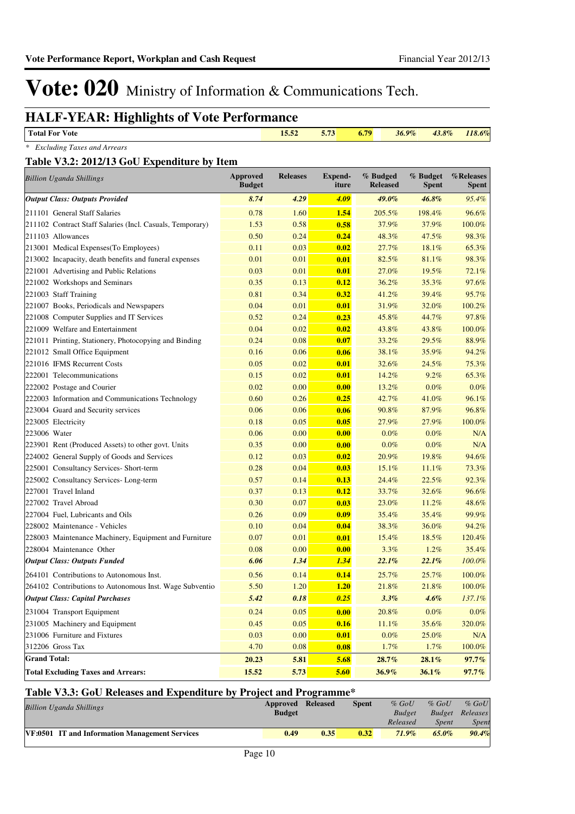## **HALF-YEAR: Highlights of Vote Performance**

| <b>Total For Vote</b>                       | 15.52 | 5.73 | 6.79 | $36.9\%$ | $43.8\%$ | 118.6% |
|---------------------------------------------|-------|------|------|----------|----------|--------|
| * Excluding Taxes and Arrears               |       |      |      |          |          |        |
| Table V3.2: 2012/13 GoU Expenditure by Item |       |      |      |          |          |        |

| <b>Billion Uganda Shillings</b>                           | Approved<br><b>Budget</b> | <b>Releases</b> | <b>Expend-</b><br>iture | % Budged<br><b>Released</b> | % Budget<br><b>Spent</b> | %Releases<br><b>Spent</b> |
|-----------------------------------------------------------|---------------------------|-----------------|-------------------------|-----------------------------|--------------------------|---------------------------|
| <b>Output Class: Outputs Provided</b>                     | 8.74                      | 4.29            | 4.09                    | 49.0%                       | 46.8%                    | 95.4%                     |
| 211101 General Staff Salaries                             | 0.78                      | 1.60            | 1.54                    | 205.5%                      | 198.4%                   | 96.6%                     |
| 211102 Contract Staff Salaries (Incl. Casuals, Temporary) | 1.53                      | 0.58            | 0.58                    | 37.9%                       | 37.9%                    | 100.0%                    |
| 211103 Allowances                                         | 0.50                      | 0.24            | 0.24                    | 48.3%                       | 47.5%                    | 98.3%                     |
| 213001 Medical Expenses(To Employees)                     | 0.11                      | 0.03            | 0.02                    | 27.7%                       | 18.1%                    | 65.3%                     |
| 213002 Incapacity, death benefits and funeral expenses    | 0.01                      | 0.01            | 0.01                    | 82.5%                       | 81.1%                    | 98.3%                     |
| 221001 Advertising and Public Relations                   | 0.03                      | 0.01            | 0.01                    | 27.0%                       | 19.5%                    | 72.1%                     |
| 221002 Workshops and Seminars                             | 0.35                      | 0.13            | 0.12                    | 36.2%                       | 35.3%                    | 97.6%                     |
| 221003 Staff Training                                     | 0.81                      | 0.34            | 0.32                    | 41.2%                       | 39.4%                    | 95.7%                     |
| 221007 Books, Periodicals and Newspapers                  | 0.04                      | 0.01            | 0.01                    | 31.9%                       | 32.0%                    | 100.2%                    |
| 221008 Computer Supplies and IT Services                  | 0.52                      | 0.24            | 0.23                    | 45.8%                       | 44.7%                    | 97.8%                     |
| 221009 Welfare and Entertainment                          | 0.04                      | 0.02            | 0.02                    | 43.8%                       | 43.8%                    | 100.0%                    |
| 221011 Printing, Stationery, Photocopying and Binding     | 0.24                      | 0.08            | 0.07                    | 33.2%                       | 29.5%                    | 88.9%                     |
| 221012 Small Office Equipment                             | 0.16                      | 0.06            | 0.06                    | 38.1%                       | 35.9%                    | 94.2%                     |
| 221016 IFMS Recurrent Costs                               | 0.05                      | 0.02            | 0.01                    | 32.6%                       | 24.5%                    | 75.3%                     |
| 222001 Telecommunications                                 | 0.15                      | 0.02            | 0.01                    | 14.2%                       | 9.2%                     | 65.3%                     |
| 222002 Postage and Courier                                | 0.02                      | 0.00            | 0.00                    | 13.2%                       | 0.0%                     | $0.0\%$                   |
| 222003 Information and Communications Technology          | 0.60                      | 0.26            | 0.25                    | 42.7%                       | 41.0%                    | 96.1%                     |
| 223004 Guard and Security services                        | 0.06                      | 0.06            | 0.06                    | 90.8%                       | 87.9%                    | 96.8%                     |
| 223005 Electricity                                        | 0.18                      | 0.05            | 0.05                    | 27.9%                       | 27.9%                    | 100.0%                    |
| 223006 Water                                              | 0.06                      | 0.00            | 0.00                    | 0.0%                        | 0.0%                     | N/A                       |
| 223901 Rent (Produced Assets) to other govt. Units        | 0.35                      | 0.00            | 0.00                    | 0.0%                        | 0.0%                     | N/A                       |
| 224002 General Supply of Goods and Services               | 0.12                      | 0.03            | 0.02                    | 20.9%                       | 19.8%                    | 94.6%                     |
| 225001 Consultancy Services- Short-term                   | 0.28                      | 0.04            | 0.03                    | 15.1%                       | 11.1%                    | 73.3%                     |
| 225002 Consultancy Services-Long-term                     | 0.57                      | 0.14            | 0.13                    | 24.4%                       | 22.5%                    | 92.3%                     |
| 227001 Travel Inland                                      | 0.37                      | 0.13            | 0.12                    | 33.7%                       | 32.6%                    | 96.6%                     |
| 227002 Travel Abroad                                      | 0.30                      | 0.07            | 0.03                    | 23.0%                       | 11.2%                    | 48.6%                     |
| 227004 Fuel, Lubricants and Oils                          | 0.26                      | 0.09            | 0.09                    | 35.4%                       | 35.4%                    | 99.9%                     |
| 228002 Maintenance - Vehicles                             | 0.10                      | 0.04            | 0.04                    | 38.3%                       | 36.0%                    | 94.2%                     |
| 228003 Maintenance Machinery, Equipment and Furniture     | 0.07                      | 0.01            | 0.01                    | 15.4%                       | 18.5%                    | 120.4%                    |
| 228004 Maintenance Other                                  | 0.08                      | 0.00            | 0.00                    | 3.3%                        | 1.2%                     | 35.4%                     |
| <b>Output Class: Outputs Funded</b>                       | 6.06                      | 1.34            | 1.34                    | 22.1%                       | 22.1%                    | 100.0%                    |
| 264101 Contributions to Autonomous Inst.                  | 0.56                      | 0.14            | 0.14                    | 25.7%                       | 25.7%                    | 100.0%                    |
| 264102 Contributions to Autonomous Inst. Wage Subventio   | 5.50                      | 1.20            | 1.20                    | 21.8%                       | 21.8%                    | 100.0%                    |
| <b>Output Class: Capital Purchases</b>                    | 5.42                      | 0.18            | 0.25                    | 3.3%                        | 4.6%                     | 137.1%                    |
| 231004 Transport Equipment                                | 0.24                      | 0.05            | 0.00                    | 20.8%                       | $0.0\%$                  | $0.0\%$                   |
| 231005 Machinery and Equipment                            | 0.45                      | 0.05            | 0.16                    | $11.1\%$                    | 35.6%                    | 320.0%                    |
| 231006 Furniture and Fixtures                             | 0.03                      | $0.00\,$        | 0.01                    | $0.0\%$                     | 25.0%                    | N/A                       |
| 312206 Gross Tax                                          | 4.70                      | 0.08            | 0.08                    | 1.7%                        | 1.7%                     | 100.0%                    |
| <b>Grand Total:</b>                                       | 20.23                     | 5.81            | 5.68                    | 28.7%                       | 28.1%                    | 97.7%                     |
| <b>Total Excluding Taxes and Arrears:</b>                 | 15.52                     | 5.73            | 5.60                    | 36.9%                       | 36.1%                    | $97.7\%$                  |

### **Table V3.3: GoU Releases and Expenditure by Project and Programme\***

| <b>Billion Uganda Shillings</b>                | Approved Released<br><b>Budget</b> |      | <b>Spent</b> | $%$ GoU<br><b>Budget</b><br>Released | $\%$ GoU<br>Spent | $%$ GoU<br><b>Budget</b> Releases<br>Spent |
|------------------------------------------------|------------------------------------|------|--------------|--------------------------------------|-------------------|--------------------------------------------|
| VF:0501 IT and Information Management Services | 0.49                               | 0.35 | 0.32         | $71.9\%$                             | $65.0\%$          | 90.4%                                      |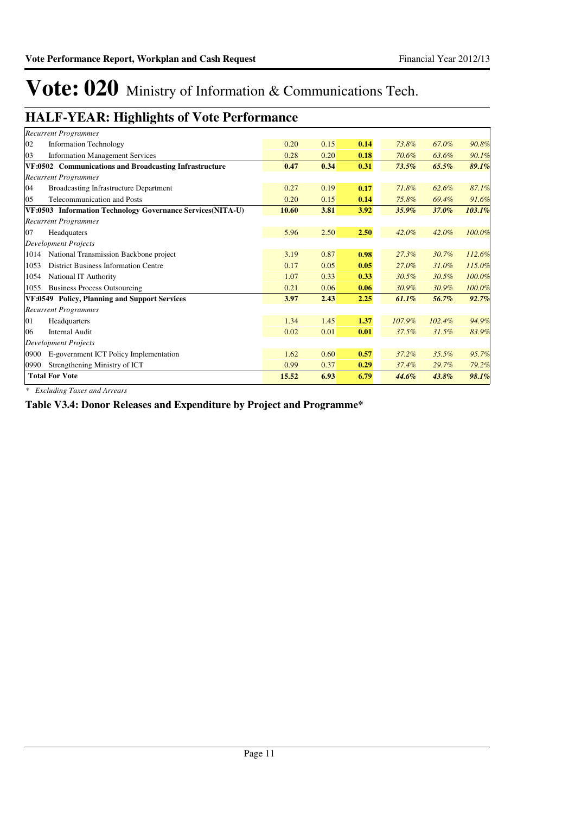## **HALF-YEAR: Highlights of Vote Performance**

| <b>Recurrent Programmes</b>                                |       |      |      |          |        |        |
|------------------------------------------------------------|-------|------|------|----------|--------|--------|
| 02<br><b>Information Technology</b>                        | 0.20  | 0.15 | 0.14 | 73.8%    | 67.0%  | 90.8%  |
| 03<br><b>Information Management Services</b>               | 0.28  | 0.20 | 0.18 | 70.6%    | 63.6%  | 90.1%  |
| VF:0502 Communications and Broadcasting Infrastructure     | 0.47  | 0.34 | 0.31 | $73.5\%$ | 65.5%  | 89.1%  |
| <b>Recurrent Programmes</b>                                |       |      |      |          |        |        |
| 04<br>Broadcasting Infrastructure Department               | 0.27  | 0.19 | 0.17 | 71.8%    | 62.6%  | 87.1%  |
| <b>Telecommunication and Posts</b><br>05                   | 0.20  | 0.15 | 0.14 | 75.8%    | 69.4%  | 91.6%  |
| VF:0503 Information Technology Governance Services(NITA-U) | 10.60 | 3.81 | 3.92 | $35.9\%$ | 37.0%  | 103.1% |
| <b>Recurrent Programmes</b>                                |       |      |      |          |        |        |
| 07<br>Headquaters                                          | 5.96  | 2.50 | 2.50 | 42.0%    | 42.0%  | 100.0% |
| <b>Development Projects</b>                                |       |      |      |          |        |        |
| National Transmission Backbone project<br>1014             | 3.19  | 0.87 | 0.98 | $27.3\%$ | 30.7%  | 112.6% |
| <b>District Business Information Centre</b><br>1053        | 0.17  | 0.05 | 0.05 | 27.0%    | 31.0%  | 115.0% |
| National IT Authority<br>1054                              | 1.07  | 0.33 | 0.33 | 30.5%    | 30.5%  | 100.0% |
| <b>Business Process Outsourcing</b><br>1055                | 0.21  | 0.06 | 0.06 | 30.9%    | 30.9%  | 100.0% |
| VF:0549 Policy, Planning and Support Services              | 3.97  | 2.43 | 2.25 | $61.1\%$ | 56.7%  | 92.7%  |
| <b>Recurrent Programmes</b>                                |       |      |      |          |        |        |
| 01<br>Headquarters                                         | 1.34  | 1.45 | 1.37 | 107.9%   | 102.4% | 94.9%  |
| <b>Internal Audit</b><br>06                                | 0.02  | 0.01 | 0.01 | 37.5%    | 31.5%  | 83.9%  |
| <b>Development Projects</b>                                |       |      |      |          |        |        |
| 0900<br>E-government ICT Policy Implementation             | 1.62  | 0.60 | 0.57 | 37.2%    | 35.5%  | 95.7%  |
| Strengthening Ministry of ICT<br>0990                      | 0.99  | 0.37 | 0.29 | 37.4%    | 29.7%  | 79.2%  |
| <b>Total For Vote</b>                                      | 15.52 | 6.93 | 6.79 | 44.6%    | 43.8%  | 98.1%  |

*\* Excluding Taxes and Arrears*

**Table V3.4: Donor Releases and Expenditure by Project and Programme\***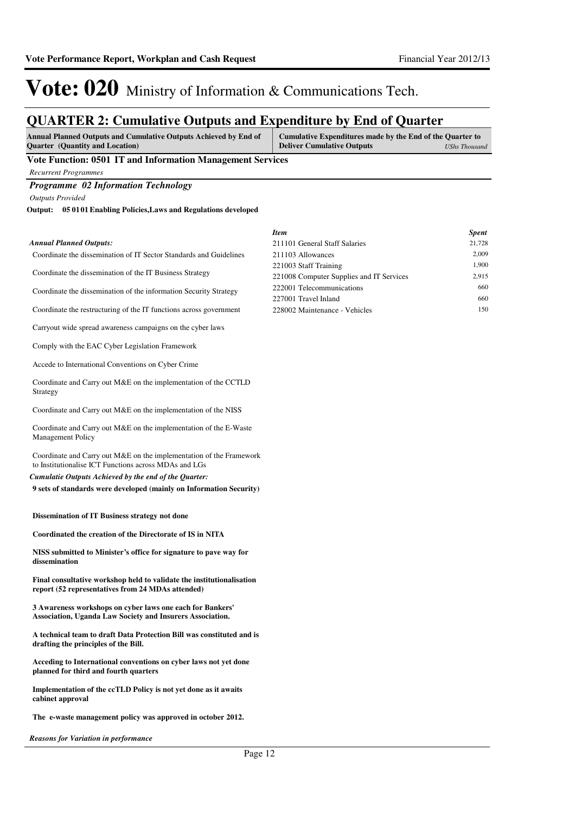## **QUARTER 2: Cumulative Outputs and Expenditure by End of Quarter**

| <b>Annual Planned Outputs and Cumulative Outputs Achieved by End of</b> | Cumulative Expenditures made by the End of the Quarter to |               |
|-------------------------------------------------------------------------|-----------------------------------------------------------|---------------|
| <b>Quarter</b> (Quantity and Location)                                  | <b>Deliver Cumulative Outputs</b>                         | UShs Thousand |

### **Vote Function: 0501 IT and Information Management Services**

*Recurrent Programmes*

### *Programme 02 Information Technology*

*Outputs Provided*

#### **05 0101 Enabling Policies,Laws and Regulations developed Output:**

|                                                                             | <b>Item</b>                              | <b>Spent</b> |
|-----------------------------------------------------------------------------|------------------------------------------|--------------|
| Annual Planned Outputs:                                                     | 211101 General Staff Salaries            | 21,728       |
| Coordinate the dissemination of IT Sector Standards and Guidelines          | 211103 Allowances                        | 2,009        |
|                                                                             | 221003 Staff Training                    | 1,900        |
| Coordinate the dissemination of the IT Business Strategy                    | 221008 Computer Supplies and IT Services | 2,915        |
| Coordinate the dissemination of the information Security Strategy           | 222001 Telecommunications                | 660          |
|                                                                             | 227001 Travel Inland                     | 660          |
| Coordinate the restructuring of the IT functions across government          | 228002 Maintenance - Vehicles            | 150          |
| Carryout wide spread awareness campaigns on the cyber laws                  |                                          |              |
| Comply with the EAC Cyber Legislation Framework                             |                                          |              |
| Accede to International Conventions on Cyber Crime                          |                                          |              |
| Coordinate and Carry out M&E on the implementation of the CCTLD<br>Strategy |                                          |              |

Coordinate and Carry out M&E on the implementation of the NISS

Coordinate and Carry out M&E on the implementation of the E-Waste Management Policy

Coordinate and Carry out M&E on the implementation of the Framework to Institutionalise ICT Functions across MDAs and LGs

*Cumulatie Outputs Achieved by the end of the Quarter:*

**9 sets of standards were developed (mainly on Information Security)** 

#### **Dissemination of IT Business strategy not done**

**Coordinated the creation of the Directorate of IS in NITA**

 **NISS submitted to Minister's office for signature to pave way for dissemination**

**Final consultative workshop held to validate the institutionalisation report (52 representatives from 24 MDAs attended)**

**3 Awareness workshops on cyber laws one each for Bankers' Association, Uganda Law Society and Insurers Association.**

**A technical team to draft Data Protection Bill was constituted and is drafting the principles of the Bill.**

**Acceding to International conventions on cyber laws not yet done planned for third and fourth quarters**

**Implementation of the ccTLD Policy is not yet done as it awaits cabinet approval**

**The e-waste management policy was approved in october 2012.**

*Reasons for Variation in performance*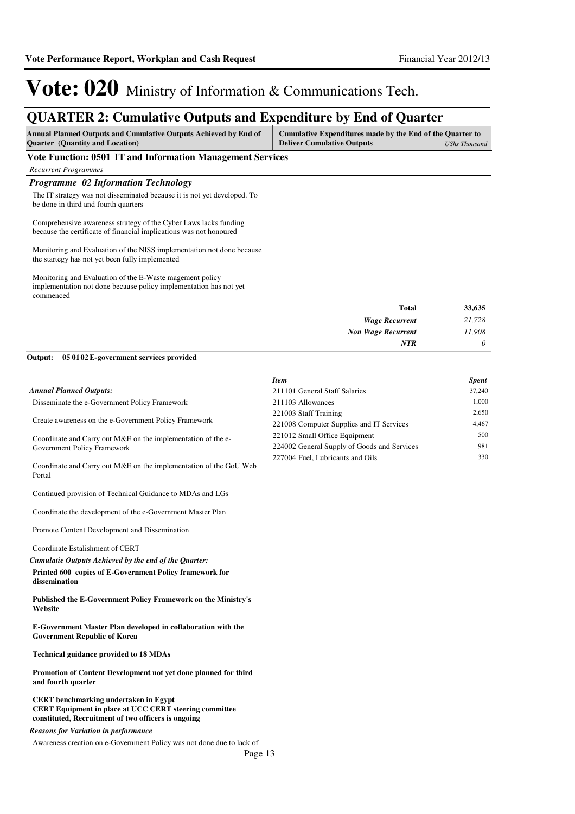## **QUARTER 2: Cumulative Outputs and Expenditure by End of Quarter**

| <b>Annual Planned Outputs and Cumulative Outputs Achieved by End of</b> | Cumulative Expenditures made by the End of the Quarter to |               |
|-------------------------------------------------------------------------|-----------------------------------------------------------|---------------|
| <b>Quarter</b> (Quantity and Location)                                  | <b>Deliver Cumulative Outputs</b>                         | UShs Thousand |

### **Vote Function: 0501 IT and Information Management Services**

*Recurrent Programmes*

Portal

**dissemination**

**and fourth quarter**

**Website**

### *Programme 02 Information Technology*

The IT strategy was not disseminated because it is not yet developed. To be done in third and fourth quarters

Comprehensive awareness strategy of the Cyber Laws lacks funding because the certificate of financial implications was not honoured

Monitoring and Evaluation of the NISS implementation not done because the startegy has not yet been fully implemented

Monitoring and Evaluation of the E-Waste magement policy implementation not done because policy implementation has not yet commenced

| 33,635   | <b>Total</b>              |
|----------|---------------------------|
| 21,728   | <b>Wage Recurrent</b>     |
| 11,908   | <b>Non Wage Recurrent</b> |
| $\theta$ | <b>NTR</b>                |
|          |                           |

#### **05 0102 E-government services provided Output:**

Continued provision of Technical Guidance to MDAs and LGs Coordinate the development of the e-Government Master Plan

**Printed 600 copies of E-Government Policy framework for** 

*Cumulatie Outputs Achieved by the end of the Quarter:*

**Published the E-Government Policy Framework on the Ministry's** 

**E-Government Master Plan developed in collaboration with the** 

**Promotion of Content Development not yet done planned for third** 

**CERT Equipment in place at UCC CERT steering committee** 

Promote Content Development and Dissemination

Coordinate Estalishment of CERT

**Government Republic of Korea**

**Technical guidance provided to 18 MDAs**

**CERT benchmarking undertaken in Egypt**

**constituted, Recruitment of two officers is ongoing**

|                                                                   | <b>Item</b>                                 | <b>Spent</b> |
|-------------------------------------------------------------------|---------------------------------------------|--------------|
| <b>Annual Planned Outputs:</b>                                    | 211101 General Staff Salaries               | 37,240       |
| Disseminate the e-Government Policy Framework                     | 211103 Allowances                           | 1.000        |
|                                                                   | 221003 Staff Training                       | 2,650        |
| Create awareness on the e-Government Policy Framework             | 221008 Computer Supplies and IT Services    | 4.467        |
| Coordinate and Carry out M&E on the implementation of the e-      | 221012 Small Office Equipment               | 500          |
| Government Policy Framework                                       | 224002 General Supply of Goods and Services | 981          |
|                                                                   | 227004 Fuel, Lubricants and Oils            | 330          |
| Coordinate and Carry out M&E on the implementation of the GoU Web |                                             |              |

*Reasons for Variation in performance*

Awareness creation on e-Government Policy was not done due to lack of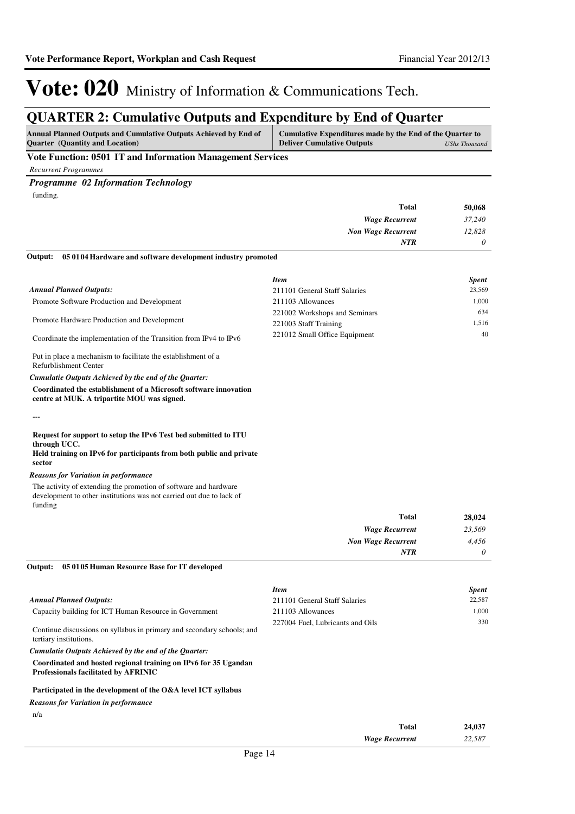## **QUARTER 2: Cumulative Outputs and Expenditure by End of Quarter**

| <b>Annual Planned Outputs and Cumulative Outputs Achieved by End of</b> | Cumulative Expenditures made by the End of the Quarter to |               |
|-------------------------------------------------------------------------|-----------------------------------------------------------|---------------|
| <b>Ouarter</b> (Quantity and Location)                                  | <b>Deliver Cumulative Outputs</b>                         | UShs Thousand |

### **Vote Function: 0501 IT and Information Management Services**

*Recurrent Programmes*

### *Programme 02 Information Technology*

funding.

| Total                                                                                                                                                                                                                                         | 50,068   |
|-----------------------------------------------------------------------------------------------------------------------------------------------------------------------------------------------------------------------------------------------|----------|
| <b>Wage Recurrent</b>                                                                                                                                                                                                                         | 37,240   |
| <b>Non Wage Recurrent</b>                                                                                                                                                                                                                     | 12,828   |
| <b>NTR</b>                                                                                                                                                                                                                                    | $\theta$ |
| $\Omega$ and $\Omega$ and $\Omega$ and $\Omega$ is the same in the same in the same in the same in the same in the same in the same in the same in the same in the same in the same in the same in the same in the same in the same in the sa |          |

#### **05 0104 Hardware and software development industry promoted Output:**

| <b>Item</b>                   | Spent  |
|-------------------------------|--------|
| 211101 General Staff Salaries | 23,569 |
| 211103 Allowances             | 1,000  |
| 221002 Workshops and Seminars | 634    |
| 221003 Staff Training         | 1.516  |
| 221012 Small Office Equipment | 40     |
|                               |        |

Put in place a mechanism to facilitate the establishment of a Refurblishment Center

### *Cumulatie Outputs Achieved by the end of the Quarter:*

**Coordinated the establishment of a Microsoft software innovation centre at MUK. A tripartite MOU was signed.**

**---**

### **Request for support to setup the IPv6 Test bed submitted to ITU through UCC.**

**Held training on IPv6 for participants from both public and private sector**

### *Reasons for Variation in performance*

The activity of extending the promotion of software and hardware development to other institutions was not carried out due to lack of funding

| 28,024   |
|----------|
| 23,569   |
| 4,456    |
| $\theta$ |
|          |

### **05 0105 Human Resource Base for IT developed Output:**

|                                                                                                                | <b>Item</b>                      | <b>Spent</b> |
|----------------------------------------------------------------------------------------------------------------|----------------------------------|--------------|
| <b>Annual Planned Outputs:</b>                                                                                 | 211101 General Staff Salaries    | 22.587       |
| Capacity building for ICT Human Resource in Government                                                         | 211103 Allowances                | 1.000        |
| Continue discussions on syllabus in primary and secondary schools; and<br>tertiary institutions.               | 227004 Fuel, Lubricants and Oils | 330          |
| Cumulatie Outputs Achieved by the end of the Ouarter:                                                          |                                  |              |
| Coordinated and hosted regional training on IPv6 for 35 Ugandan<br><b>Professionals facilitated by AFRINIC</b> |                                  |              |
| Participated in the development of the O&A level ICT syllabus                                                  |                                  |              |
| <b>Reasons for Variation in performance</b>                                                                    |                                  |              |

n/a

| <b>Total</b>          | 24,037 |
|-----------------------|--------|
| <b>Wage Recurrent</b> | 22,587 |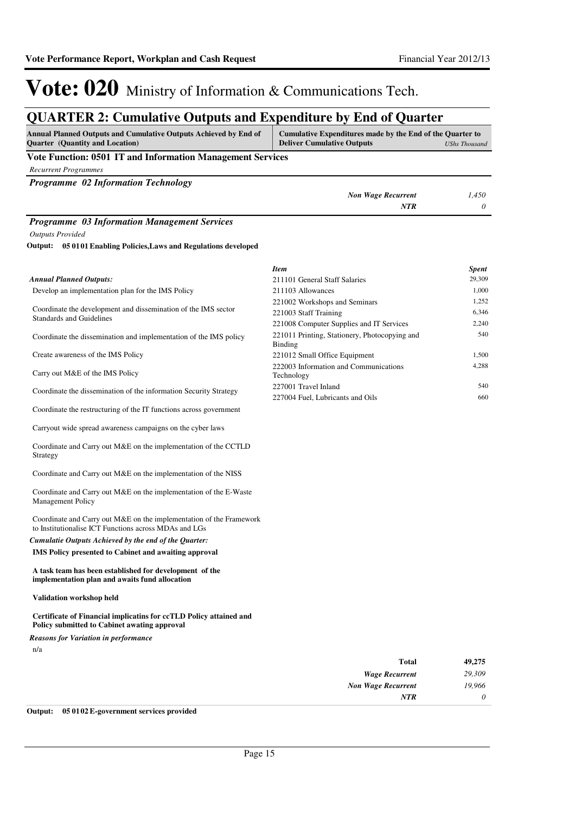## **QUARTER 2: Cumulative Outputs and Expenditure by End of Quarter**

| <b>Annual Planned Outputs and Cumulative Outputs Achieved by End of</b><br><b>Ouarter</b> (Quantity and Location) | Cumulative Expenditures made by the End of the Quarter to<br><b>Deliver Cumulative Outputs</b> | UShs Thousand |
|-------------------------------------------------------------------------------------------------------------------|------------------------------------------------------------------------------------------------|---------------|
| Vote Function: 0501 IT and Information Management Services                                                        |                                                                                                |               |
| <b>Recurrent Programmes</b>                                                                                       |                                                                                                |               |
| <b>Programme 02 Information Technology</b>                                                                        |                                                                                                |               |
|                                                                                                                   | <b>Non Wage Recurrent</b>                                                                      | 1.450         |
|                                                                                                                   | <b>NTR</b>                                                                                     | $\theta$      |
| <b>Programme 03 Information Management Services</b>                                                               |                                                                                                |               |
| <b>Outputs Provided</b>                                                                                           |                                                                                                |               |
|                                                                                                                   |                                                                                                |               |

**05 0101 Enabling Policies,Laws and Regulations developed Output:**

|                                                                                            | <b>Item</b>                                                     | <b>Spent</b> |
|--------------------------------------------------------------------------------------------|-----------------------------------------------------------------|--------------|
| <b>Annual Planned Outputs:</b>                                                             | 211101 General Staff Salaries                                   | 29,309       |
| Develop an implementation plan for the IMS Policy                                          | 211103 Allowances                                               | 1.000        |
|                                                                                            | 221002 Workshops and Seminars                                   | 1,252        |
| Coordinate the development and dissemination of the IMS sector<br>Standards and Guidelines | 221003 Staff Training                                           | 6,346        |
|                                                                                            | 221008 Computer Supplies and IT Services                        | 2,240        |
| Coordinate the dissemination and implementation of the IMS policy                          | 221011 Printing, Stationery, Photocopying and<br><b>Binding</b> | 540          |
| Create awareness of the IMS Policy                                                         | 221012 Small Office Equipment                                   | 1.500        |
| Carry out M&E of the IMS Policy                                                            | 222003 Information and Communications<br>Technology             | 4.288        |
| Coordinate the dissemination of the information Security Strategy                          | 227001 Travel Inland                                            | 540          |
|                                                                                            | 227004 Fuel. Lubricants and Oils                                | 660          |

Coordinate the restructuring of the IT functions across government

Carryout wide spread awareness campaigns on the cyber laws

Coordinate and Carry out M&E on the implementation of the CCTLD Strategy

Coordinate and Carry out M&E on the implementation of the NISS

Coordinate and Carry out M&E on the implementation of the E-Waste Management Policy

Coordinate and Carry out M&E on the implementation of the Framework to Institutionalise ICT Functions across MDAs and LGs

### *Cumulatie Outputs Achieved by the end of the Quarter:*

**IMS Policy presented to Cabinet and awaiting approval**

**A task team has been established for development of the implementation plan and awaits fund allocation**

**Validation workshop held**

### **Certificate of Financial implicatins for ccTLD Policy attained and Policy submitted to Cabinet awating approval**

*Reasons for Variation in performance*

n/a

| 49,275   | <b>Total</b>              |
|----------|---------------------------|
| 29,309   | <b>Wage Recurrent</b>     |
| 19,966   | <b>Non Wage Recurrent</b> |
| $\theta$ | <b>NTR</b>                |
|          |                           |

**Output: 05 0102 E-government services provided**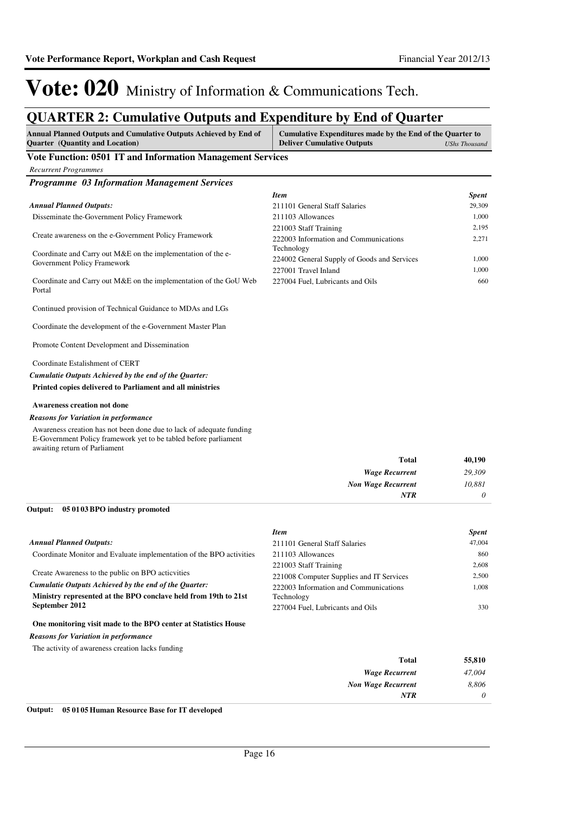## **QUARTER 2: Cumulative Outputs and Expenditure by End of Quarter**

| Annual Planned Outputs and Cumulative Outputs Achieved by End of<br><b>Quarter (Quantity and Location)</b>                                                                | Cumulative Expenditures made by the End of the Quarter to<br><b>Deliver Cumulative Outputs</b> | <b>UShs Thousand</b> |
|---------------------------------------------------------------------------------------------------------------------------------------------------------------------------|------------------------------------------------------------------------------------------------|----------------------|
| Vote Function: 0501 IT and Information Management Services                                                                                                                |                                                                                                |                      |
| <b>Recurrent Programmes</b>                                                                                                                                               |                                                                                                |                      |
| <b>Programme 03 Information Management Services</b>                                                                                                                       |                                                                                                |                      |
|                                                                                                                                                                           | <b>Item</b>                                                                                    | <b>Spent</b>         |
| <b>Annual Planned Outputs:</b>                                                                                                                                            | 211101 General Staff Salaries                                                                  | 29,309               |
| Disseminate the-Government Policy Framework                                                                                                                               | 211103 Allowances                                                                              | 1,000                |
| Create awareness on the e-Government Policy Framework                                                                                                                     | 221003 Staff Training<br>222003 Information and Communications                                 | 2,195<br>2,271       |
| Coordinate and Carry out M&E on the implementation of the e-                                                                                                              | Technology                                                                                     |                      |
| Government Policy Framework                                                                                                                                               | 224002 General Supply of Goods and Services                                                    | 1,000<br>1,000       |
| Coordinate and Carry out M&E on the implementation of the GoU Web<br>Portal                                                                                               | 227001 Travel Inland<br>227004 Fuel, Lubricants and Oils                                       | 660                  |
| Continued provision of Technical Guidance to MDAs and LGs                                                                                                                 |                                                                                                |                      |
| Coordinate the development of the e-Government Master Plan                                                                                                                |                                                                                                |                      |
| Promote Content Development and Dissemination                                                                                                                             |                                                                                                |                      |
| Coordinate Estalishment of CERT                                                                                                                                           |                                                                                                |                      |
| Cumulatie Outputs Achieved by the end of the Quarter:                                                                                                                     |                                                                                                |                      |
| Printed copies delivered to Parliament and all ministries                                                                                                                 |                                                                                                |                      |
| <b>Awareness creation not done</b>                                                                                                                                        |                                                                                                |                      |
| <b>Reasons for Variation in performance</b>                                                                                                                               |                                                                                                |                      |
| Awareness creation has not been done due to lack of adequate funding<br>E-Government Policy framework yet to be tabled before parliament<br>awaiting return of Parliament |                                                                                                |                      |
|                                                                                                                                                                           | Total                                                                                          | 40,190               |
|                                                                                                                                                                           | <b>Wage Recurrent</b>                                                                          | 29,309               |
|                                                                                                                                                                           | <b>Non Wage Recurrent</b>                                                                      | 10,881               |
|                                                                                                                                                                           | <b>NTR</b>                                                                                     | 0                    |
| Output:<br>05 01 03 BPO industry promoted                                                                                                                                 |                                                                                                |                      |
|                                                                                                                                                                           | <b>Item</b>                                                                                    | <b>Spent</b>         |
| <b>Annual Planned Outputs:</b>                                                                                                                                            | 211101 General Staff Salaries                                                                  | 47,004               |
| Coordinate Monitor and Evaluate implementation of the BPO activities                                                                                                      | 211103 Allowances                                                                              | 860                  |
| Create Awareness to the public on BPO acticvities                                                                                                                         | 221003 Staff Training                                                                          | 2,608                |
| Cumulatie Outputs Achieved by the end of the Quarter:                                                                                                                     | 221008 Computer Supplies and IT Services                                                       | 2,500<br>1,008       |
| Ministry represented at the BPO conclave held from 19th to 21st                                                                                                           | 222003 Information and Communications<br>Technology                                            |                      |
| September 2012                                                                                                                                                            | 227004 Fuel, Lubricants and Oils                                                               | 330                  |
| One monitoring visit made to the BPO center at Statistics House                                                                                                           |                                                                                                |                      |
| <b>Reasons for Variation in performance</b>                                                                                                                               |                                                                                                |                      |
| The activity of awareness creation lacks funding                                                                                                                          |                                                                                                |                      |
|                                                                                                                                                                           | Total                                                                                          | 55,810               |
|                                                                                                                                                                           | <b>Wage Recurrent</b>                                                                          | 47,004               |
|                                                                                                                                                                           | <b>Non Wage Recurrent</b>                                                                      | 8,806                |
|                                                                                                                                                                           | <b>NTR</b>                                                                                     | 0                    |

### **Output: 05 0105 Human Resource Base for IT developed**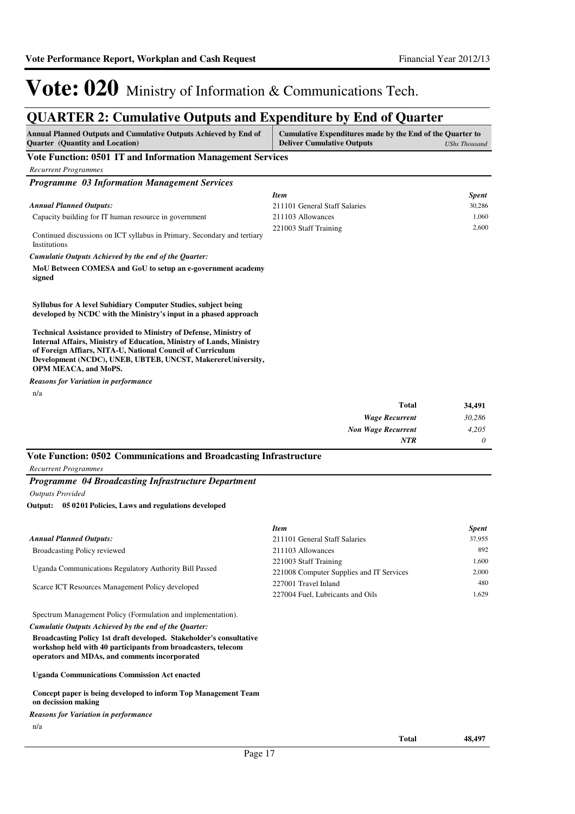## **QUARTER 2: Cumulative Outputs and Expenditure by End of Quarter**

| <b>Annual Planned Outputs and Cumulative Outputs Achieved by End of</b><br><b>Quarter (Quantity and Location)</b>                                                                                                                                                                                                   | Cumulative Expenditures made by the End of the Quarter to<br><b>Deliver Cumulative Outputs</b> | <b>UShs Thousand</b> |
|---------------------------------------------------------------------------------------------------------------------------------------------------------------------------------------------------------------------------------------------------------------------------------------------------------------------|------------------------------------------------------------------------------------------------|----------------------|
| Vote Function: 0501 IT and Information Management Services                                                                                                                                                                                                                                                          |                                                                                                |                      |
| <b>Recurrent Programmes</b>                                                                                                                                                                                                                                                                                         |                                                                                                |                      |
| <b>Programme 03 Information Management Services</b>                                                                                                                                                                                                                                                                 |                                                                                                |                      |
|                                                                                                                                                                                                                                                                                                                     | <b>Item</b>                                                                                    | <b>Spent</b>         |
| <b>Annual Planned Outputs:</b>                                                                                                                                                                                                                                                                                      | 211101 General Staff Salaries                                                                  | 30,286               |
| Capacity building for IT human resource in government                                                                                                                                                                                                                                                               | 211103 Allowances                                                                              | 1,060                |
| Continued discussions on ICT syllabus in Primary, Secondary and tertiary<br>Institutions                                                                                                                                                                                                                            | 221003 Staff Training                                                                          | 2,600                |
| Cumulatie Outputs Achieved by the end of the Quarter:                                                                                                                                                                                                                                                               |                                                                                                |                      |
| MoU Between COMESA and GoU to setup an e-government academy<br>signed                                                                                                                                                                                                                                               |                                                                                                |                      |
| Syllubus for A level Subidiary Computer Studies, subject being<br>developed by NCDC with the Ministry's input in a phased approach                                                                                                                                                                                  |                                                                                                |                      |
| <b>Technical Assistance provided to Ministry of Defense, Ministry of</b><br><b>Internal Affairs, Ministry of Education, Ministry of Lands, Ministry</b><br>of Foreign Affiars, NITA-U, National Council of Curriculum<br>Development (NCDC), UNEB, UBTEB, UNCST, MakerereUniversity,<br><b>OPM MEACA, and MoPS.</b> |                                                                                                |                      |
| <b>Reasons for Variation in performance</b>                                                                                                                                                                                                                                                                         |                                                                                                |                      |
| n/a                                                                                                                                                                                                                                                                                                                 |                                                                                                |                      |
|                                                                                                                                                                                                                                                                                                                     | <b>Total</b>                                                                                   | 34,491               |
|                                                                                                                                                                                                                                                                                                                     | <b>Wage Recurrent</b>                                                                          | 30,286               |
|                                                                                                                                                                                                                                                                                                                     | <b>Non Wage Recurrent</b>                                                                      | 4,205                |
|                                                                                                                                                                                                                                                                                                                     | <b>NTR</b>                                                                                     | 0                    |
| Vote Function: 0502 Communications and Broadcasting Infrastructure                                                                                                                                                                                                                                                  |                                                                                                |                      |
| <b>Recurrent Programmes</b>                                                                                                                                                                                                                                                                                         |                                                                                                |                      |
| <b>Programme 04 Broadcasting Infrastructure Department</b>                                                                                                                                                                                                                                                          |                                                                                                |                      |
| <b>Outputs Provided</b>                                                                                                                                                                                                                                                                                             |                                                                                                |                      |
| Output: 05 0201 Policies, Laws and regulations developed                                                                                                                                                                                                                                                            |                                                                                                |                      |
|                                                                                                                                                                                                                                                                                                                     |                                                                                                |                      |
|                                                                                                                                                                                                                                                                                                                     | <b>Item</b>                                                                                    | <b>Spent</b>         |
| <b>Annual Planned Outputs:</b>                                                                                                                                                                                                                                                                                      | 211101 General Staff Salaries                                                                  | 37,955               |
| <b>Broadcasting Policy reviewed</b>                                                                                                                                                                                                                                                                                 | 211103 Allowances                                                                              | 892                  |

Uganda Communications Regulatory Authority Bill Passed

Scarce ICT Resources Management Policy developed

Spectrum Management Policy (Formulation and implementation).

*Cumulatie Outputs Achieved by the end of the Quarter:*

**Broadcasting Policy 1st draft developed. Stakeholder's consultative workshop held with 40 participants from broadcasters, telecom operators and MDAs, and comments incorporated** 

**Uganda Communications Commission Act enacted**

**Concept paper is being developed to inform Top Management Team on decission making**

n/a *Reasons for Variation in performance* 221003 Staff Training 1,600 221008 Computer Supplies and IT Services 2,000 227001 Travel Inland 480 227004 Fuel, Lubricants and Oils 1,629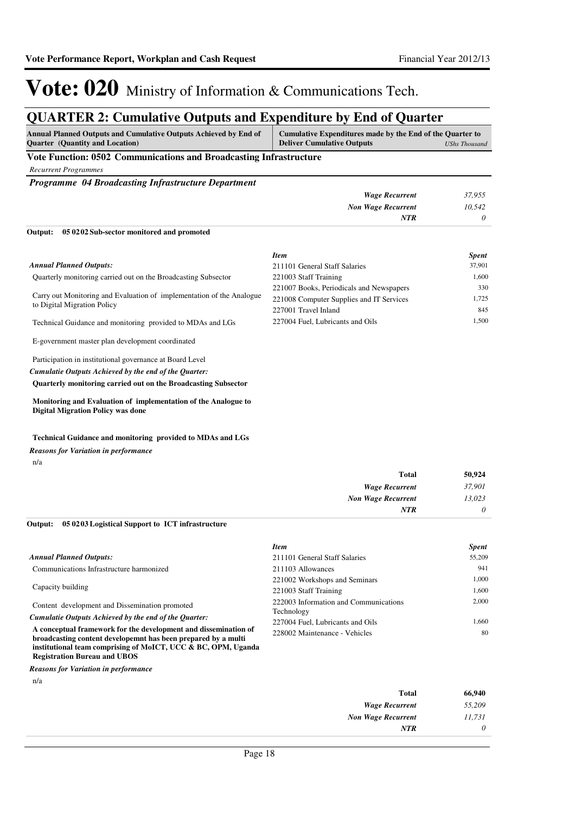## **QUARTER 2: Cumulative Outputs and Expenditure by End of Quarter**

| <b>Annual Planned Outputs and Cumulative Outputs Achieved by End of</b> | Cumulative Expenditures made by the End of the Quarter to |  |
|-------------------------------------------------------------------------|-----------------------------------------------------------|--|
| <b>Ouarter</b> (Quantity and Location)                                  | <b>Deliver Cumulative Outputs</b><br>UShs Thousand        |  |

### **Vote Function: 0502 Communications and Broadcasting Infrastructure**

*Recurrent Programmes*

*Programme 04 Broadcasting Infrastructure Department*

| Output: 05 02 02 Sub-sector monitored and promoted |        |
|----------------------------------------------------|--------|
| NTR                                                |        |
| <b>Non Wage Recurrent</b>                          | 10,542 |
| Wage Recurrent                                     | 37,955 |

Quarterly monitoring carried out on the Broadcasting Subsector Carry out Monitoring and Evaluation of implementation of the Analogue to Digital Migration Policy Technical Guidance and monitoring provided to MDAs and LGs E-government master plan development coordinated *Annual Planned Outputs: Item Spent* 211101 General Staff Salaries 37,901 221003 Staff Training 1,600 221007 Books, Periodicals and Newspapers 330 221008 Computer Supplies and IT Services 1,725 227001 Travel Inland 845 227004 Fuel, Lubricants and Oils 1,500

Participation in institutional governance at Board Level **Quarterly monitoring carried out on the Broadcasting Subsector**  *Cumulatie Outputs Achieved by the end of the Quarter:*

**Monitoring and Evaluation of implementation of the Analogue to Digital Migration Policy was done**

### **Technical Guidance and monitoring provided to MDAs and LGs**

*Reasons for Variation in performance*

n/a

| 50,924   | <b>Total</b>              |
|----------|---------------------------|
| 37,901   | <b>Wage Recurrent</b>     |
| 13,023   | <b>Non Wage Recurrent</b> |
| $\theta$ | <b>NTR</b>                |

### **05 0203 Logistical Support to ICT infrastructure Output:**

|                                                                 | <b>Item</b>                           | <b>Spent</b> |
|-----------------------------------------------------------------|---------------------------------------|--------------|
| <b>Annual Planned Outputs:</b>                                  | 211101 General Staff Salaries         | 55,209       |
| Communications Infrastructure harmonized                        | 211103 Allowances                     | 941          |
|                                                                 | 221002 Workshops and Seminars         | 1.000        |
| Capacity building                                               | 221003 Staff Training                 | 1.600        |
| Content development and Dissemination promoted                  | 222003 Information and Communications | 2.000        |
| Cumulatie Outputs Achieved by the end of the Ouarter:           | Technology                            |              |
|                                                                 | 227004 Fuel, Lubricants and Oils      | 1.660        |
| A conceptual framework for the development and dissemination of | 228002 Maintenance - Vehicles         | 80           |
| broadcasting content developemnt has been prepared by a multi   |                                       |              |
| institutional team comprising of MoICT, UCC & BC, OPM, Uganda   |                                       |              |

**Registration Bureau and UBOS** *Reasons for Variation in performance*

n/a

| <b>Total</b>              | 66,940 |
|---------------------------|--------|
| <b>Wage Recurrent</b>     | 55,209 |
| <b>Non Wage Recurrent</b> | 11,731 |
| <b>NTR</b>                | 0      |
|                           |        |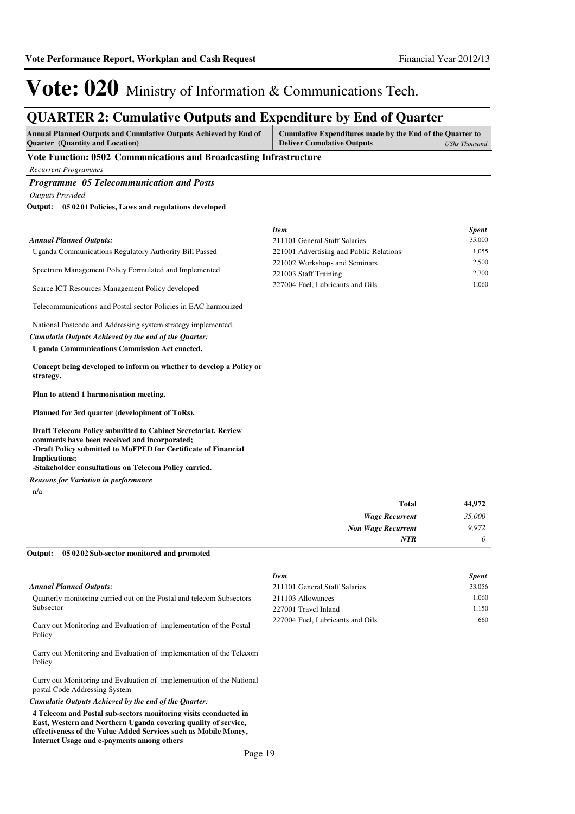## **QUARTER 2: Cumulative Outputs and Expenditure by End of Quarter**

| <b>Annual Planned Outputs and Cumulative Outputs Achieved by End of</b> | Cumulative Expenditures made by the End of the Quarter to |               |
|-------------------------------------------------------------------------|-----------------------------------------------------------|---------------|
| <b>Ouarter</b> (Quantity and Location)                                  | <b>Deliver Cumulative Outputs</b>                         | UShs Thousand |

### **Vote Function: 0502 Communications and Broadcasting Infrastructure**

*Recurrent Programmes*

### *Programme 05 Telecommunication and Posts*

*Outputs Provided*

### **05 0201 Policies, Laws and regulations developed Output:**

|                                                                                  | <b>Item</b>                             | <b>Spent</b> |
|----------------------------------------------------------------------------------|-----------------------------------------|--------------|
| <b>Annual Planned Outputs:</b>                                                   | 211101 General Staff Salaries           | 35,000       |
| Uganda Communications Regulatory Authority Bill Passed                           | 221001 Advertising and Public Relations | 1,055        |
|                                                                                  | 221002 Workshops and Seminars           | 2,500        |
| Spectrum Management Policy Formulated and Implemented                            | 221003 Staff Training                   | 2,700        |
| Scarce ICT Resources Management Policy developed                                 | 227004 Fuel, Lubricants and Oils        | 1,060        |
| Telecommunications and Postal sector Policies in EAC harmonized                  |                                         |              |
| National Postcode and Addressing system strategy implemented.                    |                                         |              |
| Cumulatie Outputs Achieved by the end of the Ouarter:                            |                                         |              |
| <b>Uganda Communications Commission Act enacted.</b>                             |                                         |              |
| Concept being developed to inform on whether to develop a Policy or<br>strategy. |                                         |              |
| Plan to attend 1 harmonisation meeting.                                          |                                         |              |

**Planned for 3rd quarter (developiment of ToRs).**

**Draft Telecom Policy submitted to Cabinet Secretariat. Review comments have been received and incorporated; -Draft Policy submitted to MoFPED for Certificate of Financial Implications; -Stakeholder consultations on Telecom Policy carried.**

n/a *Reasons for Variation in performance*

Policy

Policy

postal Code Addressing System

**Internet Usage and e-payments among others**

*Cumulatie Outputs Achieved by the end of the Quarter:*

| <b>Total</b>              | 44,972   |
|---------------------------|----------|
| <b>Wage Recurrent</b>     | 35,000   |
| <b>Non Wage Recurrent</b> | 9,972    |
| <b>NTR</b>                | $\theta$ |

#### **05 0202 Sub-sector monitored and promoted Output:**

Carry out Monitoring and Evaluation of implementation of the Telecom

Carry out Monitoring and Evaluation of implementation of the National

**4 Telecom and Postal sub-sectors monitoring visits cconducted in East, Western and Northern Uganda covering quality of service, effectiveness of the Value Added Services such as Mobile Money,** 

|                                                                       | <b>Item</b>                      | <b>Spent</b> |
|-----------------------------------------------------------------------|----------------------------------|--------------|
| Annual Planned Outputs:                                               | 211101 General Staff Salaries    | 33.056       |
| Quarterly monitoring carried out on the Postal and telecom Subsectors | 211103 Allowances                | 1.060        |
| Subsector                                                             | 227001 Travel Inland             | 1.150        |
| Carry out Monitoring and Evaluation of implementation of the Postal   | 227004 Fuel. Lubricants and Oils | 660          |

Page 19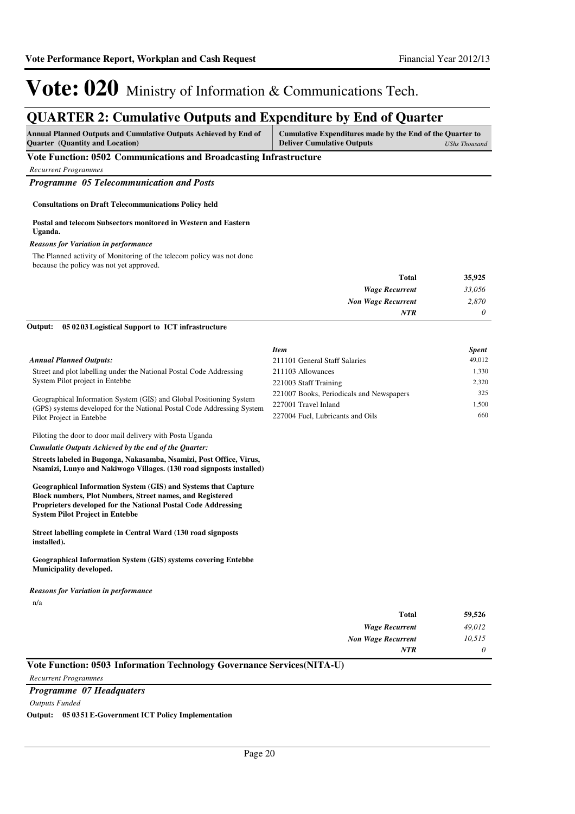### **QUARTER 2: Cumulative Outputs and Expenditure by End of Quarter**

| <b>Ouarter</b> (Quantity and Location)<br><b>Deliver Cumulative Outputs</b> | <b>Annual Planned Outputs and Cumulative Outputs Achieved by End of</b> | Cumulative Expenditures made by the End of the Quarter to |               |
|-----------------------------------------------------------------------------|-------------------------------------------------------------------------|-----------------------------------------------------------|---------------|
|                                                                             |                                                                         |                                                           | UShs Thousand |

### **Vote Function: 0502 Communications and Broadcasting Infrastructure**

*Recurrent Programmes*

*Programme 05 Telecommunication and Posts*

### **Consultations on Draft Telecommunications Policy held**

#### **Postal and telecom Subsectors monitored in Western and Eastern Uganda.**

#### *Reasons for Variation in performance*

The Planned activity of Monitoring of the telecom policy was not done because the policy was not yet approved.

| Total                     | 35,925   |
|---------------------------|----------|
| <b>Wage Recurrent</b>     | 33,056   |
| <b>Non Wage Recurrent</b> | 2,870    |
| <b>NTR</b>                | $\theta$ |

#### **05 0203 Logistical Support to ICT infrastructure Output:**

|                                                                                                    | <b>Item</b>                              | <b>Spent</b> |
|----------------------------------------------------------------------------------------------------|------------------------------------------|--------------|
| <b>Annual Planned Outputs:</b>                                                                     | 211101 General Staff Salaries            | 49,012       |
| Street and plot labelling under the National Postal Code Addressing                                | 211103 Allowances                        | 1.330        |
| System Pilot project in Entebbe                                                                    | 221003 Staff Training                    | 2.320        |
| Geographical Information System (GIS) and Global Positioning System                                | 221007 Books, Periodicals and Newspapers | 325          |
| (GPS) systems developed for the National Postal Code Addressing System<br>Pilot Project in Entebbe | 227001 Travel Inland                     | 1.500        |
|                                                                                                    | 227004 Fuel, Lubricants and Oils         | 660          |

Piloting the door to door mail delivery with Posta Uganda

#### *Cumulatie Outputs Achieved by the end of the Quarter:*

**Streets labeled in Bugonga, Nakasamba, Nsamizi, Post Office, Virus, Nsamizi, Lunyo and Nakiwogo Villages. (130 road signposts installed)**

**Geographical Information System (GIS) and Systems that Capture Block numbers, Plot Numbers, Street names, and Registered Proprieters developed for the National Postal Code Addressing System Pilot Project in Entebbe**

**Street labelling complete in Central Ward (130 road signposts installed).**

**Geographical Information System (GIS) systems covering Entebbe Municipality developed.**

### n/a *Reasons for Variation in performance*

| <b>Total</b>              | 59,526   |
|---------------------------|----------|
| <b>Wage Recurrent</b>     | 49,012   |
| <b>Non Wage Recurrent</b> | 10,515   |
| <b>NTR</b>                | $\theta$ |

### **Vote Function: 0503 Information Technology Governance Services(NITA-U)**

### *Programme 07 Headquaters*

*Outputs Funded*

*Recurrent Programmes*

**Output: 05 0351 E-Government ICT Policy Implementation**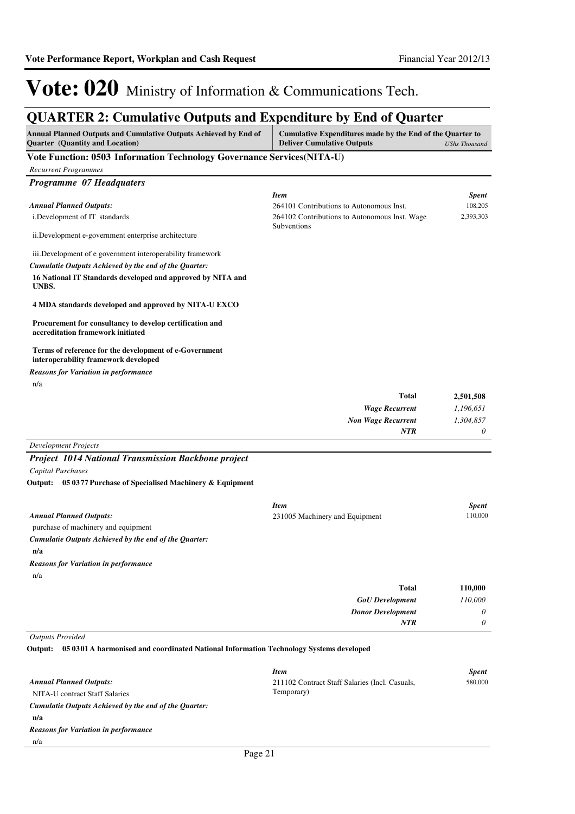## **QUARTER 2: Cumulative Outputs and Expenditure by End of Quarter**

| Annual Planned Outputs and Cumulative Outputs Achieved by End of<br><b>Quarter</b> (Quantity and Location) | Cumulative Expenditures made by the End of the Quarter to<br><b>Deliver Cumulative Outputs</b> | <b>UShs Thousand</b> |
|------------------------------------------------------------------------------------------------------------|------------------------------------------------------------------------------------------------|----------------------|
| Vote Function: 0503 Information Technology Governance Services(NITA-U)                                     |                                                                                                |                      |
| <b>Recurrent Programmes</b>                                                                                |                                                                                                |                      |
| Programme 07 Headquaters                                                                                   |                                                                                                |                      |
|                                                                                                            | <b>Item</b>                                                                                    | <b>Spent</b>         |
| <b>Annual Planned Outputs:</b>                                                                             | 264101 Contributions to Autonomous Inst.                                                       | 108,205              |
| i.Development of IT standards                                                                              | 264102 Contributions to Autonomous Inst. Wage<br>Subventions                                   | 2,393,303            |
| ii. Development e-government enterprise architecture                                                       |                                                                                                |                      |
| iii. Development of e government interoperability framework                                                |                                                                                                |                      |
| Cumulatie Outputs Achieved by the end of the Quarter:                                                      |                                                                                                |                      |
| 16 National IT Standards developed and approved by NITA and<br>UNBS.                                       |                                                                                                |                      |
| 4 MDA standards developed and approved by NITA-U EXCO                                                      |                                                                                                |                      |
| Procurement for consultancy to develop certification and<br>accreditation framework initiated              |                                                                                                |                      |
| Terms of reference for the development of e-Government<br>interoperability framework developed             |                                                                                                |                      |
| <b>Reasons for Variation in performance</b>                                                                |                                                                                                |                      |
| n/a                                                                                                        |                                                                                                |                      |
|                                                                                                            | <b>Total</b>                                                                                   | 2,501,508            |
|                                                                                                            | <b>Wage Recurrent</b>                                                                          | 1,196,651            |
|                                                                                                            | <b>Non Wage Recurrent</b><br>NTR                                                               | 1,304,857<br>0       |
|                                                                                                            |                                                                                                |                      |
| <b>Development Projects</b><br><b>Project 1014 National Transmission Backbone project</b>                  |                                                                                                |                      |
| Capital Purchases                                                                                          |                                                                                                |                      |
| Output: 05 0377 Purchase of Specialised Machinery & Equipment                                              |                                                                                                |                      |
|                                                                                                            |                                                                                                |                      |
|                                                                                                            | <b>Item</b>                                                                                    | <b>Spent</b>         |
| <b>Annual Planned Outputs:</b>                                                                             | 231005 Machinery and Equipment                                                                 | 110,000              |
| purchase of machinery and equipment                                                                        |                                                                                                |                      |
| Cumulatie Outputs Achieved by the end of the Quarter:<br>n/a                                               |                                                                                                |                      |
| <b>Reasons for Variation in performance</b>                                                                |                                                                                                |                      |
| n/a                                                                                                        |                                                                                                |                      |
|                                                                                                            | Total                                                                                          | 110,000              |
|                                                                                                            | <b>GoU</b> Development                                                                         | 110,000              |
|                                                                                                            | <b>Donor Development</b>                                                                       | 0                    |
|                                                                                                            | <b>NTR</b>                                                                                     | 0                    |
| <b>Outputs Provided</b>                                                                                    |                                                                                                |                      |
| Output: 05 0301 A harmonised and coordinated National Information Technology Systems developed             |                                                                                                |                      |
|                                                                                                            | <b>Item</b>                                                                                    | <b>Spent</b>         |
| <b>Annual Planned Outputs:</b>                                                                             | 211102 Contract Staff Salaries (Incl. Casuals,                                                 | 580,000              |
| NITA-U contract Staff Salaries                                                                             | Temporary)                                                                                     |                      |
| Cumulatie Outputs Achieved by the end of the Quarter:                                                      |                                                                                                |                      |

**n/a**

*Reasons for Variation in performance*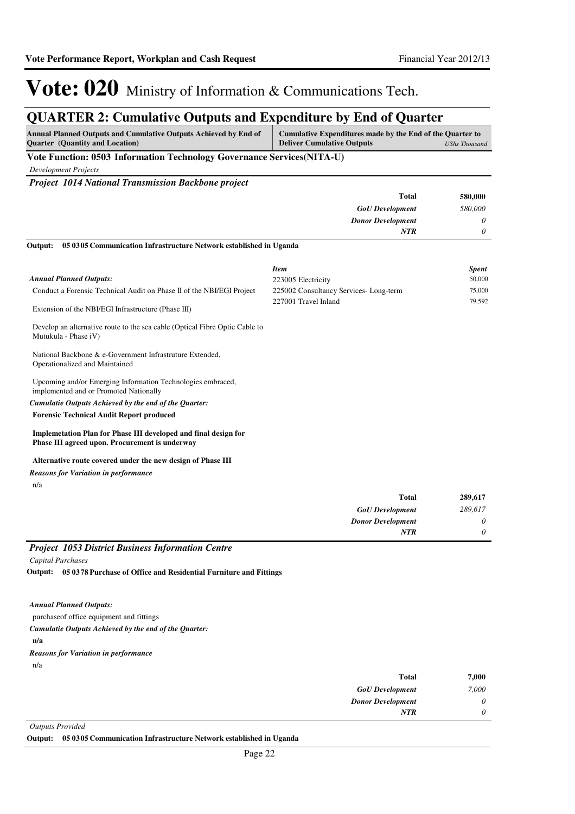## **QUARTER 2: Cumulative Outputs and Expenditure by End of Quarter**

| <b>Annual Planned Outputs and Cumulative Outputs Achieved by End of</b><br><b>Ouarter</b> (Quantity and Location)        | Cumulative Expenditures made by the End of the Quarter to<br><b>Deliver Cumulative Outputs</b> | <b>UShs Thousand</b>  |
|--------------------------------------------------------------------------------------------------------------------------|------------------------------------------------------------------------------------------------|-----------------------|
| Vote Function: 0503 Information Technology Governance Services(NITA-U)                                                   |                                                                                                |                       |
| <b>Development Projects</b>                                                                                              |                                                                                                |                       |
| Project 1014 National Transmission Backbone project                                                                      |                                                                                                |                       |
|                                                                                                                          | Total                                                                                          | 580,000               |
|                                                                                                                          | <b>GoU</b> Development                                                                         | 580,000               |
|                                                                                                                          | <b>Donor Development</b>                                                                       | 0                     |
|                                                                                                                          | <b>NTR</b>                                                                                     | $\boldsymbol{\theta}$ |
| Output:<br>05 03 05 Communication Infrastructure Network established in Uganda                                           |                                                                                                |                       |
|                                                                                                                          | <b>Item</b>                                                                                    | <b>Spent</b>          |
| <b>Annual Planned Outputs:</b>                                                                                           | 223005 Electricity                                                                             | 50,000                |
| Conduct a Forensic Technical Audit on Phase II of the NBI/EGI Project                                                    | 225002 Consultancy Services-Long-term<br>227001 Travel Inland                                  | 75,000<br>79,592      |
| Extension of the NBI/EGI Infrastructure (Phase III)                                                                      |                                                                                                |                       |
| Develop an alternative route to the sea cable (Optical Fibre Optic Cable to<br>Mutukula - Phase iV)                      |                                                                                                |                       |
| National Backbone & e-Government Infrastruture Extended,<br>Operationalized and Maintained                               |                                                                                                |                       |
| Upcoming and/or Emerging Information Technologies embraced,<br>implemented and or Promoted Nationally                    |                                                                                                |                       |
| Cumulatie Outputs Achieved by the end of the Quarter:                                                                    |                                                                                                |                       |
| <b>Forensic Technical Audit Report produced</b>                                                                          |                                                                                                |                       |
| <b>Implemetation Plan for Phase III developed and final design for</b><br>Phase III agreed upon. Procurement is underway |                                                                                                |                       |
| Alternative route covered under the new design of Phase III                                                              |                                                                                                |                       |
| <b>Reasons for Variation in performance</b>                                                                              |                                                                                                |                       |
| n/a                                                                                                                      |                                                                                                |                       |
|                                                                                                                          | <b>Total</b>                                                                                   | 289,617               |
|                                                                                                                          | <b>GoU</b> Development                                                                         | 289,617               |
|                                                                                                                          | <b>Donor Development</b>                                                                       | 0                     |
|                                                                                                                          | <b>NTR</b>                                                                                     | $\theta$              |
| <b>Project 1053 District Business Information Centre</b>                                                                 |                                                                                                |                       |
| <b>Capital Purchases</b>                                                                                                 |                                                                                                |                       |
| Output: 05 0378 Purchase of Office and Residential Furniture and Fittings                                                |                                                                                                |                       |
| <b>Annual Planned Outputs:</b>                                                                                           |                                                                                                |                       |
| purchase of office equipment and fittings                                                                                |                                                                                                |                       |
|                                                                                                                          |                                                                                                |                       |

**n/a** *Cumulatie Outputs Achieved by the end of the Quarter:* n/a *Reasons for Variation in performance*

| 7,000    | <b>Total</b>             |
|----------|--------------------------|
| 7,000    | <b>GoU</b> Development   |
| $\theta$ | <b>Donor Development</b> |
| 0        | <b>NTR</b>               |
|          |                          |

*Outputs Provided*

**Output: 05 0305 Communication Infrastructure Network established in Uganda**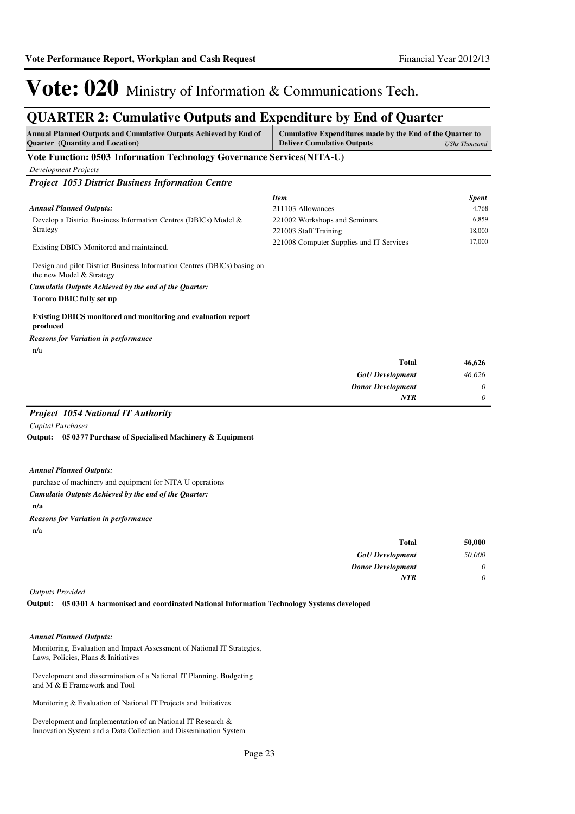## **QUARTER 2: Cumulative Outputs and Expenditure by End of Quarter**

| <b>Annual Planned Outputs and Cumulative Outputs Achieved by End of</b><br><b>Quarter</b> (Quantity and Location)                                                                                                                                                                                                                                                                                                                     | Cumulative Expenditures made by the End of the Quarter to<br><b>Deliver Cumulative Outputs</b>                                         | <b>UShs Thousand</b>                               |
|---------------------------------------------------------------------------------------------------------------------------------------------------------------------------------------------------------------------------------------------------------------------------------------------------------------------------------------------------------------------------------------------------------------------------------------|----------------------------------------------------------------------------------------------------------------------------------------|----------------------------------------------------|
| Vote Function: 0503 Information Technology Governance Services(NITA-U)                                                                                                                                                                                                                                                                                                                                                                |                                                                                                                                        |                                                    |
| <b>Development Projects</b>                                                                                                                                                                                                                                                                                                                                                                                                           |                                                                                                                                        |                                                    |
| <b>Project 1053 District Business Information Centre</b>                                                                                                                                                                                                                                                                                                                                                                              |                                                                                                                                        |                                                    |
| <b>Annual Planned Outputs:</b><br>Develop a District Business Information Centres (DBICs) Model &<br>Strategy<br>Existing DBICs Monitored and maintained.<br>Design and pilot District Business Information Centres (DBICs) basing on<br>the new Model & Strategy<br>Cumulatie Outputs Achieved by the end of the Quarter:<br><b>Tororo DBIC fully set up</b><br><b>Existing DBICS</b> monitored and monitoring and evaluation report | <b>Item</b><br>211103 Allowances<br>221002 Workshops and Seminars<br>221003 Staff Training<br>221008 Computer Supplies and IT Services | <b>Spent</b><br>4,768<br>6,859<br>18,000<br>17,000 |
| produced                                                                                                                                                                                                                                                                                                                                                                                                                              |                                                                                                                                        |                                                    |
| <b>Reasons for Variation in performance</b>                                                                                                                                                                                                                                                                                                                                                                                           |                                                                                                                                        |                                                    |
| n/a                                                                                                                                                                                                                                                                                                                                                                                                                                   | Total<br><b>GoU</b> Development<br><b>Donor Development</b><br><b>NTR</b>                                                              | 46,626<br>46,626<br>0<br>0                         |
| <b>Project 1054 National IT Authority</b><br>Capital Purchases<br>Output: 05 0377 Purchase of Specialised Machinery & Equipment                                                                                                                                                                                                                                                                                                       |                                                                                                                                        |                                                    |
| <b>Annual Planned Outputs:</b><br>purchase of machinery and equipment for NITA U operations<br>Cumulatie Outputs Achieved by the end of the Quarter:<br>n/a                                                                                                                                                                                                                                                                           |                                                                                                                                        |                                                    |

n/a *Reasons for Variation in performance*

| 50,000   | Total                    |
|----------|--------------------------|
| 50,000   | <b>GoU</b> Development   |
| 0        | <b>Donor Development</b> |
| $\theta$ | <b>NTR</b>               |
|          |                          |

*Outputs Provided*

**05 0301 A harmonised and coordinated National Information Technology Systems developed Output:**

### *Annual Planned Outputs:*

Monitoring, Evaluation and Impact Assessment of National IT Strategies, Laws, Policies, Plans & Initiatives

Development and dissermination of a National IT Planning, Budgeting and M & E Framework and Tool

Monitoring & Evaluation of National IT Projects and Initiatives

Development and Implementation of an National IT Research & Innovation System and a Data Collection and Dissemination System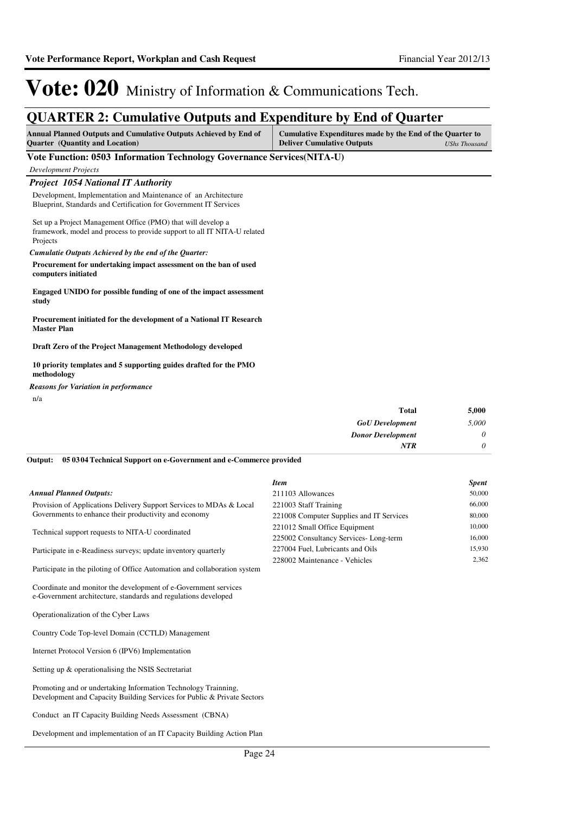### **QUARTER 2: Cumulative Outputs and Expenditure by End of Quarter**

| Annual Planned Outputs and Cumulative Outputs Achieved by End of | Cumulative Expenditures made by the End of the Quarter to |               |
|------------------------------------------------------------------|-----------------------------------------------------------|---------------|
| <b>Quarter</b> (Quantity and Location)                           | <b>Deliver Cumulative Outputs</b>                         | UShs Thousand |

### **Vote Function: 0503 Information Technology Governance Services(NITA-U)**

*Development Projects*

*Project 1054 National IT Authority*

Development, Implementation and Maintenance of an Architecture Blueprint, Standards and Certification for Government IT Services

Set up a Project Management Office (PMO) that will develop a framework, model and process to provide support to all IT NITA-U related Projects

*Cumulatie Outputs Achieved by the end of the Quarter:*

**Procurement for undertaking impact assessment on the ban of used computers initiated**

**Engaged UNIDO for possible funding of one of the impact assessment study**

**Procurement initiated for the development of a National IT Research Master Plan**

**Draft Zero of the Project Management Methodology developed**

**10 priority templates and 5 supporting guides drafted for the PMO methodology**

n/a *Reasons for Variation in performance*

| 5,000    | <b>Total</b>             |
|----------|--------------------------|
| 5,000    | <b>GoU</b> Development   |
| $\theta$ | <b>Donor Development</b> |
| $\theta$ | <b>NTR</b>               |
|          |                          |

**05 0304 Technical Support on e-Government and e-Commerce provided Output:**

### *Annual Planned Outputs:*

Provision of Applications Delivery Support Services to MDAs & Local Governments to enhance their productivity and economy

Technical support requests to NITA-U coordinated

Participate in e-Readiness surveys; update inventory quarterly

Participate in the piloting of Office Automation and collaboration system

Coordinate and monitor the development of e-Government services e-Government architecture, standards and regulations developed

Operationalization of the Cyber Laws

Country Code Top-level Domain (CCTLD) Management

Internet Protocol Version 6 (IPV6) Implementation

Setting up & operationalising the NSIS Sectretariat

Promoting and or undertaking Information Technology Trainning, Development and Capacity Building Services for Public & Private Sectors

Conduct an IT Capacity Building Needs Assessment (CBNA)

Development and implementation of an IT Capacity Building Action Plan

| Item                                     | <b>Spent</b> |
|------------------------------------------|--------------|
| 211103 Allowances                        | 50,000       |
| 221003 Staff Training                    | 66,000       |
| 221008 Computer Supplies and IT Services | 80,000       |
| 221012 Small Office Equipment            | 10,000       |
| 225002 Consultancy Services-Long-term    | 16,000       |
| 227004 Fuel, Lubricants and Oils         | 15,930       |
| 228002 Maintenance - Vehicles            | 2.362        |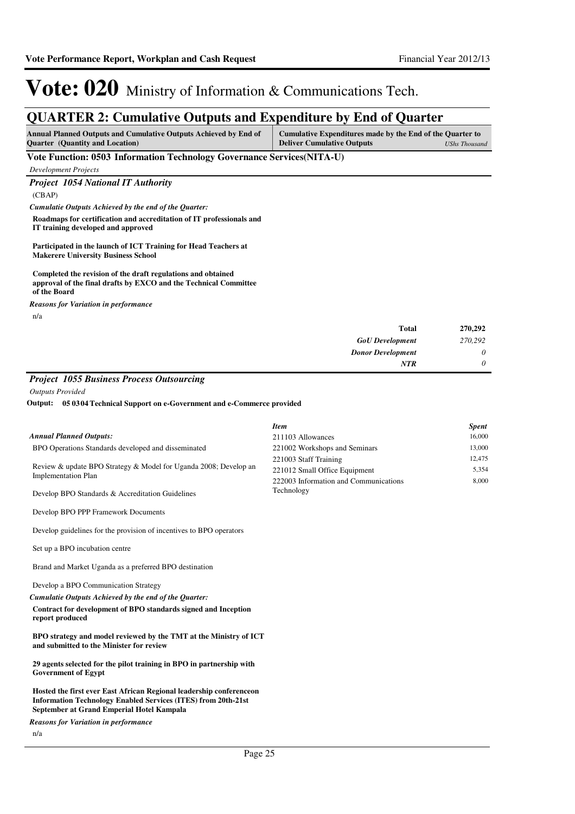## **QUARTER 2: Cumulative Outputs and Expenditure by End of Quarter**

| <b>Annual Planned Outputs and Cumulative Outputs Achieved by End of</b> | Cumulative Expenditures made by the End of the Quarter to |               |
|-------------------------------------------------------------------------|-----------------------------------------------------------|---------------|
| <b>Ouarter</b> (Quantity and Location)                                  | <b>Deliver Cumulative Outputs</b>                         | UShs Thousand |

### **Vote Function: 0503 Information Technology Governance Services(NITA-U)**

*Development Projects*

### *Project 1054 National IT Authority*

(CBAP)

*Cumulatie Outputs Achieved by the end of the Quarter:*

**Roadmaps for certification and accreditation of IT professionals and IT training developed and approved**

**Participated in the launch of ICT Training for Head Teachers at Makerere University Business School**

#### **Completed the revision of the draft regulations and obtained approval of the final drafts by EXCO and the Technical Committee of the Board**

n/a *Reasons for Variation in performance*

| 270,292 | Total                    |
|---------|--------------------------|
| 270,292 | <b>GoU</b> Development   |
| 0       | <b>Donor Development</b> |
| 0       | <b>NTR</b>               |

### *Project 1055 Business Process Outsourcing*

*Outputs Provided*

**05 0304 Technical Support on e-Government and e-Commerce provided Output:**

|                                                                                                               | <b>Item</b>                                                                                     | <b>Spent</b>             |
|---------------------------------------------------------------------------------------------------------------|-------------------------------------------------------------------------------------------------|--------------------------|
| <b>Annual Planned Outputs:</b>                                                                                | 211103 Allowances                                                                               | 16,000                   |
| BPO Operations Standards developed and disseminated                                                           | 221002 Workshops and Seminars                                                                   | 13,000                   |
| Review & update BPO Strategy & Model for Uganda 2008; Develop an<br><b>Implementation Plan</b>                | 221003 Staff Training<br>221012 Small Office Equipment<br>222003 Information and Communications | 12,475<br>5,354<br>8,000 |
| Develop BPO Standards & Accreditation Guidelines                                                              | Technology                                                                                      |                          |
| Develop BPO PPP Framework Documents                                                                           |                                                                                                 |                          |
| Develop guidelines for the provision of incentives to BPO operators                                           |                                                                                                 |                          |
| Set up a BPO incubation centre                                                                                |                                                                                                 |                          |
| Brand and Market Uganda as a preferred BPO destination                                                        |                                                                                                 |                          |
| Develop a BPO Communication Strategy                                                                          |                                                                                                 |                          |
| Cumulatie Outputs Achieved by the end of the Ouarter:                                                         |                                                                                                 |                          |
| Contract for development of BPO standards signed and Inception<br>report produced                             |                                                                                                 |                          |
| BPO strategy and model reviewed by the TMT at the Ministry of ICT<br>and submitted to the Minister for review |                                                                                                 |                          |
| 29 agents selected for the pilot training in BPO in partnership with<br><b>Government of Egypt</b>            |                                                                                                 |                          |
| Hosted the first ever East African Regional leadership conferenceon                                           |                                                                                                 |                          |

**Information Technology Enabled Services (ITES) from 20th-21st September at Grand Emperial Hotel Kampala**

*Reasons for Variation in performance*

n/a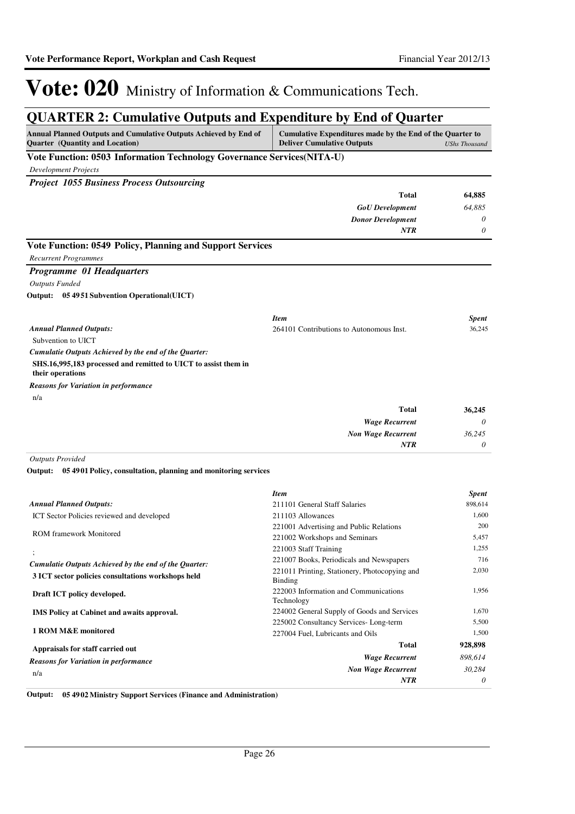*0*

*NTR*

# Vote: 020 Ministry of Information & Communications Tech.

## **QUARTER 2: Cumulative Outputs and Expenditure by End of Quarter**

| Annual Planned Outputs and Cumulative Outputs Achieved by End of<br><b>Quarter</b> (Quantity and Location) | Cumulative Expenditures made by the End of the Quarter to<br><b>Deliver Cumulative Outputs</b><br><b>UShs Thousand</b> |                         |
|------------------------------------------------------------------------------------------------------------|------------------------------------------------------------------------------------------------------------------------|-------------------------|
| Vote Function: 0503 Information Technology Governance Services(NITA-U)                                     |                                                                                                                        |                         |
| Development Projects                                                                                       |                                                                                                                        |                         |
| <b>Project 1055 Business Process Outsourcing</b>                                                           |                                                                                                                        |                         |
|                                                                                                            | Total                                                                                                                  | 64,885                  |
|                                                                                                            | <b>GoU</b> Development                                                                                                 | 64,885                  |
|                                                                                                            | <b>Donor Development</b>                                                                                               | 0                       |
|                                                                                                            | NTR                                                                                                                    | 0                       |
| Vote Function: 0549 Policy, Planning and Support Services                                                  |                                                                                                                        |                         |
| <b>Recurrent Programmes</b>                                                                                |                                                                                                                        |                         |
| <b>Programme 01 Headquarters</b>                                                                           |                                                                                                                        |                         |
| <b>Outputs Funded</b>                                                                                      |                                                                                                                        |                         |
| Output: 05 49 51 Subvention Operational (UICT)                                                             |                                                                                                                        |                         |
|                                                                                                            |                                                                                                                        |                         |
|                                                                                                            | <b>Item</b>                                                                                                            | <b>Spent</b>            |
| <b>Annual Planned Outputs:</b>                                                                             | 264101 Contributions to Autonomous Inst.                                                                               | 36,245                  |
| Subvention to UICT                                                                                         |                                                                                                                        |                         |
| Cumulatie Outputs Achieved by the end of the Quarter:                                                      |                                                                                                                        |                         |
| SHS.16,995,183 processed and remitted to UICT to assist them in<br>their operations                        |                                                                                                                        |                         |
| <b>Reasons for Variation in performance</b>                                                                |                                                                                                                        |                         |
| n/a                                                                                                        |                                                                                                                        |                         |
|                                                                                                            | Total                                                                                                                  | 36,245                  |
|                                                                                                            | <b>Wage Recurrent</b>                                                                                                  | 0                       |
|                                                                                                            | <b>Non Wage Recurrent</b>                                                                                              | 36,245                  |
|                                                                                                            | <b>NTR</b>                                                                                                             | 0                       |
| <b>Outputs Provided</b>                                                                                    |                                                                                                                        |                         |
| Output: 05 4901 Policy, consultation, planning and monitoring services                                     |                                                                                                                        |                         |
|                                                                                                            | <b>Item</b>                                                                                                            |                         |
| <b>Annual Planned Outputs:</b>                                                                             | 211101 General Staff Salaries                                                                                          | <b>Spent</b><br>898,614 |
| ICT Sector Policies reviewed and developed                                                                 | 211103 Allowances                                                                                                      | 1,600                   |
|                                                                                                            | 221001 Advertising and Public Relations                                                                                | 200                     |
| <b>ROM</b> framework Monitored                                                                             | 221002 Workshops and Seminars                                                                                          | 5,457                   |
|                                                                                                            | 221003 Staff Training                                                                                                  | 1,255                   |
| Cumulatie Outputs Achieved by the end of the Quarter:                                                      | 221007 Books, Periodicals and Newspapers                                                                               | 716                     |
| 3 ICT sector policies consultations workshops held                                                         | 221011 Printing, Stationery, Photocopying and<br>Binding                                                               | 2,030                   |
| Draft ICT policy developed.                                                                                | 222003 Information and Communications<br>Technology                                                                    | 1,956                   |
| <b>IMS</b> Policy at Cabinet and awaits approval.                                                          | 224002 General Supply of Goods and Services                                                                            | 1,670                   |
|                                                                                                            | 225002 Consultancy Services-Long-term                                                                                  | 5,500                   |
| 1 ROM M&E monitored                                                                                        | 227004 Fuel, Lubricants and Oils                                                                                       | 1,500                   |
| Appraisals for staff carried out                                                                           | <b>Total</b>                                                                                                           | 928,898                 |
| <b>Reasons for Variation in performance</b>                                                                | <b>Wage Recurrent</b>                                                                                                  | 898,614                 |
| n/a                                                                                                        | <b>Non Wage Recurrent</b>                                                                                              | 30,284                  |

**Output: 05 4902 Ministry Support Services (Finance and Administration)**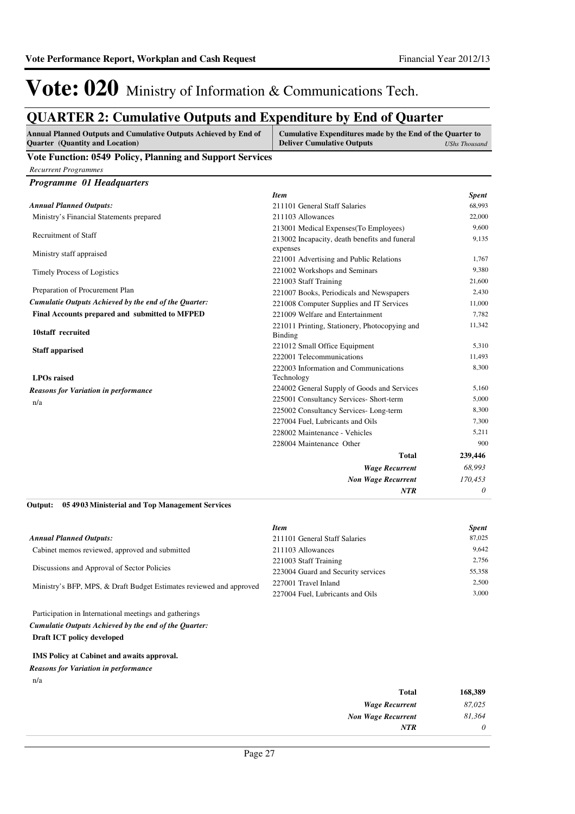## **QUARTER 2: Cumulative Outputs and Expenditure by End of Quarter**

| Annual Planned Outputs and Cumulative Outputs Achieved by End of<br>Cumulative Expenditures made by the End of the Quarter to<br>Quarter (Quantity and Location)<br><b>Deliver Cumulative Outputs</b> |                                                          | <b>UShs Thousand</b> |
|-------------------------------------------------------------------------------------------------------------------------------------------------------------------------------------------------------|----------------------------------------------------------|----------------------|
| Vote Function: 0549 Policy, Planning and Support Services                                                                                                                                             |                                                          |                      |
| <b>Recurrent Programmes</b>                                                                                                                                                                           |                                                          |                      |
| Programme 01 Headquarters                                                                                                                                                                             |                                                          |                      |
|                                                                                                                                                                                                       | <b>Item</b>                                              | <b>Spent</b>         |
| <b>Annual Planned Outputs:</b>                                                                                                                                                                        | 211101 General Staff Salaries                            | 68,993               |
| Ministry's Financial Statements prepared                                                                                                                                                              | 211103 Allowances                                        | 22,000               |
|                                                                                                                                                                                                       | 213001 Medical Expenses (To Employees)                   | 9,600                |
| Recruitment of Staff                                                                                                                                                                                  | 213002 Incapacity, death benefits and funeral            | 9,135                |
| Ministry staff appraised                                                                                                                                                                              | expenses                                                 |                      |
|                                                                                                                                                                                                       | 221001 Advertising and Public Relations                  | 1,767                |
| Timely Process of Logistics                                                                                                                                                                           | 221002 Workshops and Seminars                            | 9,380                |
|                                                                                                                                                                                                       | 221003 Staff Training                                    | 21,600               |
| Preparation of Procurement Plan                                                                                                                                                                       | 221007 Books, Periodicals and Newspapers                 | 2,430                |
| Cumulatie Outputs Achieved by the end of the Quarter:                                                                                                                                                 | 221008 Computer Supplies and IT Services                 | 11,000               |
| Final Accounts prepared and submitted to MFPED                                                                                                                                                        | 221009 Welfare and Entertainment                         | 7,782                |
| 10staff recruited                                                                                                                                                                                     | 221011 Printing, Stationery, Photocopying and<br>Binding | 11,342               |
| <b>Staff apparised</b>                                                                                                                                                                                | 221012 Small Office Equipment                            | 5,310                |
|                                                                                                                                                                                                       | 222001 Telecommunications                                | 11,493               |
|                                                                                                                                                                                                       | 222003 Information and Communications                    | 8,300                |
| <b>LPOs raised</b>                                                                                                                                                                                    | Technology                                               |                      |
| <b>Reasons for Variation in performance</b>                                                                                                                                                           | 224002 General Supply of Goods and Services              | 5,160                |
| n/a                                                                                                                                                                                                   | 225001 Consultancy Services- Short-term                  | 5,000                |
|                                                                                                                                                                                                       | 225002 Consultancy Services-Long-term                    | 8,300                |
|                                                                                                                                                                                                       | 227004 Fuel, Lubricants and Oils                         | 7,300                |
|                                                                                                                                                                                                       | 228002 Maintenance - Vehicles                            | 5,211                |
|                                                                                                                                                                                                       | 228004 Maintenance Other                                 | 900                  |
|                                                                                                                                                                                                       | <b>Total</b>                                             | 239,446              |
|                                                                                                                                                                                                       | <b>Wage Recurrent</b>                                    | 68,993               |
|                                                                                                                                                                                                       | <b>Non Wage Recurrent</b>                                | 170,453              |
|                                                                                                                                                                                                       | NTR                                                      | 0                    |
| Output:<br>05 4903 Ministerial and Top Management Services                                                                                                                                            |                                                          |                      |
|                                                                                                                                                                                                       | <b>Item</b>                                              | <b>Spent</b>         |
| <b>Annual Planned Outputs:</b>                                                                                                                                                                        | 211101 General Staff Salaries                            | 87,025               |
| Cabinet memos reviewed, approved and submitted                                                                                                                                                        | 211103 Allowances                                        | 9,642                |
| Discussions and Approval of Sector Policies                                                                                                                                                           | 221003 Staff Training                                    | 2,756                |
|                                                                                                                                                                                                       | 223004 Guard and Security services                       | 55,358               |
| Ministry's BFP, MPS, & Draft Budget Estimates reviewed and approved                                                                                                                                   | 227001 Travel Inland                                     | 2,500                |
|                                                                                                                                                                                                       | 227004 Fuel, Lubricants and Oils                         | 3,000                |
| Participation in International meetings and gatherings                                                                                                                                                |                                                          |                      |

**Draft ICT policy developed** *Cumulatie Outputs Achieved by the end of the Quarter:*

### **IMS Policy at Cabinet and awaits approval.**

*Reasons for Variation in performance*

n/a

| Total                     | 168,389  |
|---------------------------|----------|
| <b>Wage Recurrent</b>     | 87.025   |
| <b>Non Wage Recurrent</b> | 81,364   |
| NTR                       | $\theta$ |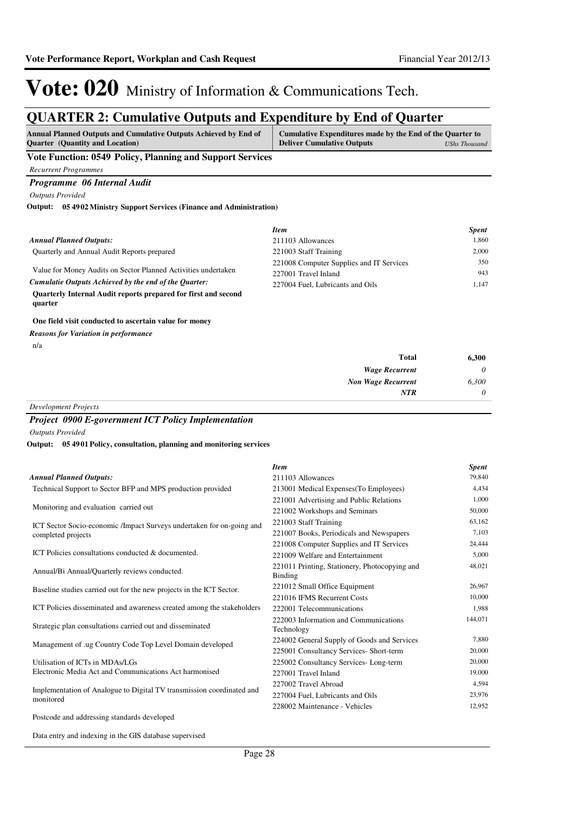## **QUARTER 2: Cumulative Outputs and Expenditure by End of Quarter**

| Annual Planned Outputs and Cumulative Outputs Achieved by End of<br><b>Ouarter</b> (Quantity and Location) | Cumulative Expenditures made by the End of the Quarter to<br><b>Deliver Cumulative Outputs</b> | UShs Thousand |
|------------------------------------------------------------------------------------------------------------|------------------------------------------------------------------------------------------------|---------------|
| Vote Function: 0549 Policy, Planning and Support Services                                                  |                                                                                                |               |

### **Vote Function: 0549 Policy, Planning and Support Services**

*Recurrent Programmes Programme 06 Internal Audit*

*Outputs Provided*

**05 4902 Ministry Support Services (Finance and Administration) Output:**

|                                                                           | <b>Item</b>                              | <b>Spent</b> |
|---------------------------------------------------------------------------|------------------------------------------|--------------|
| <b>Annual Planned Outputs:</b>                                            | 211103 Allowances                        | 1.860        |
| Quarterly and Annual Audit Reports prepared                               | 221003 Staff Training                    | 2.000        |
|                                                                           | 221008 Computer Supplies and IT Services | 350          |
| Value for Money Audits on Sector Planned Activities undertaken            | 227001 Travel Inland                     | 943          |
| Cumulatie Outputs Achieved by the end of the Ouarter:                     | 227004 Fuel. Lubricants and Oils         | 1.147        |
| Quarterly Internal Audit reports prepared for first and second<br>quarter |                                          |              |

### **One field visit conducted to ascertain value for money**

*Reasons for Variation in performance*

n/a

| <b>Total</b>              | 6,300    |
|---------------------------|----------|
| <b>Wage Recurrent</b>     | $\theta$ |
| <b>Non Wage Recurrent</b> | 6,300    |
| <b>NTR</b>                | $\theta$ |

*Development Projects*

### *Project 0900 E-government ICT Policy Implementation*

*Outputs Provided*

### **05 4901 Policy, consultation, planning and monitoring services Output:**

|                                                          | <b>Spent</b> |
|----------------------------------------------------------|--------------|
| 211103 Allowances                                        | 79,840       |
| 213001 Medical Expenses(To Employees)                    | 4,434        |
| 221001 Advertising and Public Relations                  | 1,000        |
| 221002 Workshops and Seminars                            | 50,000       |
| 221003 Staff Training                                    | 63,162       |
| 221007 Books, Periodicals and Newspapers                 | 7.103        |
| 221008 Computer Supplies and IT Services                 | 24,444       |
| 221009 Welfare and Entertainment                         | 5,000        |
| 221011 Printing, Stationery, Photocopying and<br>Binding | 48,021       |
| 221012 Small Office Equipment                            | 26,967       |
| 221016 IFMS Recurrent Costs                              | 10,000       |
| 222001 Telecommunications                                | 1,988        |
| 222003 Information and Communications<br>Technology      | 144,071      |
| 224002 General Supply of Goods and Services              | 7,880        |
| 225001 Consultancy Services- Short-term                  | 20,000       |
| 225002 Consultancy Services-Long-term                    | 20,000       |
| 227001 Travel Inland                                     | 19,000       |
| 227002 Travel Abroad                                     | 4,594        |
| 227004 Fuel, Lubricants and Oils                         | 23,976       |
| 228002 Maintenance - Vehicles                            | 12,952       |
|                                                          |              |

Postcode and addressing standards developed

Data entry and indexing in the GIS database supervised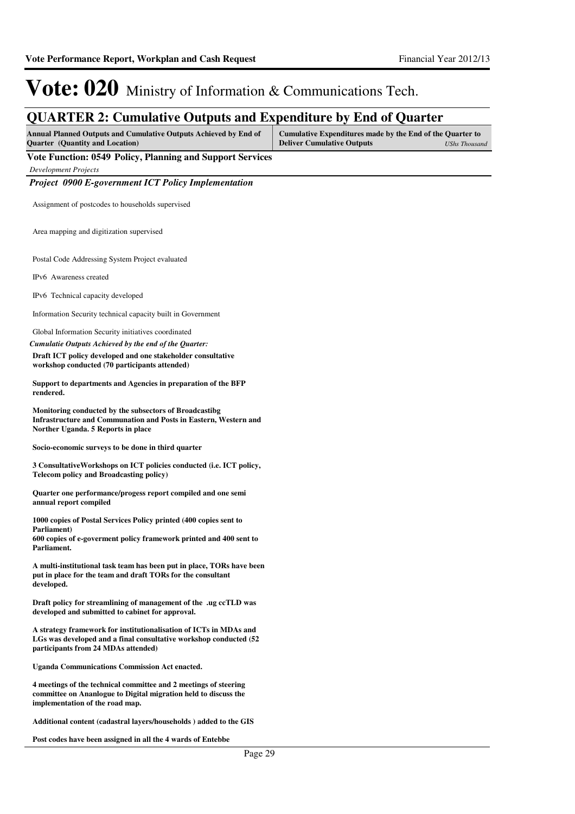### **QUARTER 2: Cumulative Outputs and Expenditure by End of Quarter**

| Annual Planned Outputs and Cumulative Outputs Achieved by End of | Cumulative Expenditures made by the End of the Quarter to |               |
|------------------------------------------------------------------|-----------------------------------------------------------|---------------|
| <b>Ouarter</b> (Quantity and Location)                           | <b>Deliver Cumulative Outputs</b>                         | UShs Thousand |

**Vote Function: 0549 Policy, Planning and Support Services**

*Development Projects*

*Project 0900 E-government ICT Policy Implementation*

Assignment of postcodes to households supervised

Area mapping and digitization supervised

Postal Code Addressing System Project evaluated

IPv6 Awareness created

IPv6 Technical capacity developed

Information Security technical capacity built in Government

Global Information Security initiatives coordinated

*Cumulatie Outputs Achieved by the end of the Quarter:*

**Draft ICT policy developed and one stakeholder consultative workshop conducted (70 participants attended)**

**Support to departments and Agencies in preparation of the BFP rendered.**

**Monitoring conducted by the subsectors of Broadcastibg Infrastructure and Communation and Posts in Eastern, Western and Norther Uganda. 5 Reports in place**

**Socio-economic surveys to be done in third quarter**

**3 ConsultativeWorkshops on ICT policies conducted (i.e. ICT policy, Telecom policy and Broadcasting policy)**

**Quarter one performance/progess report compiled and one semi annual report compiled**

**1000 copies of Postal Services Policy printed (400 copies sent to Parliament) 600 copies of e-goverment policy framework printed and 400 sent to** 

**Parliament.**

**A multi-institutional task team has been put in place, TORs have been put in place for the team and draft TORs for the consultant developed.**

**Draft policy for streamlining of management of the .ug ccTLD was developed and submitted to cabinet for approval.**

**A strategy framework for institutionalisation of ICTs in MDAs and LGs was developed and a final consultative workshop conducted (52 participants from 24 MDAs attended)**

**Uganda Communications Commission Act enacted.**

**4 meetings of the technical committee and 2 meetings of steering committee on Ananlogue to Digital migration held to discuss the implementation of the road map.**

**Additional content (cadastral layers/households ) added to the GIS**

**Post codes have been assigned in all the 4 wards of Entebbe**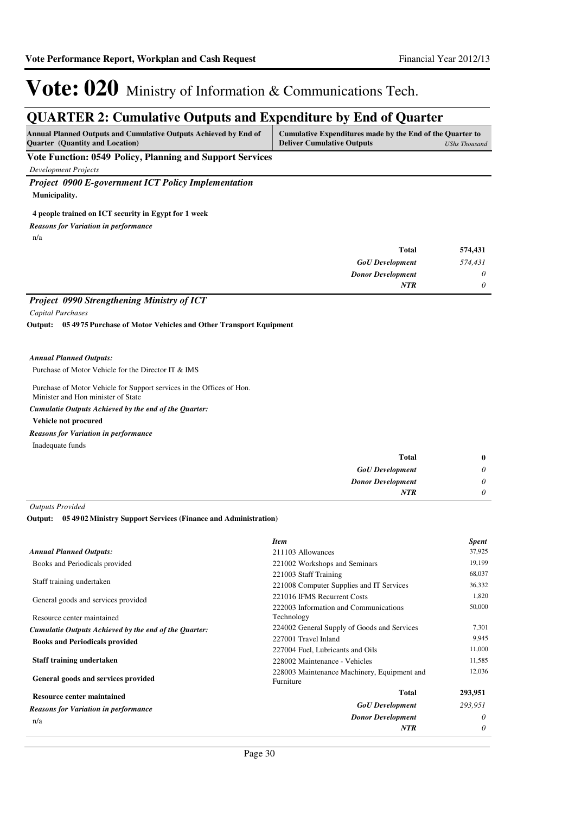## **QUARTER 2: Cumulative Outputs and Expenditure by End of Quarter**

| <b>Annual Planned Outputs and Cumulative Outputs Achieved by End of</b> | Cumulative Expenditures made by the End of the Quarter to |               |
|-------------------------------------------------------------------------|-----------------------------------------------------------|---------------|
| <b>Ouarter</b> (Quantity and Location)                                  | <b>Deliver Cumulative Outputs</b>                         | UShs Thousand |

**Vote Function: 0549 Policy, Planning and Support Services**

*Development Projects*

*Project 0900 E-government ICT Policy Implementation* **Municipality.**

### **4 people trained on ICT security in Egypt for 1 week**

*Reasons for Variation in performance*

n/a

| 574,431 | <b>Total</b>             |
|---------|--------------------------|
| 574,431 | <b>GoU</b> Development   |
| 0       | <b>Donor Development</b> |
| 0       | <b>NTR</b>               |
|         |                          |

### *Project 0990 Strengthening Ministry of ICT*

*Capital Purchases*

**05 4975 Purchase of Motor Vehicles and Other Transport Equipment Output:**

### *Annual Planned Outputs:*

Purchase of Motor Vehicle for the Director IT & IMS

Purchase of Motor Vehicle for Support services in the Offices of Hon. Minister and Hon minister of State

*Cumulatie Outputs Achieved by the end of the Quarter:*

### **Vehicle not procured**

*Reasons for Variation in performance*

Inadequate funds

| $\bf{0}$ | Total                    |
|----------|--------------------------|
| $\theta$ | <b>GoU</b> Development   |
| $\theta$ | <b>Donor Development</b> |
| 0        | <b>NTR</b>               |
|          |                          |

*Outputs Provided*

### **05 4902 Ministry Support Services (Finance and Administration) Output:**

|                                                       | <b>Item</b>                                              | <b>Spent</b> |
|-------------------------------------------------------|----------------------------------------------------------|--------------|
| <b>Annual Planned Outputs:</b>                        | 211103 Allowances                                        | 37,925       |
| Books and Periodicals provided                        | 221002 Workshops and Seminars                            | 19,199       |
|                                                       | 221003 Staff Training                                    | 68,037       |
| Staff training undertaken                             | 221008 Computer Supplies and IT Services                 | 36,332       |
| General goods and services provided                   | 221016 IFMS Recurrent Costs                              | 1,820        |
| Resource center maintained                            | 222003 Information and Communications<br>Technology      | 50,000       |
| Cumulatie Outputs Achieved by the end of the Quarter: | 224002 General Supply of Goods and Services              | 7,301        |
| <b>Books and Periodicals provided</b>                 | 227001 Travel Inland                                     | 9,945        |
|                                                       | 227004 Fuel, Lubricants and Oils                         | 11,000       |
| Staff training undertaken                             | 228002 Maintenance - Vehicles                            | 11,585       |
| General goods and services provided                   | 228003 Maintenance Machinery, Equipment and<br>Furniture | 12,036       |
| <b>Resource center maintained</b>                     | <b>Total</b>                                             | 293,951      |
| <b>Reasons for Variation in performance</b>           | <b>GoU</b> Development                                   | 293,951      |
| n/a                                                   | <b>Donor Development</b>                                 | $\theta$     |
|                                                       | <b>NTR</b>                                               | 0            |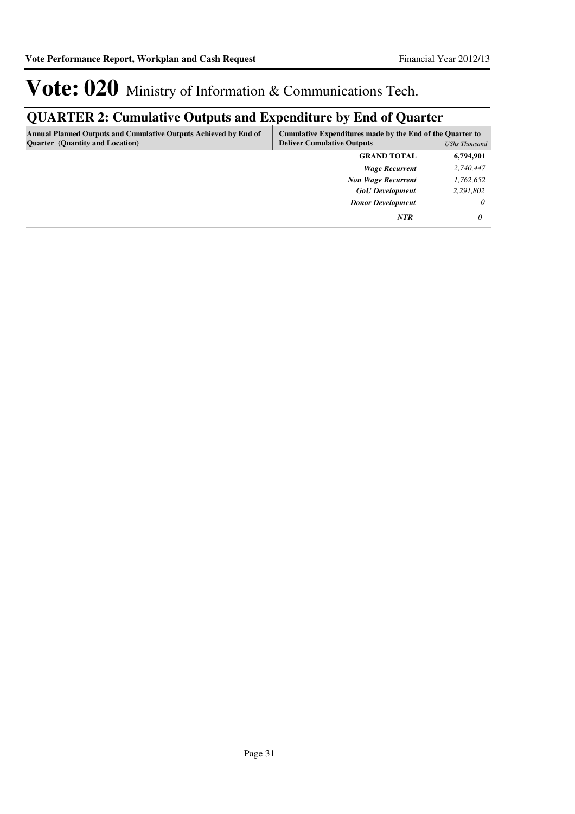## **QUARTER 2: Cumulative Outputs and Expenditure by End of Quarter**

| <b>Annual Planned Outputs and Cumulative Outputs Achieved by End of</b><br><b>Quarter</b> (Quantity and Location) | Cumulative Expenditures made by the End of the Quarter to<br><b>Deliver Cumulative Outputs</b><br><b>UShs Thousand</b> |           |
|-------------------------------------------------------------------------------------------------------------------|------------------------------------------------------------------------------------------------------------------------|-----------|
|                                                                                                                   | <b>GRAND TOTAL</b>                                                                                                     | 6,794,901 |
|                                                                                                                   | <b>Wage Recurrent</b>                                                                                                  | 2,740,447 |
|                                                                                                                   | <b>Non Wage Recurrent</b>                                                                                              | 1,762,652 |
|                                                                                                                   | <b>GoU</b> Development                                                                                                 | 2,291,802 |
|                                                                                                                   | <b>Donor Development</b>                                                                                               | 0         |
|                                                                                                                   | <b>NTR</b>                                                                                                             |           |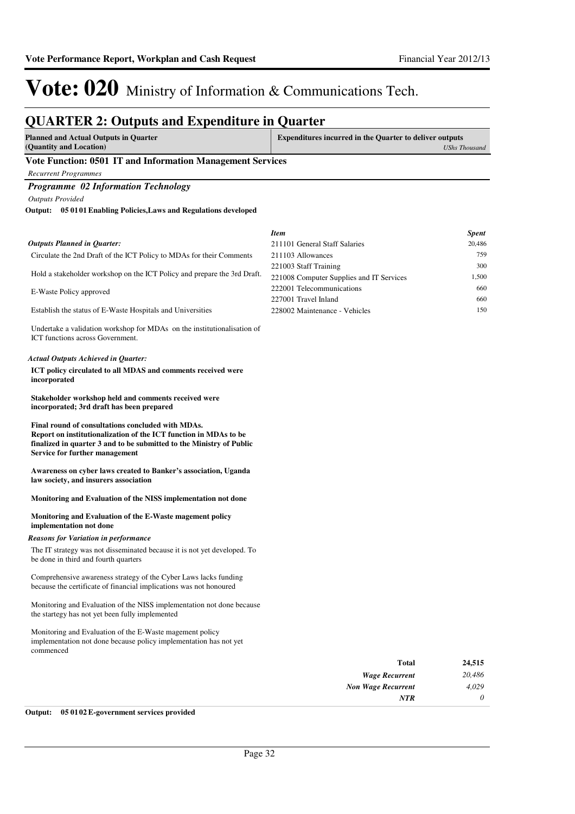## **QUARTER 2: Outputs and Expenditure in Quarter**

| VUARTER 2. Outputs and Expenditure in Quarter<br><b>Planned and Actual Outputs in Quarter</b><br>(Quantity and Location)                                                                                                        | <b>Expenditures incurred in the Quarter to deliver outputs</b>        | <b>UShs Thousand</b> |
|---------------------------------------------------------------------------------------------------------------------------------------------------------------------------------------------------------------------------------|-----------------------------------------------------------------------|----------------------|
| Vote Function: 0501 IT and Information Management Services                                                                                                                                                                      |                                                                       |                      |
| <b>Recurrent Programmes</b>                                                                                                                                                                                                     |                                                                       |                      |
| <b>Programme 02 Information Technology</b>                                                                                                                                                                                      |                                                                       |                      |
| <b>Outputs Provided</b>                                                                                                                                                                                                         |                                                                       |                      |
| Output: 05 0101 Enabling Policies, Laws and Regulations developed                                                                                                                                                               |                                                                       |                      |
|                                                                                                                                                                                                                                 |                                                                       |                      |
|                                                                                                                                                                                                                                 | <b>Item</b>                                                           | Spent                |
| <b>Outputs Planned in Quarter:</b>                                                                                                                                                                                              | 211101 General Staff Salaries                                         | 20,486               |
| Circulate the 2nd Draft of the ICT Policy to MDAs for their Comments                                                                                                                                                            | 211103 Allowances                                                     | 759                  |
| Hold a stakeholder workshop on the ICT Policy and prepare the 3rd Draft.                                                                                                                                                        | 221003 Staff Training                                                 | 300                  |
|                                                                                                                                                                                                                                 | 221008 Computer Supplies and IT Services<br>222001 Telecommunications | 1,500<br>660         |
| E-Waste Policy approved                                                                                                                                                                                                         | 227001 Travel Inland                                                  | 660                  |
| Establish the status of E-Waste Hospitals and Universities                                                                                                                                                                      | 228002 Maintenance - Vehicles                                         | 150                  |
|                                                                                                                                                                                                                                 |                                                                       |                      |
| Undertake a validation workshop for MDAs on the institutionalisation of<br>ICT functions across Government.                                                                                                                     |                                                                       |                      |
| <b>Actual Outputs Achieved in Quarter:</b>                                                                                                                                                                                      |                                                                       |                      |
| ICT policy circulated to all MDAS and comments received were<br>incorporated                                                                                                                                                    |                                                                       |                      |
| Stakeholder workshop held and comments received were<br>incorporated; 3rd draft has been prepared                                                                                                                               |                                                                       |                      |
| Final round of consultations concluded with MDAs.<br>Report on institutionalization of the ICT function in MDAs to be<br>finalized in quarter 3 and to be submitted to the Ministry of Public<br>Service for further management |                                                                       |                      |
| Awareness on cyber laws created to Banker's association, Uganda<br>law society, and insurers association                                                                                                                        |                                                                       |                      |
| Monitoring and Evaluation of the NISS implementation not done                                                                                                                                                                   |                                                                       |                      |
| Monitoring and Evaluation of the E-Waste magement policy<br>implementation not done                                                                                                                                             |                                                                       |                      |
| <b>Reasons for Variation in performance</b>                                                                                                                                                                                     |                                                                       |                      |
| The IT strategy was not disseminated because it is not yet developed. To<br>be done in third and fourth quarters                                                                                                                |                                                                       |                      |
| Comprehensive awareness strategy of the Cyber Laws lacks funding<br>because the certificate of financial implications was not honoured                                                                                          |                                                                       |                      |
| Monitoring and Evaluation of the NISS implementation not done because<br>the startegy has not yet been fully implemented                                                                                                        |                                                                       |                      |
| Monitoring and Evaluation of the E-Waste magement policy<br>implementation not done because policy implementation has not yet<br>commenced                                                                                      |                                                                       |                      |
|                                                                                                                                                                                                                                 | <b>Total</b>                                                          | 24,515               |
|                                                                                                                                                                                                                                 | <b>Wage Recurrent</b>                                                 | 20,486               |
|                                                                                                                                                                                                                                 | <b>Non Wage Recurrent</b>                                             | 4,029                |
|                                                                                                                                                                                                                                 | NTR                                                                   | 0                    |

**Output: 05 0102 E-government services provided**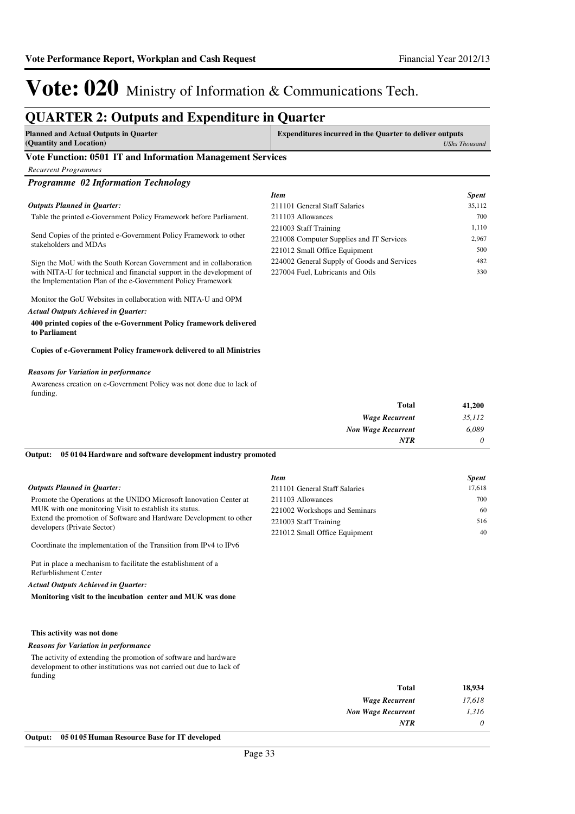## **QUARTER 2: Outputs and Expenditure in Quarter**

| <b>Planned and Actual Outputs in Quarter</b> | <b>Expenditures incurred in the Quarter to deliver outputs</b> |  |
|----------------------------------------------|----------------------------------------------------------------|--|
| (Quantity and Location)                      | <b>UShs Thousand</b>                                           |  |
|                                              |                                                                |  |

### **Vote Function: 0501 IT and Information Management Services**

*Recurrent Programmes*

| <b>Programme 02 Information Technology</b>                                                                                            |                                             |              |
|---------------------------------------------------------------------------------------------------------------------------------------|---------------------------------------------|--------------|
|                                                                                                                                       | <b>Item</b>                                 | <b>Spent</b> |
| <b>Outputs Planned in Ouarter:</b>                                                                                                    | 211101 General Staff Salaries               | 35,112       |
| Table the printed e-Government Policy Framework before Parliament.                                                                    | 211103 Allowances                           | 700          |
|                                                                                                                                       | 221003 Staff Training                       | 1,110        |
| Send Copies of the printed e-Government Policy Framework to other<br>stakeholders and MDAs                                            | 221008 Computer Supplies and IT Services    | 2.967        |
|                                                                                                                                       | 221012 Small Office Equipment               | 500          |
| Sign the MoU with the South Korean Government and in collaboration                                                                    | 224002 General Supply of Goods and Services | 482          |
| with NITA-U for technical and financial support in the development of<br>the Implementation Plan of the e-Government Policy Framework | 227004 Fuel, Lubricants and Oils            | 330          |
| Monitor the GoU Websites in collaboration with NITA-U and OPM                                                                         |                                             |              |
| Actual Outputs Achieved in Oughton                                                                                                    |                                             |              |

### *Actual Outputs Achieved in Quarter:*

**400 printed copies of the e-Government Policy framework delivered to Parliament**

#### **Copies of e-Government Policy framework delivered to all Ministries**

### *Reasons for Variation in performance*

Awareness creation on e-Government Policy was not done due to lack of funding.

| 41,200   | <b>Total</b>              |
|----------|---------------------------|
| 35,112   | <b>Wage Recurrent</b>     |
| 6,089    | <b>Non Wage Recurrent</b> |
| $\theta$ | <b>NTR</b>                |
|          |                           |

#### **05 0104 Hardware and software development industry promoted Output:**

|                                                                                                                                                                                                                                   | <b>Item</b>                   | <b>Spent</b> |
|-----------------------------------------------------------------------------------------------------------------------------------------------------------------------------------------------------------------------------------|-------------------------------|--------------|
| <b>Outputs Planned in Ouarter:</b>                                                                                                                                                                                                | 211101 General Staff Salaries | 17.618       |
| Promote the Operations at the UNIDO Microsoft Innovation Center at<br>MUK with one monitoring Visit to establish its status.<br>Extend the promotion of Software and Hardware Development to other<br>developers (Private Sector) | 211103 Allowances             | 700          |
|                                                                                                                                                                                                                                   | 221002 Workshops and Seminars | 60           |
|                                                                                                                                                                                                                                   | 221003 Staff Training         | 516          |
|                                                                                                                                                                                                                                   | 221012 Small Office Equipment | 40           |

Coordinate the implementation of the Transition from IPv4 to IPv6

Put in place a mechanism to facilitate the establishment of a Refurblishment Center

*Actual Outputs Achieved in Quarter:*

**Monitoring visit to the incubation center and MUK was done**

### **This activity was not done**

### *Reasons for Variation in performance*

The activity of extending the promotion of software and hardware development to other institutions was not carried out due to lack of funding

| 18,934   | <b>Total</b>              |
|----------|---------------------------|
| 17,618   | <b>Wage Recurrent</b>     |
| 1,316    | <b>Non Wage Recurrent</b> |
| $\theta$ | <b>NTR</b>                |
|          |                           |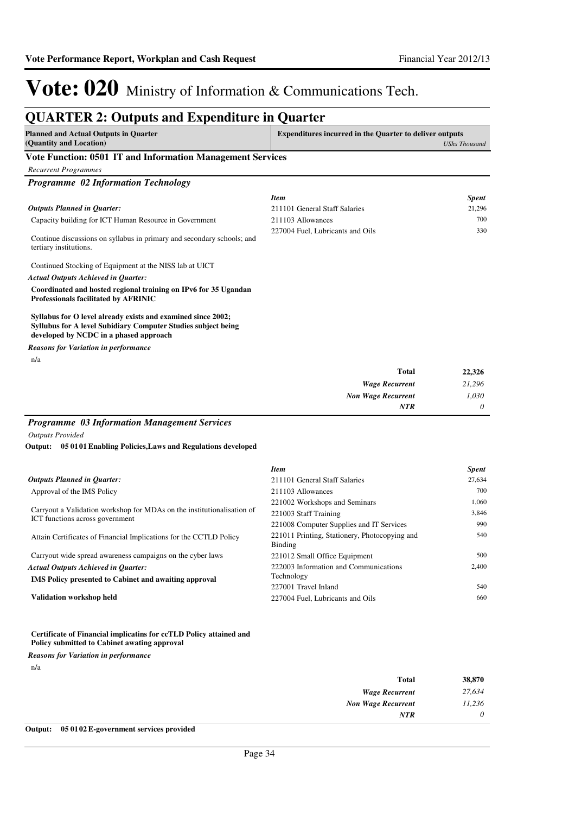#### **QUARTER 2: Outputs and Expenditure in Quarter Planned and Actual Outputs in Quarter (Quantity and Location) Expenditures incurred in the Quarter to deliver outputs**  *UShs Thousand* **Vote Function: 0501 IT and Information Management Services** *Recurrent Programmes Programme 02 Information Technology* Capacity building for ICT Human Resource in Government Continue discussions on syllabus in primary and secondary schools; and tertiary institutions. Continued Stocking of Equipment at the NISS lab at UICT **Coordinated and hosted regional training on IPv6 for 35 Ugandan Professionals facilitated by AFRINIC Syllabus for O level already exists and examined since 2002; Syllubus for A level Subidiary Computer Studies subject being developed by NCDC in a phased approach** *Wage Recurrent Non Wage Recurrent* **Total** *21,296 1,030 0* **22,326** *Actual Outputs Achieved in Quarter: Outputs Planned in Quarter: NTR* n/a *Reasons for Variation in performance Item Spent* 211101 General Staff Salaries 21,296 211103 Allowances 700 227004 Fuel, Lubricants and Oils 330

### *Programme 03 Information Management Services*

*Outputs Provided*

#### **05 0101 Enabling Policies,Laws and Regulations developed Output:**

|                                                                        | <b>Item</b>                                   | <b>Spent</b> |
|------------------------------------------------------------------------|-----------------------------------------------|--------------|
| <b>Outputs Planned in Quarter:</b>                                     | 211101 General Staff Salaries                 | 27,634       |
| Approval of the IMS Policy                                             | 211103 Allowances                             | 700          |
|                                                                        | 221002 Workshops and Seminars                 | 1,060        |
| Carryout a Validation workshop for MDAs on the institutionalisation of | 221003 Staff Training                         | 3,846        |
| ICT functions across government                                        | 221008 Computer Supplies and IT Services      | 990          |
| Attain Certificates of Financial Implications for the CCTLD Policy     | 221011 Printing, Stationery, Photocopying and | 540          |
|                                                                        | Binding                                       |              |
| Carryout wide spread awareness campaigns on the cyber laws             | 221012 Small Office Equipment                 | 500          |
| <b>Actual Outputs Achieved in Ouarter:</b>                             | 222003 Information and Communications         | 2.400        |
| <b>IMS</b> Policy presented to Cabinet and awaiting approval           | Technology                                    |              |
|                                                                        | 227001 Travel Inland                          | 540          |
| <b>Validation workshop held</b>                                        | 227004 Fuel, Lubricants and Oils              | 660          |

#### **Certificate of Financial implicatins for ccTLD Policy attained and Policy submitted to Cabinet awating approval**

*Reasons for Variation in performance*

n/a

| 38,870 |
|--------|
| 27,634 |
| 11,236 |
| 0      |
|        |

#### **Output: 05 0102 E-government services provided**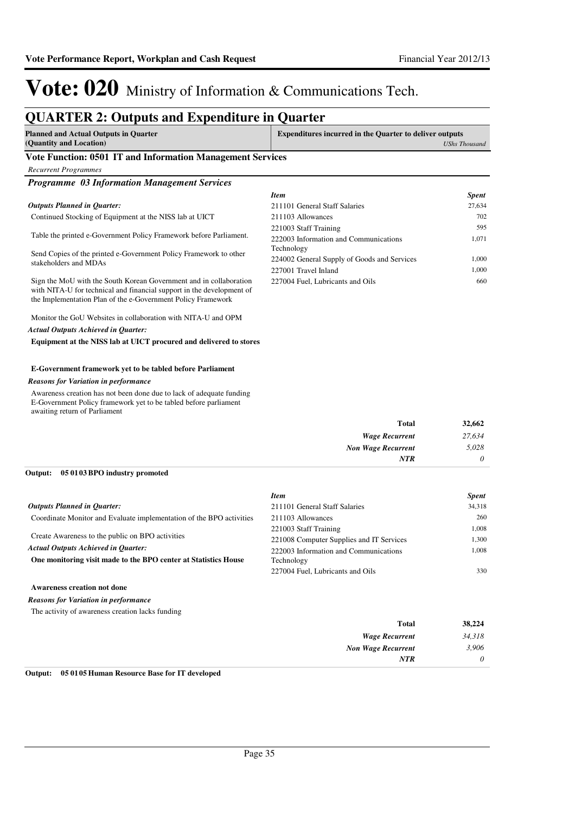## **QUARTER 2: Outputs and Expenditure in Quarter**

| <b>Planned and Actual Outputs in Quarter</b> | <b>Expenditures incurred in the Quarter to deliver outputs</b> |  |
|----------------------------------------------|----------------------------------------------------------------|--|
| (Quantity and Location)                      | UShs Thousand                                                  |  |
| ___                                          |                                                                |  |

### **Vote Function: 0501 IT and Information Management Services**

| <b>Recurrent Programmes</b>                                                                                                                                                                                 |                                             |              |
|-------------------------------------------------------------------------------------------------------------------------------------------------------------------------------------------------------------|---------------------------------------------|--------------|
| <b>Programme 03 Information Management Services</b>                                                                                                                                                         |                                             |              |
|                                                                                                                                                                                                             | <b>Item</b>                                 | <b>Spent</b> |
| <b>Outputs Planned in Quarter:</b>                                                                                                                                                                          | 211101 General Staff Salaries               | 27,634       |
| Continued Stocking of Equipment at the NISS lab at UICT                                                                                                                                                     | 211103 Allowances                           | 702          |
|                                                                                                                                                                                                             | 221003 Staff Training                       | 595          |
| Table the printed e-Government Policy Framework before Parliament.                                                                                                                                          | 222003 Information and Communications       | 1,071        |
| Send Copies of the printed e-Government Policy Framework to other                                                                                                                                           | Technology                                  |              |
| stakeholders and MDAs                                                                                                                                                                                       | 224002 General Supply of Goods and Services | 1.000        |
|                                                                                                                                                                                                             | 227001 Travel Inland                        | 1.000        |
| Sign the MoU with the South Korean Government and in collaboration<br>with NITA-U for technical and financial support in the development of<br>the Implementation Plan of the e-Government Policy Framework | 227004 Fuel, Lubricants and Oils            | 660          |
|                                                                                                                                                                                                             |                                             |              |

Monitor the GoU Websites in collaboration with NITA-U and OPM *Actual Outputs Achieved in Quarter:*

**Equipment at the NISS lab at UICT procured and delivered to stores**

### **E-Government framework yet to be tabled before Parliament**

### *Reasons for Variation in performance*

Awareness creation has not been done due to lack of adequate funding E-Government Policy framework yet to be tabled before parliament awaiting return of Parliament

| 27,634 |
|--------|
| 5,028  |
| 0      |
|        |

### **05 0103 BPO industry promoted Output:**

|                                                                      | <b>Item</b>                              | <b>Spent</b> |
|----------------------------------------------------------------------|------------------------------------------|--------------|
| <b>Outputs Planned in Ouarter:</b>                                   | 211101 General Staff Salaries            | 34,318       |
| Coordinate Monitor and Evaluate implementation of the BPO activities | 211103 Allowances                        | 260          |
| Create Awareness to the public on BPO activities                     | 221003 Staff Training                    | 1,008        |
|                                                                      | 221008 Computer Supplies and IT Services | 1.300        |
| <b>Actual Outputs Achieved in Ouarter:</b>                           | 222003 Information and Communications    | 1.008        |
| One monitoring visit made to the BPO center at Statistics House      | Technology                               |              |
|                                                                      | 227004 Fuel, Lubricants and Oils         | 330          |
| <b>Awareness creation not done</b>                                   |                                          |              |

### *Reasons for Variation in performance*

The activity of awareness creation lacks funding

| 38,224   | <b>Total</b>          |
|----------|-----------------------|
| 34,318   | <b>Wage Recurrent</b> |
| 3,906    | Non Wage Recurrent    |
| $\theta$ | <b>NTR</b>            |
|          |                       |

**Output: 05 0105 Human Resource Base for IT developed**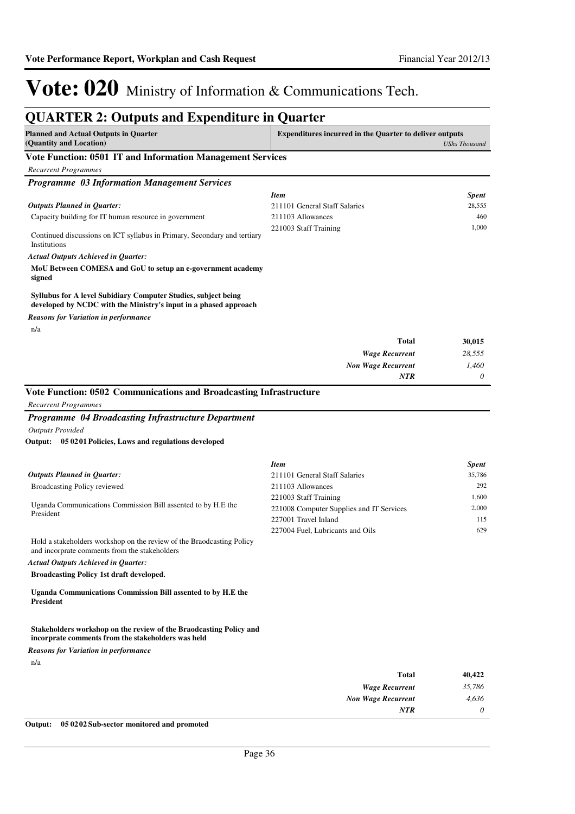| <b>Planned and Actual Outputs in Quarter</b>                                                                                       | <b>Expenditures incurred in the Quarter to deliver outputs</b> |                                                        |
|------------------------------------------------------------------------------------------------------------------------------------|----------------------------------------------------------------|--------------------------------------------------------|
| (Quantity and Location)                                                                                                            |                                                                | <b>UShs Thousand</b>                                   |
| Vote Function: 0501 IT and Information Management Services                                                                         |                                                                |                                                        |
| <b>Recurrent Programmes</b>                                                                                                        |                                                                |                                                        |
| <b>Programme 03 Information Management Services</b>                                                                                |                                                                |                                                        |
| <b>Outputs Planned in Quarter:</b>                                                                                                 | <b>Item</b><br>211101 General Staff Salaries                   | <b>Spent</b><br>28,555                                 |
| Capacity building for IT human resource in government                                                                              | 211103 Allowances                                              | 460                                                    |
|                                                                                                                                    | 221003 Staff Training                                          | 1,000                                                  |
| Continued discussions on ICT syllabus in Primary, Secondary and tertiary<br>Institutions                                           |                                                                |                                                        |
| Actual Outputs Achieved in Quarter:                                                                                                |                                                                |                                                        |
| MoU Between COMESA and GoU to setup an e-government academy<br>signed                                                              |                                                                |                                                        |
| Syllubus for A level Subidiary Computer Studies, subject being<br>developed by NCDC with the Ministry's input in a phased approach |                                                                |                                                        |
| Reasons for Variation in performance                                                                                               |                                                                |                                                        |
| n/a                                                                                                                                |                                                                |                                                        |
|                                                                                                                                    | Total                                                          | 30,015                                                 |
|                                                                                                                                    | <b>Wage Recurrent</b>                                          | 28,555                                                 |
|                                                                                                                                    | <b>Non Wage Recurrent</b><br><b>NTR</b>                        | 1,460<br>0                                             |
|                                                                                                                                    |                                                                |                                                        |
|                                                                                                                                    |                                                                |                                                        |
| Vote Function: 0502 Communications and Broadcasting Infrastructure                                                                 |                                                                |                                                        |
| <b>Recurrent Programmes</b>                                                                                                        |                                                                |                                                        |
| Programme 04 Broadcasting Infrastructure Department                                                                                |                                                                |                                                        |
| <b>Outputs Provided</b>                                                                                                            |                                                                |                                                        |
| 05 0201 Policies, Laws and regulations developed<br>Output:                                                                        |                                                                |                                                        |
|                                                                                                                                    | <b>Item</b>                                                    |                                                        |
| <b>Outputs Planned in Quarter:</b>                                                                                                 | 211101 General Staff Salaries                                  |                                                        |
| Broadcasting Policy reviewed                                                                                                       | 211103 Allowances                                              |                                                        |
|                                                                                                                                    | 221003 Staff Training                                          |                                                        |
| Uganda Communications Commission Bill assented to by H.E the<br>President                                                          | 221008 Computer Supplies and IT Services                       |                                                        |
|                                                                                                                                    | 227001 Travel Inland                                           | <b>Spent</b><br>35,786<br>292<br>1,600<br>2,000<br>115 |
| Hold a stakeholders workshop on the review of the Braodcasting Policy<br>and incorprate comments from the stakeholders             | 227004 Fuel, Lubricants and Oils                               | 629                                                    |
| <b>Actual Outputs Achieved in Quarter:</b>                                                                                         |                                                                |                                                        |
| <b>Broadcasting Policy 1st draft developed.</b>                                                                                    |                                                                |                                                        |
| Uganda Communications Commission Bill assented to by H.E the<br>President                                                          |                                                                |                                                        |
| Stakeholders workshop on the review of the Braodcasting Policy and                                                                 |                                                                |                                                        |
| incorprate comments from the stakeholders was held<br>Reasons for Variation in performance                                         |                                                                |                                                        |
| n/a                                                                                                                                |                                                                |                                                        |
|                                                                                                                                    | Total                                                          |                                                        |
|                                                                                                                                    | <b>Wage Recurrent</b>                                          | 40,422<br>35,786                                       |
|                                                                                                                                    | <b>Non Wage Recurrent</b>                                      | 4,636                                                  |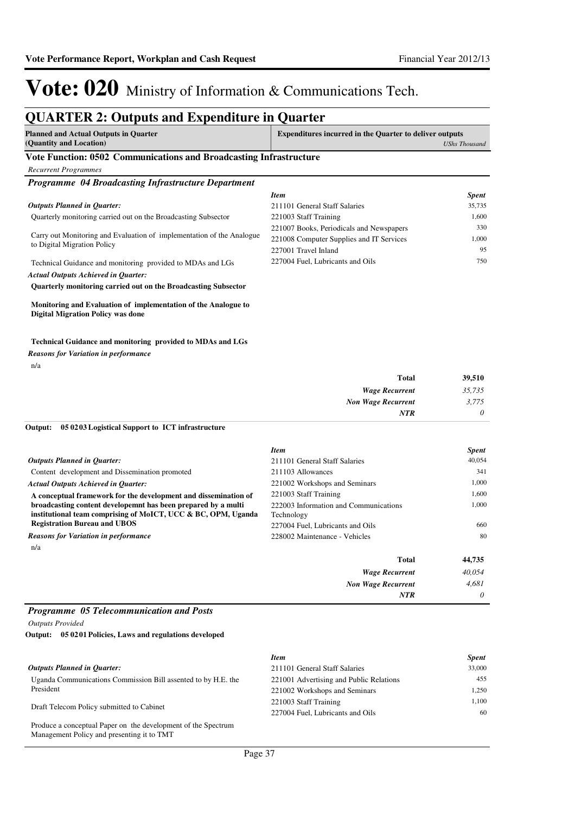## **QUARTER 2: Outputs and Expenditure in Quarter**

| <b>Planned and Actual Outputs in Quarter</b><br>(Quantity and Location) | <b>Expenditures incurred in the Quarter to deliver outputs</b><br>UShs Thousand |  |
|-------------------------------------------------------------------------|---------------------------------------------------------------------------------|--|
| Vote Function: 0502 Communications and Broadcasting Infrastructure      |                                                                                 |  |
| Recurrent Programmes                                                    |                                                                                 |  |
| <b>Programme 04 Broadcasting Infrastructure Department</b>              |                                                                                 |  |

| г годтатте - он птошсаят деп изгатетет постать                                                       | <b>Item</b>                              | <b>Spent</b> |
|------------------------------------------------------------------------------------------------------|------------------------------------------|--------------|
| <b>Outputs Planned in Ouarter:</b>                                                                   | 211101 General Staff Salaries            | 35,735       |
| Quarterly monitoring carried out on the Broadcasting Subsector                                       | 221003 Staff Training                    | 1.600        |
| Carry out Monitoring and Evaluation of implementation of the Analogue<br>to Digital Migration Policy | 221007 Books, Periodicals and Newspapers | 330          |
|                                                                                                      | 221008 Computer Supplies and IT Services | 1.000        |
|                                                                                                      | 227001 Travel Inland                     | 95           |
| Technical Guidance and monitoring provided to MDAs and LGs                                           | 227004 Fuel, Lubricants and Oils         | 750          |
| <b>Actual Outputs Achieved in Quarter:</b>                                                           |                                          |              |

**Quarterly monitoring carried out on the Broadcasting Subsector** 

### **Monitoring and Evaluation of implementation of the Analogue to Digital Migration Policy was done**

### **Technical Guidance and monitoring provided to MDAs and LGs**

*Reasons for Variation in performance*

n/a

| <b>Total</b>              | 39,510   |
|---------------------------|----------|
| <b>Wage Recurrent</b>     | 35,735   |
| <b>Non Wage Recurrent</b> | 3,775    |
| <b>NTR</b>                | $\theta$ |

### **05 0203 Logistical Support to ICT infrastructure Output:**

|                                                                                                                                | <b>Item</b>                                         | <b>Spent</b> |
|--------------------------------------------------------------------------------------------------------------------------------|-----------------------------------------------------|--------------|
| <b>Outputs Planned in Ouarter:</b>                                                                                             | 211101 General Staff Salaries                       | 40.054       |
| Content development and Dissemination promoted                                                                                 | 211103 Allowances                                   | 341          |
| <b>Actual Outputs Achieved in Ouarter:</b>                                                                                     | 221002 Workshops and Seminars                       | 1.000        |
| A conceptual framework for the development and dissemination of                                                                | 221003 Staff Training                               | 1,600        |
| broadcasting content developemnt has been prepared by a multi<br>institutional team comprising of MoICT, UCC & BC, OPM, Uganda | 222003 Information and Communications<br>Technology | 1.000        |
| <b>Registration Bureau and UBOS</b>                                                                                            | 227004 Fuel, Lubricants and Oils                    | 660          |
| <b>Reasons for Variation in performance</b>                                                                                    | 228002 Maintenance - Vehicles                       | 80           |
| n/a                                                                                                                            |                                                     |              |
|                                                                                                                                | Total                                               | 44,735       |
|                                                                                                                                | <b>Wage Recurrent</b>                               | 40,054       |
|                                                                                                                                | <b>Non Wage Recurrent</b>                           | 4.681        |
|                                                                                                                                | <b>NTR</b>                                          | 0            |

### *Programme 05 Telecommunication and Posts*

*Outputs Provided*

**05 0201 Policies, Laws and regulations developed Output:**

|                                                               | <b>Item</b>                             | <b>Spent</b> |
|---------------------------------------------------------------|-----------------------------------------|--------------|
| <b>Outputs Planned in Ouarter:</b>                            | 211101 General Staff Salaries           | 33,000       |
| Uganda Communications Commission Bill assented to by H.E. the | 221001 Advertising and Public Relations | 455          |
| President                                                     | 221002 Workshops and Seminars           | 1.250        |
| Draft Telecom Policy submitted to Cabinet                     | 221003 Staff Training                   | 1.100        |
|                                                               | 227004 Fuel, Lubricants and Oils        | 60           |
| Produce a conceptual Paper on the development of the Spectrum |                                         |              |
| Management Policy and presenting it to TMT                    |                                         |              |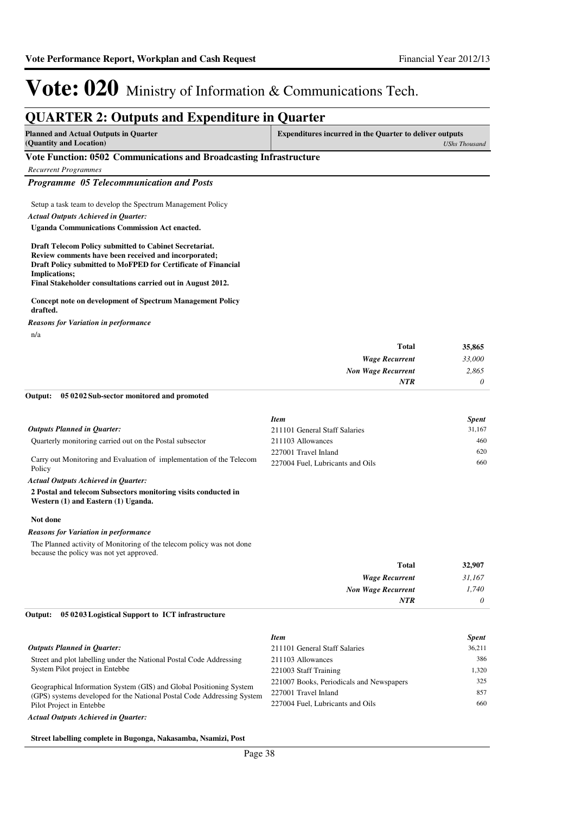*2,865 0*

*Non Wage Recurrent*

*NTR*

# Vote: 020 Ministry of Information & Communications Tech.

### **QUARTER 2: Outputs and Expenditure in Quarter Planned and Actual Outputs in Quarter (Quantity and Location) Expenditures incurred in the Quarter to deliver outputs**  *UShs Thousand* **Vote Function: 0502 Communications and Broadcasting Infrastructure** *Recurrent Programmes Programme 05 Telecommunication and Posts* Setup a task team to develop the Spectrum Management Policy **Uganda Communications Commission Act enacted. Draft Telecom Policy submitted to Cabinet Secretariat. Review comments have been received and incorporated; Draft Policy submitted to MoFPED for Certificate of Financial Implications; Final Stakeholder consultations carried out in August 2012. Concept note on development of Spectrum Management Policy drafted.** *Wage Recurrent* **Total** *33,000* **35,865** *Actual Outputs Achieved in Quarter:* n/a *Reasons for Variation in performance*

#### **05 0202 Sub-sector monitored and promoted Output:**

|                                                                                | <b>Item</b>                      | <b>Spent</b> |
|--------------------------------------------------------------------------------|----------------------------------|--------------|
| <b>Outputs Planned in Ouarter:</b>                                             | 211101 General Staff Salaries    | 31,167       |
| Quarterly monitoring carried out on the Postal subsector                       | 211103 Allowances                | 460          |
|                                                                                | 227001 Travel Inland             | 620          |
| Carry out Monitoring and Evaluation of implementation of the Telecom<br>Policy | 227004 Fuel, Lubricants and Oils | 660          |
| <b>Actual Outputs Achieved in Quarter:</b>                                     |                                  |              |

#### **2 Postal and telecom Subsectors monitoring visits conducted in Western (1) and Eastern (1) Uganda.**

#### **Not done**

### *Reasons for Variation in performance*

The Planned activity of Monitoring of the telecom policy was not done because the policy was not yet approved.

| <b>Total</b>              | 32,907   |
|---------------------------|----------|
| <b>Wage Recurrent</b>     | 31,167   |
| <b>Non Wage Recurrent</b> | 1,740    |
| <b>NTR</b>                | $\theta$ |

#### **05 0203 Logistical Support to ICT infrastructure Output:**

|                                                                                                                                                                           | <b>Item</b>                              | <b>Spent</b> |
|---------------------------------------------------------------------------------------------------------------------------------------------------------------------------|------------------------------------------|--------------|
| <b>Outputs Planned in Quarter:</b>                                                                                                                                        | 211101 General Staff Salaries            | 36.211       |
| Street and plot labelling under the National Postal Code Addressing                                                                                                       | 211103 Allowances                        | 386          |
| System Pilot project in Entebbe                                                                                                                                           | 221003 Staff Training                    | 1.320        |
| Geographical Information System (GIS) and Global Positioning System<br>(GPS) systems developed for the National Postal Code Addressing System<br>Pilot Project in Entebbe | 221007 Books, Periodicals and Newspapers | 325          |
|                                                                                                                                                                           | 227001 Travel Inland                     | 857          |
|                                                                                                                                                                           | 227004 Fuel. Lubricants and Oils         | 660          |
|                                                                                                                                                                           |                                          |              |

### *Actual Outputs Achieved in Quarter:*

### **Street labelling complete in Bugonga, Nakasamba, Nsamizi, Post**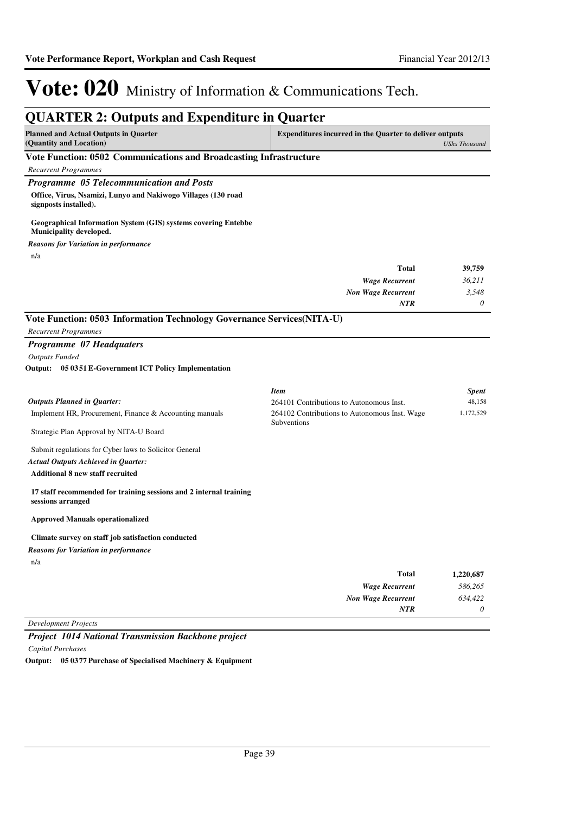| <b>QUARTER 2: Outputs and Expenditure in Quarter</b>                                                                                            |                                                                                                                         |                                     |
|-------------------------------------------------------------------------------------------------------------------------------------------------|-------------------------------------------------------------------------------------------------------------------------|-------------------------------------|
| <b>Planned and Actual Outputs in Quarter</b><br>(Quantity and Location)                                                                         | <b>Expenditures incurred in the Quarter to deliver outputs</b>                                                          | <b>UShs Thousand</b>                |
| Vote Function: 0502 Communications and Broadcasting Infrastructure                                                                              |                                                                                                                         |                                     |
| <b>Recurrent Programmes</b>                                                                                                                     |                                                                                                                         |                                     |
| Programme 05 Telecommunication and Posts                                                                                                        |                                                                                                                         |                                     |
| Office, Virus, Nsamizi, Lunyo and Nakiwogo Villages (130 road<br>signposts installed).                                                          |                                                                                                                         |                                     |
| <b>Geographical Information System (GIS) systems covering Entebbe</b><br>Municipality developed.                                                |                                                                                                                         |                                     |
| <b>Reasons for Variation in performance</b>                                                                                                     |                                                                                                                         |                                     |
| n/a                                                                                                                                             |                                                                                                                         |                                     |
|                                                                                                                                                 | Total                                                                                                                   | 39,759                              |
|                                                                                                                                                 | <b>Wage Recurrent</b>                                                                                                   | 36,211                              |
|                                                                                                                                                 | <b>Non Wage Recurrent</b>                                                                                               | 3,548                               |
|                                                                                                                                                 | <b>NTR</b>                                                                                                              | 0                                   |
| Vote Function: 0503 Information Technology Governance Services(NITA-U)                                                                          |                                                                                                                         |                                     |
| <b>Recurrent Programmes</b>                                                                                                                     |                                                                                                                         |                                     |
| Programme 07 Headquaters                                                                                                                        |                                                                                                                         |                                     |
| <b>Outputs Funded</b>                                                                                                                           |                                                                                                                         |                                     |
| Output: 05 0351 E-Government ICT Policy Implementation                                                                                          |                                                                                                                         |                                     |
| <b>Outputs Planned in Quarter:</b><br>Implement HR, Procurement, Finance & Accounting manuals<br>Strategic Plan Approval by NITA-U Board        | <b>Item</b><br>264101 Contributions to Autonomous Inst.<br>264102 Contributions to Autonomous Inst. Wage<br>Subventions | <b>Spent</b><br>48,158<br>1,172,529 |
| Submit regulations for Cyber laws to Solicitor General<br><b>Actual Outputs Achieved in Quarter:</b><br><b>Additional 8 new staff recruited</b> |                                                                                                                         |                                     |
| 17 staff recommended for training sessions and 2 internal training<br>sessions arranged                                                         |                                                                                                                         |                                     |
| <b>Approved Manuals operationalized</b>                                                                                                         |                                                                                                                         |                                     |
| Climate survey on staff job satisfaction conducted                                                                                              |                                                                                                                         |                                     |
| <b>Reasons for Variation in performance</b>                                                                                                     |                                                                                                                         |                                     |
| n/a                                                                                                                                             |                                                                                                                         |                                     |
|                                                                                                                                                 | <b>Total</b>                                                                                                            | 1,220,687                           |
|                                                                                                                                                 | <b>Wage Recurrent</b>                                                                                                   | 586,265                             |
|                                                                                                                                                 | <b>Non Wage Recurrent</b>                                                                                               | 634,422                             |
|                                                                                                                                                 |                                                                                                                         | 0                                   |

*Project 1014 National Transmission Backbone project*

*Capital Purchases*

**Output: 05 0377 Purchase of Specialised Machinery & Equipment**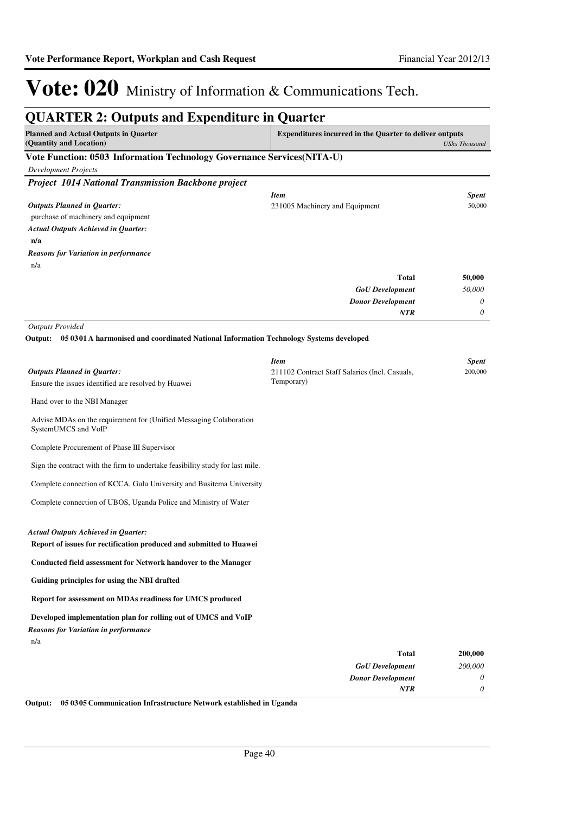| <b>QUARTER 2: Outputs and Expenditure in Quarter</b>                                                                         |                                                                |                      |
|------------------------------------------------------------------------------------------------------------------------------|----------------------------------------------------------------|----------------------|
| <b>Planned and Actual Outputs in Quarter</b><br>(Quantity and Location)                                                      | <b>Expenditures incurred in the Quarter to deliver outputs</b> | <b>UShs Thousand</b> |
| Vote Function: 0503 Information Technology Governance Services(NITA-U)                                                       |                                                                |                      |
| <b>Development Projects</b>                                                                                                  |                                                                |                      |
| <b>Project 1014 National Transmission Backbone project</b>                                                                   |                                                                |                      |
|                                                                                                                              | <b>Item</b>                                                    | Spent                |
| <b>Outputs Planned in Quarter:</b><br>purchase of machinery and equipment                                                    | 231005 Machinery and Equipment                                 | 50,000               |
| <b>Actual Outputs Achieved in Quarter:</b>                                                                                   |                                                                |                      |
| n/a                                                                                                                          |                                                                |                      |
| <b>Reasons for Variation in performance</b>                                                                                  |                                                                |                      |
| n/a                                                                                                                          |                                                                |                      |
|                                                                                                                              | Total                                                          | 50,000               |
|                                                                                                                              | <b>GoU</b> Development                                         | 50,000               |
|                                                                                                                              | <b>Donor Development</b><br>NTR                                | 0<br>0               |
|                                                                                                                              |                                                                |                      |
| <b>Outputs Provided</b><br>05 0301 A harmonised and coordinated National Information Technology Systems developed<br>Output: |                                                                |                      |
|                                                                                                                              | <b>Item</b>                                                    | <b>Spent</b>         |
| <b>Outputs Planned in Quarter:</b><br>Ensure the issues identified are resolved by Huawei                                    | 211102 Contract Staff Salaries (Incl. Casuals,<br>Temporary)   | 200,000              |
| Hand over to the NBI Manager                                                                                                 |                                                                |                      |
| Advise MDAs on the requirement for (Unified Messaging Colaboration<br>SystemUMCS and VoIP                                    |                                                                |                      |
| Complete Procurement of Phase III Supervisor                                                                                 |                                                                |                      |
| Sign the contract with the firm to undertake feasibility study for last mile.                                                |                                                                |                      |
| Complete connection of KCCA, Gulu University and Busitema University                                                         |                                                                |                      |
| Complete connection of UBOS, Uganda Police and Ministry of Water                                                             |                                                                |                      |
| <b>Actual Outputs Achieved in Quarter:</b><br>Report of issues for rectification produced and submitted to Huawei            |                                                                |                      |
| <b>Conducted field assessment for Network handover to the Manager</b>                                                        |                                                                |                      |
| Guiding principles for using the NBI drafted                                                                                 |                                                                |                      |
| Report for assessment on MDAs readiness for UMCS produced                                                                    |                                                                |                      |
| Developed implementation plan for rolling out of UMCS and VoIP<br><b>Reasons for Variation in performance</b><br>n/a         |                                                                |                      |
|                                                                                                                              | Total                                                          | 200,000              |
|                                                                                                                              | <b>GoU</b> Development                                         | 200,000              |
|                                                                                                                              | <b>Donor Development</b>                                       | 0                    |
|                                                                                                                              | NTR                                                            | 0                    |

**Output: 05 0305 Communication Infrastructure Network established in Uganda**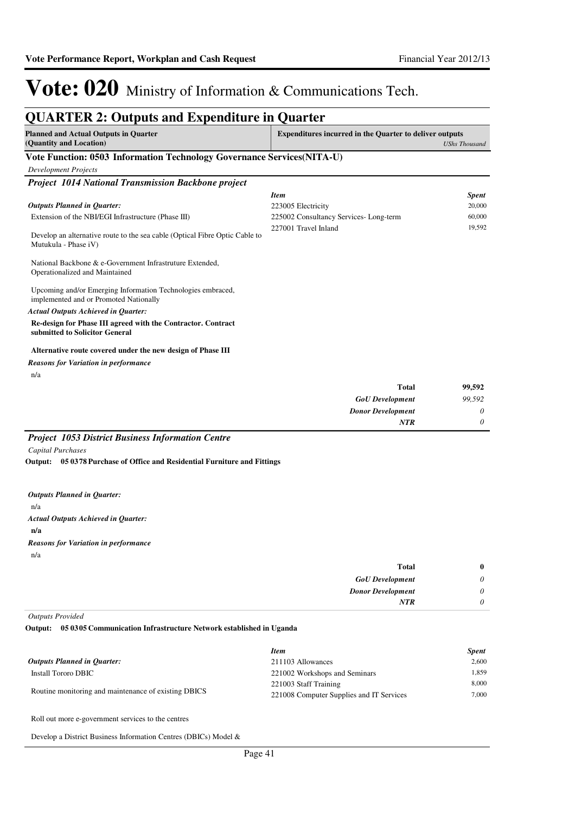### **QUARTER 2: Outputs and Expenditure in Quarter Planned and Actual Outputs in Quarter (Quantity and Location) Expenditures incurred in the Quarter to deliver outputs**  *UShs Thousand* **Vote Function: 0503 Information Technology Governance Services(NITA-U)** *Development Projects Project 1014 National Transmission Backbone project* Extension of the NBI/EGI Infrastructure (Phase III) Develop an alternative route to the sea cable (Optical Fibre Optic Cable to Mutukula - Phase iV) National Backbone & e-Government Infrastruture Extended, Operationalized and Maintained Upcoming and/or Emerging Information Technologies embraced, implemented and or Promoted Nationally **Re-design for Phase III agreed with the Contractor. Contract submitted to Solicitor General Alternative route covered under the new design of Phase III** *GoU Development Donor Development* **Total** *99,592 0 0* **99,592** *Actual Outputs Achieved in Quarter: Outputs Planned in Quarter: NTR* n/a *Reasons for Variation in performance Item Spent* 223005 Electricity 20,000 225002 Consultancy Services- Long-term 60,000 227001 Travel Inland 19,592 *Project 1053 District Business Information Centre Capital Purchases*

**05 0378 Purchase of Office and Residential Furniture and Fittings Output:**

n/a **n/a** *Actual Outputs Achieved in Quarter: Outputs Planned in Quarter:* n/a *Reasons for Variation in performance*

| $\bf{0}$ | Total                    |
|----------|--------------------------|
| $\theta$ | <b>GoU</b> Development   |
| 0        | <b>Donor Development</b> |
| 0        | <b>NTR</b>               |
|          |                          |

*Outputs Provided*

**05 0305 Communication Infrastructure Network established in Uganda Output:**

|                                                      | <b>Item</b>                              | <b>Spent</b> |
|------------------------------------------------------|------------------------------------------|--------------|
| <b>Outputs Planned in Ouarter:</b>                   | 211103 Allowances                        | 2.600        |
| Install Tororo DBIC                                  | 221002 Workshops and Seminars            | 1.859        |
| Routine monitoring and maintenance of existing DBICS | 221003 Staff Training                    | 8.000        |
|                                                      | 221008 Computer Supplies and IT Services | 7.000        |

Roll out more e-government services to the centres

Develop a District Business Information Centres (DBICs) Model &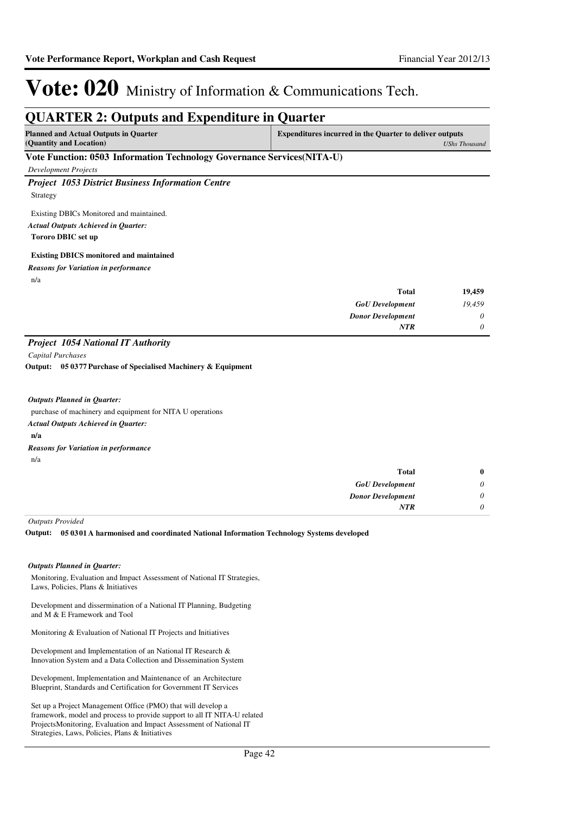### **QUARTER 2: Outputs and Expenditure in Quarter Planned and Actual Outputs in Quarter (Quantity and Location) Expenditures incurred in the Quarter to deliver outputs**  *UShs Thousand* **Vote Function: 0503 Information Technology Governance Services(NITA-U)** *Development Projects Project 1053 District Business Information Centre* Strategy Existing DBICs Monitored and maintained. **Tororo DBIC set up Existing DBICS monitored and maintained** *GoU Development Donor Development* **Total** *19,459 0 0* **19,459** *Actual Outputs Achieved in Quarter: NTR* n/a *Reasons for Variation in performance Project 1054 National IT Authority Capital Purchases* purchase of machinery and equipment for NITA U operations **n/a 05 0377 Purchase of Specialised Machinery & Equipment Output:** *Actual Outputs Achieved in Quarter: Outputs Planned in Quarter:* n/a *Reasons for Variation in performance*

| $\bf{0}$ | <b>Total</b>             |
|----------|--------------------------|
| $\theta$ | <b>GoU</b> Development   |
| $\theta$ | <b>Donor Development</b> |
| $\theta$ | <b>NTR</b>               |
|          |                          |

*Outputs Provided*

**05 0301 A harmonised and coordinated National Information Technology Systems developed Output:**

### *Outputs Planned in Quarter:*

Monitoring, Evaluation and Impact Assessment of National IT Strategies, Laws, Policies, Plans & Initiatives

Development and dissermination of a National IT Planning, Budgeting and M & E Framework and Tool

Monitoring & Evaluation of National IT Projects and Initiatives

Development and Implementation of an National IT Research & Innovation System and a Data Collection and Dissemination System

Development, Implementation and Maintenance of an Architecture Blueprint, Standards and Certification for Government IT Services

Set up a Project Management Office (PMO) that will develop a framework, model and process to provide support to all IT NITA-U related ProjectsMonitoring, Evaluation and Impact Assessment of National IT Strategies, Laws, Policies, Plans & Initiatives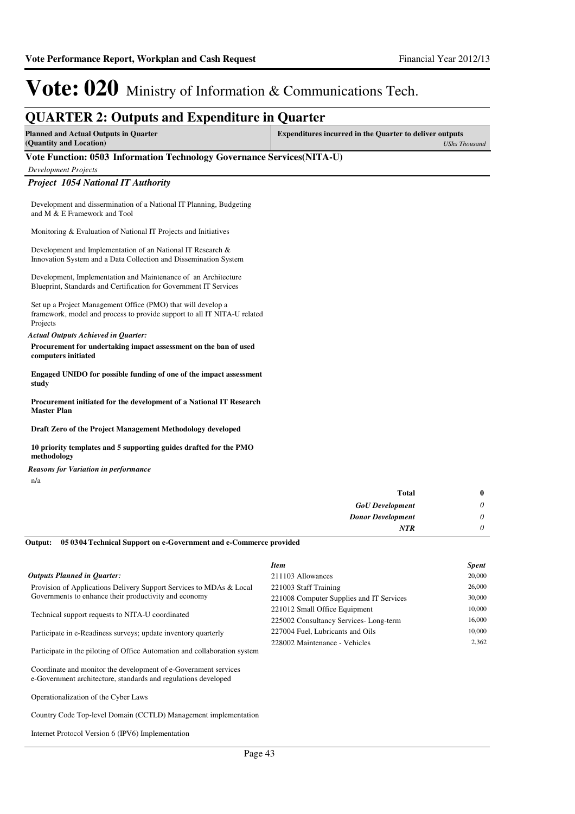### **QUARTER 2: Outputs and Expenditure in Quarter Planned and Actual Outputs in Quarter (Quantity and Location) Expenditures incurred in the Quarter to deliver outputs**  *UShs Thousand* **Vote Function: 0503 Information Technology Governance Services(NITA-U)** *Development Projects Project 1054 National IT Authority* Development and dissermination of a National IT Planning, Budgeting and M & E Framework and Tool Monitoring & Evaluation of National IT Projects and Initiatives Development and Implementation of an National IT Research & Innovation System and a Data Collection and Dissemination System Development, Implementation and Maintenance of an Architecture Blueprint, Standards and Certification for Government IT Services Set up a Project Management Office (PMO) that will develop a framework, model and process to provide support to all IT NITA-U related Projects **Procurement for undertaking impact assessment on the ban of used computers initiated Engaged UNIDO for possible funding of one of the impact assessment study Procurement initiated for the development of a National IT Research Master Plan Draft Zero of the Project Management Methodology developed** *Actual Outputs Achieved in Quarter:*

**10 priority templates and 5 supporting guides drafted for the PMO methodology**

*Reasons for Variation in performance*

n/a

| $\bf{0}$                             |
|--------------------------------------|
| 0<br><b>GoU</b> Development          |
| $\theta$<br><b>Donor Development</b> |
| 0                                    |
| <b>Total</b><br>NTR                  |

**05 0304 Technical Support on e-Government and e-Commerce provided Output:**

|                                                                                                                                                                                                                                                                                                                                                               | <b>Item</b>                              | <b>Spent</b> |
|---------------------------------------------------------------------------------------------------------------------------------------------------------------------------------------------------------------------------------------------------------------------------------------------------------------------------------------------------------------|------------------------------------------|--------------|
| <b>Outputs Planned in Ouarter:</b>                                                                                                                                                                                                                                                                                                                            | 211103 Allowances                        | 20,000       |
| Provision of Applications Delivery Support Services to MDAs & Local                                                                                                                                                                                                                                                                                           | 221003 Staff Training                    | 26,000       |
| Governments to enhance their productivity and economy                                                                                                                                                                                                                                                                                                         | 221008 Computer Supplies and IT Services | 30,000       |
| Technical support requests to NITA-U coordinated                                                                                                                                                                                                                                                                                                              | 221012 Small Office Equipment            | 10,000       |
|                                                                                                                                                                                                                                                                                                                                                               | 225002 Consultancy Services-Long-term    | 16,000       |
| Participate in e-Readiness surveys; update inventory quarterly                                                                                                                                                                                                                                                                                                | 227004 Fuel, Lubricants and Oils         | 10,000       |
| Participate in the piloting of Office Automation and collaboration system                                                                                                                                                                                                                                                                                     | 228002 Maintenance - Vehicles            | 2.362        |
| $\alpha$ , $\alpha$ , $\alpha$ , $\alpha$ , $\alpha$ , $\alpha$ , $\alpha$ , $\alpha$ , $\alpha$ , $\alpha$ , $\alpha$ , $\alpha$ , $\alpha$ , $\alpha$ , $\alpha$ , $\alpha$ , $\alpha$ , $\alpha$ , $\alpha$ , $\alpha$ , $\alpha$ , $\alpha$ , $\alpha$ , $\alpha$ , $\alpha$ , $\alpha$ , $\alpha$ , $\alpha$ , $\alpha$ , $\alpha$ , $\alpha$ , $\alpha$ |                                          |              |

Coordinate and monitor the development of e-Government services e-Government architecture, standards and regulations developed

Operationalization of the Cyber Laws

Country Code Top-level Domain (CCTLD) Management implementation

Internet Protocol Version 6 (IPV6) Implementation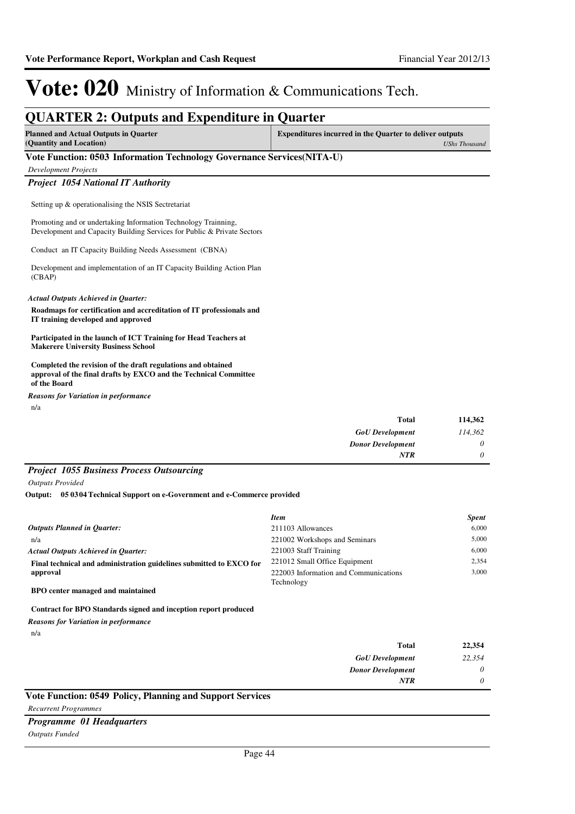### **QUARTER 2: Outputs and Expenditure in Quarter Planned and Actual Outputs in Quarter (Quantity and Location) Expenditures incurred in the Quarter to deliver outputs**  *UShs Thousand* **Vote Function: 0503 Information Technology Governance Services(NITA-U)** *Development Projects Project 1054 National IT Authority* Setting up & operationalising the NSIS Sectretariat Promoting and or undertaking Information Technology Trainning, Development and Capacity Building Services for Public & Private Sectors Conduct an IT Capacity Building Needs Assessment (CBNA) Development and implementation of an IT Capacity Building Action Plan (CBAP) **Roadmaps for certification and accreditation of IT professionals and IT training developed and approved Participated in the launch of ICT Training for Head Teachers at Makerere University Business School Completed the revision of the draft regulations and obtained approval of the final drafts by EXCO and the Technical Committee of the Board** *Actual Outputs Achieved in Quarter: Reasons for Variation in performance*

n/a

| 114,362  | <b>Total</b>             |
|----------|--------------------------|
| 114,362  | <b>GoU</b> Development   |
| $\theta$ | <b>Donor Development</b> |
| $\theta$ | <b>NTR</b>               |

### *Project 1055 Business Process Outsourcing*

*Outputs Provided*

**05 0304 Technical Support on e-Government and e-Commerce provided Output:**

|                                                                     | <b>Item</b>                           | <b>Spent</b> |
|---------------------------------------------------------------------|---------------------------------------|--------------|
| <b>Outputs Planned in Ouarter:</b>                                  | 211103 Allowances                     | 6.000        |
| n/a                                                                 | 221002 Workshops and Seminars         | 5.000        |
| <b>Actual Outputs Achieved in Ouarter:</b>                          | 221003 Staff Training                 | 6.000        |
| Final technical and administration guidelines submitted to EXCO for | 221012 Small Office Equipment         | 2.354        |
| approval                                                            | 222003 Information and Communications | 3.000        |
|                                                                     | Technology                            |              |
| BPO center managed and maintained                                   |                                       |              |

### **Contract for BPO Standards signed and inception report produced**

*Reasons for Variation in performance*

n/a

| <b>Total</b>             | 22,354   |
|--------------------------|----------|
| <b>GoU</b> Development   | 22,354   |
| <b>Donor Development</b> | $\theta$ |
| <b>NTR</b>               | 0        |
|                          |          |

### **Vote Function: 0549 Policy, Planning and Support Services**

*Recurrent Programmes*

### *Programme 01 Headquarters*

*Outputs Funded*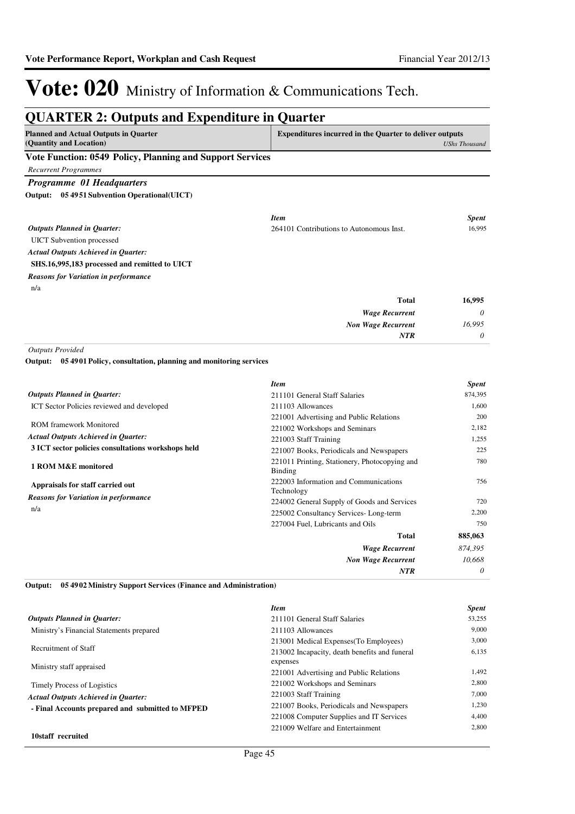*0*

*NTR*

# Vote: 020 Ministry of Information & Communications Tech.

| <b>Planned and Actual Outputs in Quarter</b>                              |                                                                 | <b>Expenditures incurred in the Quarter to deliver outputs</b> |  |
|---------------------------------------------------------------------------|-----------------------------------------------------------------|----------------------------------------------------------------|--|
| (Quantity and Location)                                                   |                                                                 | <b>UShs Thousand</b>                                           |  |
| Vote Function: 0549 Policy, Planning and Support Services                 |                                                                 |                                                                |  |
| <b>Recurrent Programmes</b>                                               |                                                                 |                                                                |  |
| Programme 01 Headquarters                                                 |                                                                 |                                                                |  |
| Output: 05 4951 Subvention Operational(UICT)                              |                                                                 |                                                                |  |
|                                                                           | <b>Item</b>                                                     | <b>Spent</b>                                                   |  |
| <b>Outputs Planned in Quarter:</b>                                        | 264101 Contributions to Autonomous Inst.                        | 16,995                                                         |  |
| <b>UICT</b> Subvention processed                                          |                                                                 |                                                                |  |
| <b>Actual Outputs Achieved in Quarter:</b>                                |                                                                 |                                                                |  |
| SHS.16,995,183 processed and remitted to UICT                             |                                                                 |                                                                |  |
| <b>Reasons for Variation in performance</b>                               |                                                                 |                                                                |  |
| n/a                                                                       |                                                                 |                                                                |  |
|                                                                           | <b>Total</b>                                                    | 16,995                                                         |  |
|                                                                           | <b>Wage Recurrent</b>                                           | 0                                                              |  |
|                                                                           | <b>Non Wage Recurrent</b>                                       | 16,995                                                         |  |
|                                                                           | <b>NTR</b>                                                      | 0                                                              |  |
| <b>Outputs Provided</b>                                                   |                                                                 |                                                                |  |
| 05 4901 Policy, consultation, planning and monitoring services<br>Output: |                                                                 |                                                                |  |
|                                                                           | <b>Item</b>                                                     | <b>Spent</b>                                                   |  |
| <b>Outputs Planned in Quarter:</b>                                        | 211101 General Staff Salaries                                   | 874,395                                                        |  |
| ICT Sector Policies reviewed and developed                                | 211103 Allowances                                               | 1,600                                                          |  |
| <b>ROM</b> framework Monitored                                            | 221001 Advertising and Public Relations                         | 200                                                            |  |
| <b>Actual Outputs Achieved in Quarter:</b>                                | 221002 Workshops and Seminars                                   | 2,182                                                          |  |
| 3 ICT sector policies consultations workshops held                        | 221003 Staff Training                                           | 1,255<br>225                                                   |  |
|                                                                           | 221007 Books, Periodicals and Newspapers                        | 780                                                            |  |
| 1 ROM M&E monitored                                                       | 221011 Printing, Stationery, Photocopying and<br><b>Binding</b> |                                                                |  |
| Appraisals for staff carried out                                          | 222003 Information and Communications                           | 756                                                            |  |
| <b>Reasons for Variation in performance</b>                               | Technology                                                      |                                                                |  |
| n/a                                                                       | 224002 General Supply of Goods and Services                     | 720                                                            |  |
|                                                                           | 225002 Consultancy Services-Long-term                           | 2,200<br>750                                                   |  |
|                                                                           | 227004 Fuel, Lubricants and Oils                                |                                                                |  |
|                                                                           | Total                                                           | 885,063                                                        |  |
|                                                                           | <b>Wage Recurrent</b>                                           | 874,395                                                        |  |
|                                                                           | <b>Non Wage Recurrent</b>                                       | 10.668                                                         |  |

**05 4902 Ministry Support Services (Finance and Administration) Output:**

|                                                  | <b>Item</b>                                   | <b>Spent</b> |
|--------------------------------------------------|-----------------------------------------------|--------------|
| <b>Outputs Planned in Ouarter:</b>               | 211101 General Staff Salaries                 | 53,255       |
| Ministry's Financial Statements prepared         | 211103 Allowances                             | 9,000        |
|                                                  | 213001 Medical Expenses (To Employees)        | 3.000        |
| Recruitment of Staff                             | 213002 Incapacity, death benefits and funeral | 6,135        |
| Ministry staff appraised                         | expenses                                      |              |
|                                                  | 221001 Advertising and Public Relations       | 1,492        |
| <b>Timely Process of Logistics</b>               | 221002 Workshops and Seminars                 | 2,800        |
| <b>Actual Outputs Achieved in Ouarter:</b>       | 221003 Staff Training                         | 7,000        |
| - Final Accounts prepared and submitted to MFPED | 221007 Books, Periodicals and Newspapers      | 1,230        |
|                                                  | 221008 Computer Supplies and IT Services      | 4.400        |
|                                                  | 221009 Welfare and Entertainment              | 2.800        |
| 10staff recruited                                |                                               |              |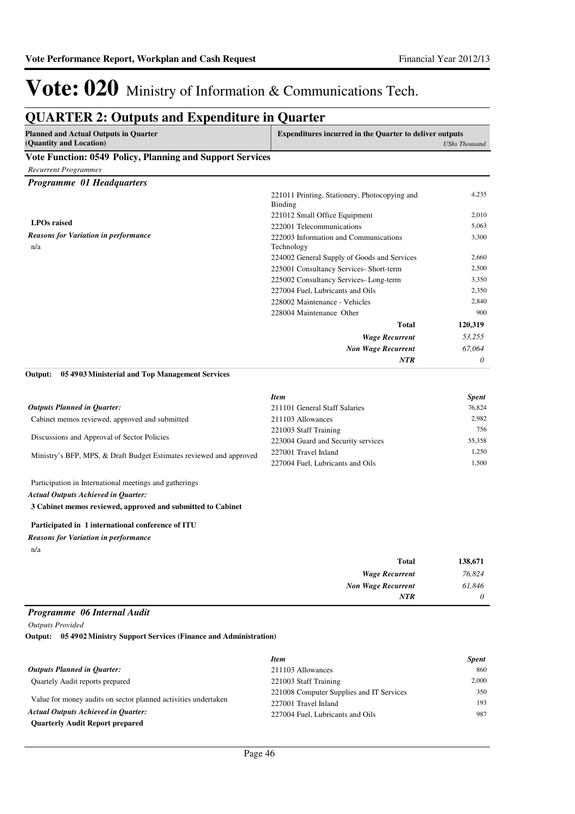## **QUARTER 2: Outputs and Expenditure in Quarter**

| <b>Planned and Actual Outputs in Quarter</b><br>(Quantity and Location)                              | <b>Expenditures incurred in the Quarter to deliver outputs</b>  | <b>UShs Thousand</b> |
|------------------------------------------------------------------------------------------------------|-----------------------------------------------------------------|----------------------|
| Vote Function: 0549 Policy, Planning and Support Services                                            |                                                                 |                      |
| <b>Recurrent Programmes</b>                                                                          |                                                                 |                      |
| Programme 01 Headquarters                                                                            |                                                                 |                      |
|                                                                                                      | 221011 Printing, Stationery, Photocopying and<br><b>Binding</b> | 4,235                |
|                                                                                                      | 221012 Small Office Equipment                                   | 2,010                |
| <b>LPOs</b> raised                                                                                   | 222001 Telecommunications                                       | 5,063                |
| <b>Reasons for Variation in performance</b><br>n/a                                                   | 222003 Information and Communications<br>Technology             | 3,300                |
|                                                                                                      | 224002 General Supply of Goods and Services                     | 2,660                |
|                                                                                                      | 225001 Consultancy Services- Short-term                         | 2,500                |
|                                                                                                      | 225002 Consultancy Services-Long-term                           | 3,350                |
|                                                                                                      | 227004 Fuel, Lubricants and Oils                                | 2,350                |
|                                                                                                      | 228002 Maintenance - Vehicles                                   | 2,840                |
|                                                                                                      | 228004 Maintenance Other                                        | 900                  |
|                                                                                                      | <b>Total</b>                                                    | 120,319              |
|                                                                                                      | <b>Wage Recurrent</b>                                           | 53,255               |
|                                                                                                      | <b>Non Wage Recurrent</b>                                       | 67,064               |
|                                                                                                      | <b>NTR</b>                                                      | 0                    |
| Output:<br>05 4903 Ministerial and Top Management Services                                           | <b>Item</b>                                                     | <b>Spent</b>         |
| <b>Outputs Planned in Quarter:</b>                                                                   | 211101 General Staff Salaries                                   | 76,824               |
| Cabinet memos reviewed, approved and submitted                                                       | 211103 Allowances                                               | 2,982                |
| Discussions and Approval of Sector Policies                                                          | 221003 Staff Training                                           | 756                  |
|                                                                                                      | 223004 Guard and Security services                              | 55,358               |
| Ministry's BFP, MPS, & Draft Budget Estimates reviewed and approved                                  | 227001 Travel Inland<br>227004 Fuel, Lubricants and Oils        | 1,250<br>1,500       |
|                                                                                                      |                                                                 |                      |
| Participation in International meetings and gatherings<br><b>Actual Outputs Achieved in Quarter:</b> |                                                                 |                      |
| 3 Cabinet memos reviewed, approved and submitted to Cabinet                                          |                                                                 |                      |
| Participated in 1 international conference of ITU                                                    |                                                                 |                      |
| <b>Reasons for Variation in performance</b><br>n/a                                                   |                                                                 |                      |
|                                                                                                      | <b>Total</b>                                                    | 138,671              |
|                                                                                                      | <b>Wage Recurrent</b>                                           | 76,824               |
|                                                                                                      | <b>Non Wage Recurrent</b>                                       | 61,846               |
|                                                                                                      | NTR                                                             | 0                    |
| Programme 06 Internal Audit                                                                          |                                                                 |                      |

| <b>Item</b>                              | <b>Spent</b> |
|------------------------------------------|--------------|
| 211103 Allowances                        | 860          |
| 221003 Staff Training                    | 2,000        |
| 221008 Computer Supplies and IT Services | 350          |
| 227001 Travel Inland                     | 193          |
| 227004 Fuel. Lubricants and Oils         | 987          |
|                                          |              |
|                                          |              |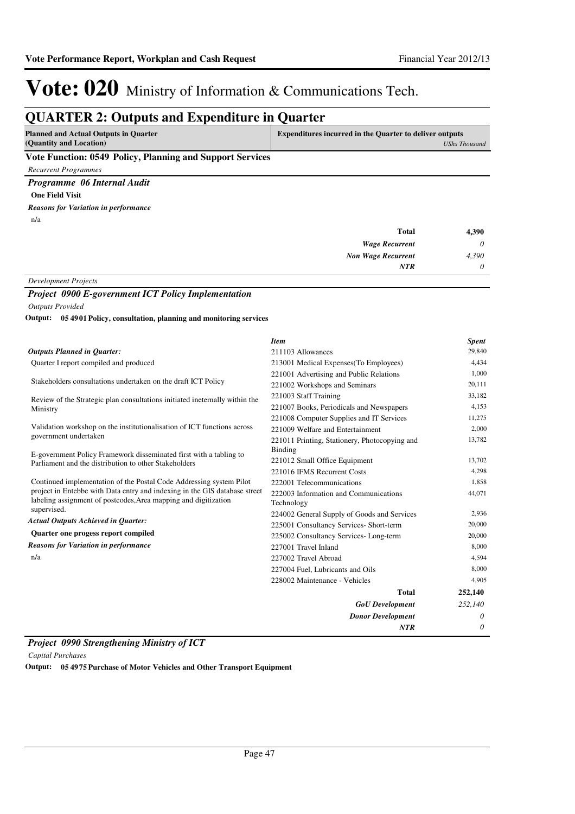## **QUARTER 2: Outputs and Expenditure in Quarter**

| <b>Planned and Actual Outputs in Quarter</b>             | <b>Expenditures incurred in the Quarter to deliver outputs</b> |
|----------------------------------------------------------|----------------------------------------------------------------|
| (Quantity and Location)                                  | <b>UShs Thousand</b>                                           |
| $0 = 10$ m $10$<br>$\sim$<br>$\mathbf{r}$ . $\mathbf{r}$ |                                                                |

### **Vote Function: 0549 Policy, Planning and Support Services**

*Recurrent Programmes*

*Programme 06 Internal Audit*

**One Field Visit**

n/a *Reasons for Variation in performance*

| Total                                                                         | 4,390    |
|-------------------------------------------------------------------------------|----------|
| <b>Wage Recurrent</b>                                                         | $\theta$ |
| <b>Non Wage Recurrent</b>                                                     | 4,390    |
| <b>NTR</b>                                                                    | $\theta$ |
| $\mathbf{r}$ $\mathbf{r}$ $\mathbf{r}$ $\mathbf{r}$ $\mathbf{r}$ $\mathbf{r}$ |          |

*Development Projects*

### *Project 0900 E-government ICT Policy Implementation Outputs Provided*

**05 4901 Policy, consultation, planning and monitoring services Output:**

|                                                                                                                                               | <b>Item</b>                                   | <b>Spent</b> |
|-----------------------------------------------------------------------------------------------------------------------------------------------|-----------------------------------------------|--------------|
| <b>Outputs Planned in Ouarter:</b>                                                                                                            | 211103 Allowances                             | 29,840       |
| Quarter I report compiled and produced                                                                                                        | 213001 Medical Expenses (To Employees)        | 4,434        |
|                                                                                                                                               | 221001 Advertising and Public Relations       | 1,000        |
| Stakeholders consultations undertaken on the draft ICT Policy                                                                                 | 221002 Workshops and Seminars                 | 20,111       |
| Review of the Strategic plan consultations initiated ineternally within the                                                                   | 221003 Staff Training                         | 33,182       |
| Ministry                                                                                                                                      | 221007 Books, Periodicals and Newspapers      | 4,153        |
|                                                                                                                                               | 221008 Computer Supplies and IT Services      | 11,275       |
| Validation workshop on the institutionalisation of ICT functions across                                                                       | 221009 Welfare and Entertainment              | 2,000        |
| government undertaken                                                                                                                         | 221011 Printing, Stationery, Photocopying and | 13,782       |
| E-government Policy Framework disseminated first with a tabling to                                                                            | Binding                                       |              |
| Parliament and the distribution to other Stakeholders                                                                                         | 221012 Small Office Equipment                 | 13,702       |
|                                                                                                                                               | 221016 IFMS Recurrent Costs                   | 4,298        |
| Continued implementation of the Postal Code Addressing system Pilot                                                                           | 222001 Telecommunications                     | 1,858        |
| project in Entebbe with Data entry and indexing in the GIS database street<br>labeling assignment of postcodes, Area mapping and digitization | 222003 Information and Communications         | 44,071       |
| supervised.                                                                                                                                   | Technology                                    |              |
| <b>Actual Outputs Achieved in Ouarter:</b>                                                                                                    | 224002 General Supply of Goods and Services   | 2,936        |
|                                                                                                                                               | 225001 Consultancy Services- Short-term       | 20,000       |
| Quarter one progess report compiled                                                                                                           | 225002 Consultancy Services-Long-term         | 20,000       |
| <b>Reasons for Variation in performance</b>                                                                                                   | 227001 Travel Inland                          | 8,000        |
| n/a                                                                                                                                           | 227002 Travel Abroad                          | 4,594        |
|                                                                                                                                               | 227004 Fuel, Lubricants and Oils              | 8,000        |
|                                                                                                                                               | 228002 Maintenance - Vehicles                 | 4.905        |
|                                                                                                                                               | Total                                         | 252,140      |
|                                                                                                                                               | <b>GoU</b> Development                        | 252,140      |
|                                                                                                                                               | <b>Donor Development</b>                      | 0            |
|                                                                                                                                               | <b>NTR</b>                                    | $\theta$     |

*Project 0990 Strengthening Ministry of ICT*

*Capital Purchases*

**Output: 05 4975 Purchase of Motor Vehicles and Other Transport Equipment**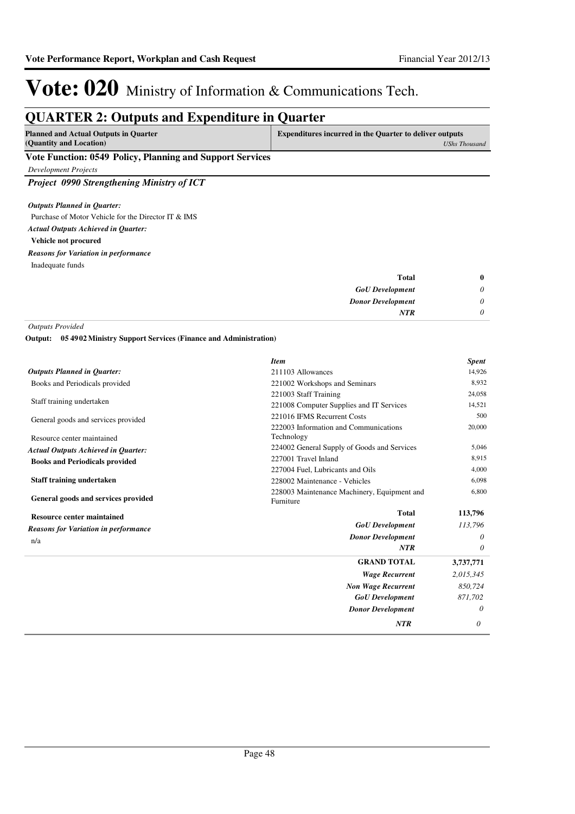# **QUARTER 2: Outputs and Expenditure in Quarter**

| <b>Planned and Actual Outputs in Quarter</b>             | <b>Expenditures incurred in the Quarter to deliver outputs</b> |
|----------------------------------------------------------|----------------------------------------------------------------|
| (Quantity and Location)                                  | UShs Thousand                                                  |
| Vote Function: 0549 Policy Planning and Sunnort Services |                                                                |

### **Vote Function: 0549 Policy, Planning and Support Services**

*Development Projects*

*Project 0990 Strengthening Ministry of ICT*

### *Outputs Planned in Quarter:*

| Purchase of Motor Vehicle for the Director IT & IMS |
|-----------------------------------------------------|
| <b>Actual Outputs Achieved in Ouarter:</b>          |
| Vehicle not procured                                |
| <b>Reasons for Variation in performance</b>         |
| Inadequate funds                                    |

| $\bf{0}$ | Total                    |  |
|----------|--------------------------|--|
| 0        | <b>GoU</b> Development   |  |
| 0        | <b>Donor Development</b> |  |
| 0        | <b>NTR</b>               |  |
|          |                          |  |

*Outputs Provided*

**05 4902 Ministry Support Services (Finance and Administration) Output:**

| <b>Outputs Planned in Quarter:</b><br>211103 Allowances                                         | 14,926    |
|-------------------------------------------------------------------------------------------------|-----------|
| Books and Periodicals provided<br>221002 Workshops and Seminars                                 | 8,932     |
| 221003 Staff Training                                                                           | 24,058    |
| Staff training undertaken<br>221008 Computer Supplies and IT Services                           | 14,521    |
| 221016 IFMS Recurrent Costs<br>General goods and services provided                              | 500       |
| 222003 Information and Communications<br>Technology<br>Resource center maintained               | 20,000    |
| 224002 General Supply of Goods and Services<br><b>Actual Outputs Achieved in Quarter:</b>       | 5,046     |
| 227001 Travel Inland<br><b>Books and Periodicals provided</b>                                   | 8,915     |
| 227004 Fuel, Lubricants and Oils                                                                | 4,000     |
| Staff training undertaken<br>228002 Maintenance - Vehicles                                      | 6,098     |
| 228003 Maintenance Machinery, Equipment and<br>General goods and services provided<br>Furniture | 6,800     |
| <b>Total</b><br><b>Resource center maintained</b>                                               | 113,796   |
| <b>GoU</b> Development<br><b>Reasons for Variation in performance</b>                           | 113,796   |
| <b>Donor Development</b><br>n/a                                                                 | 0         |
| <b>NTR</b>                                                                                      | $\theta$  |
| <b>GRAND TOTAL</b>                                                                              | 3,737,771 |
| <b>Wage Recurrent</b>                                                                           | 2,015,345 |
| <b>Non Wage Recurrent</b>                                                                       | 850,724   |
| <b>GoU</b> Development                                                                          | 871,702   |
| <b>Donor Development</b>                                                                        | $\theta$  |
| <b>NTR</b>                                                                                      | 0         |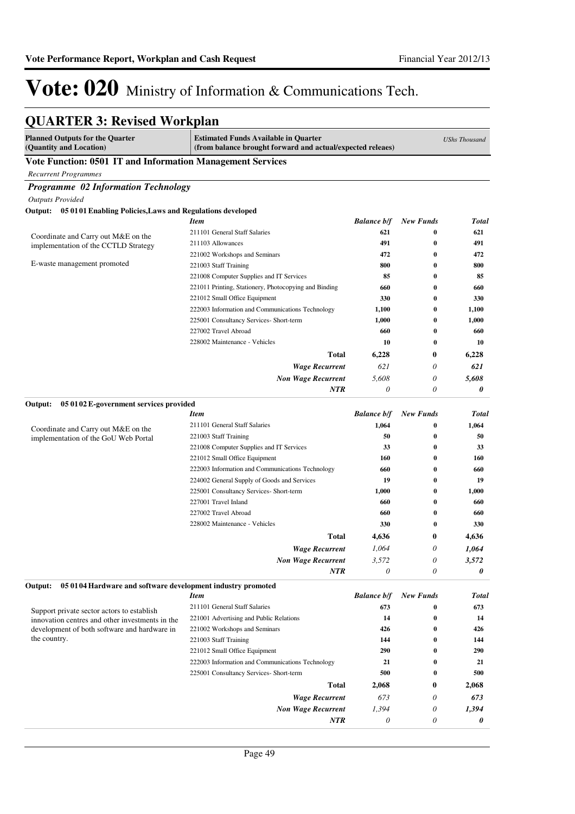## **QUARTER 3: Revised Workplan**

| Vote Function: 0501 IT and Information Management Services<br><b>Recurrent Programmes</b><br><b>Programme 02 Information Technology</b><br><b>Outputs Provided</b><br>Output: 05 0101 Enabling Policies, Laws and Regulations developed<br><b>Balance b/f</b><br><b>New Funds</b><br><b>Item</b><br>Total<br>621<br>211101 General Staff Salaries<br>0<br>621<br>Coordinate and Carry out M&E on the<br>491<br>0<br>491<br>211103 Allowances<br>implementation of the CCTLD Strategy<br>221002 Workshops and Seminars<br>472<br>472<br>0<br>E-waste management promoted<br>221003 Staff Training<br>800<br>0<br>800<br>85<br>85<br>221008 Computer Supplies and IT Services<br>0<br>221011 Printing, Stationery, Photocopying and Binding<br>660<br>0<br>660<br>221012 Small Office Equipment<br>330<br>0<br>330<br>222003 Information and Communications Technology<br>1,100<br>0<br>1,100<br>225001 Consultancy Services- Short-term<br>1,000<br>0<br>1,000<br>227002 Travel Abroad<br>660<br>660<br>0<br>228002 Maintenance - Vehicles<br>10<br>0<br>10<br>Total<br>6,228<br>0<br>6,228<br>621<br>0<br>621<br><b>Wage Recurrent</b><br><b>Non Wage Recurrent</b><br>5,608<br>$\theta$<br>5,608<br><b>NTR</b><br>0<br>0<br>0<br>05 01 02 E-government services provided<br>Output:<br><b>Item</b><br><b>Balance b/f</b><br><b>New Funds</b><br><b>Total</b><br>211101 General Staff Salaries<br>1,064<br>0<br>1,064<br>Coordinate and Carry out M&E on the<br>221003 Staff Training<br>50<br>50<br>0<br>implementation of the GoU Web Portal<br>221008 Computer Supplies and IT Services<br>33<br>33<br>0<br>221012 Small Office Equipment<br>160<br>$\bf{0}$<br>160<br>222003 Information and Communications Technology<br>660<br>0<br>660<br>224002 General Supply of Goods and Services<br>19<br>0<br>19<br>225001 Consultancy Services- Short-term<br>1,000<br>0<br>1,000<br>660<br>227001 Travel Inland<br>0<br>660<br>0<br>227002 Travel Abroad<br>660<br>660<br>228002 Maintenance - Vehicles<br>330<br>$\bf{0}$<br>330<br><b>Total</b><br>0<br>4,636<br>4,636<br><b>Wage Recurrent</b><br>1,064<br>0<br>1,064<br>3,572<br>0<br><b>Non Wage Recurrent</b><br>3,572<br>$\theta$<br>0<br><b>NTR</b><br>0<br>Output:<br>05 0104 Hardware and software development industry promoted<br><b>Balance b/f</b><br><b>New Funds</b><br><b>Item</b><br><b>Total</b><br>211101 General Staff Salaries<br>673<br>673<br>0<br>Support private sector actors to establish<br>14<br>$\bf{0}$<br>14<br>221001 Advertising and Public Relations<br>innovation centres and other investments in the<br>development of both software and hardware in<br>426<br>$\bf{0}$<br>426<br>221002 Workshops and Seminars<br>the country.<br>221003 Staff Training<br>144<br>0<br>144<br>221012 Small Office Equipment<br>290<br>290<br>0<br>222003 Information and Communications Technology<br>21<br>21<br>0<br>225001 Consultancy Services- Short-term<br>500<br>$\bf{0}$<br>500<br>Total<br>2,068<br>0<br>2,068<br><b>Wage Recurrent</b><br>673<br>0<br>673<br><b>Non Wage Recurrent</b><br>1,394<br>1,394<br>0<br>NTR<br>$\boldsymbol{\mathit{0}}$<br>0<br>0 | <b>Planned Outputs for the Quarter</b><br>(Quantity and Location) | <b>Estimated Funds Available in Quarter</b><br>(from balance brought forward and actual/expected releaes) |  | <b>UShs Thousand</b> |
|-----------------------------------------------------------------------------------------------------------------------------------------------------------------------------------------------------------------------------------------------------------------------------------------------------------------------------------------------------------------------------------------------------------------------------------------------------------------------------------------------------------------------------------------------------------------------------------------------------------------------------------------------------------------------------------------------------------------------------------------------------------------------------------------------------------------------------------------------------------------------------------------------------------------------------------------------------------------------------------------------------------------------------------------------------------------------------------------------------------------------------------------------------------------------------------------------------------------------------------------------------------------------------------------------------------------------------------------------------------------------------------------------------------------------------------------------------------------------------------------------------------------------------------------------------------------------------------------------------------------------------------------------------------------------------------------------------------------------------------------------------------------------------------------------------------------------------------------------------------------------------------------------------------------------------------------------------------------------------------------------------------------------------------------------------------------------------------------------------------------------------------------------------------------------------------------------------------------------------------------------------------------------------------------------------------------------------------------------------------------------------------------------------------------------------------------------------------------------------------------------------------------------------------------------------------------------------------------------------------------------------------------------------------------------------------------------------------------------------------------------------------------------------------------------------------------------------------------------------------------------------------------------------------------------------------------------------------------------------------------------------------------------------------------------------------------------------------------------------------------------------------------------|-------------------------------------------------------------------|-----------------------------------------------------------------------------------------------------------|--|----------------------|
|                                                                                                                                                                                                                                                                                                                                                                                                                                                                                                                                                                                                                                                                                                                                                                                                                                                                                                                                                                                                                                                                                                                                                                                                                                                                                                                                                                                                                                                                                                                                                                                                                                                                                                                                                                                                                                                                                                                                                                                                                                                                                                                                                                                                                                                                                                                                                                                                                                                                                                                                                                                                                                                                                                                                                                                                                                                                                                                                                                                                                                                                                                                                               |                                                                   |                                                                                                           |  |                      |
|                                                                                                                                                                                                                                                                                                                                                                                                                                                                                                                                                                                                                                                                                                                                                                                                                                                                                                                                                                                                                                                                                                                                                                                                                                                                                                                                                                                                                                                                                                                                                                                                                                                                                                                                                                                                                                                                                                                                                                                                                                                                                                                                                                                                                                                                                                                                                                                                                                                                                                                                                                                                                                                                                                                                                                                                                                                                                                                                                                                                                                                                                                                                               |                                                                   |                                                                                                           |  |                      |
|                                                                                                                                                                                                                                                                                                                                                                                                                                                                                                                                                                                                                                                                                                                                                                                                                                                                                                                                                                                                                                                                                                                                                                                                                                                                                                                                                                                                                                                                                                                                                                                                                                                                                                                                                                                                                                                                                                                                                                                                                                                                                                                                                                                                                                                                                                                                                                                                                                                                                                                                                                                                                                                                                                                                                                                                                                                                                                                                                                                                                                                                                                                                               |                                                                   |                                                                                                           |  |                      |
|                                                                                                                                                                                                                                                                                                                                                                                                                                                                                                                                                                                                                                                                                                                                                                                                                                                                                                                                                                                                                                                                                                                                                                                                                                                                                                                                                                                                                                                                                                                                                                                                                                                                                                                                                                                                                                                                                                                                                                                                                                                                                                                                                                                                                                                                                                                                                                                                                                                                                                                                                                                                                                                                                                                                                                                                                                                                                                                                                                                                                                                                                                                                               |                                                                   |                                                                                                           |  |                      |
|                                                                                                                                                                                                                                                                                                                                                                                                                                                                                                                                                                                                                                                                                                                                                                                                                                                                                                                                                                                                                                                                                                                                                                                                                                                                                                                                                                                                                                                                                                                                                                                                                                                                                                                                                                                                                                                                                                                                                                                                                                                                                                                                                                                                                                                                                                                                                                                                                                                                                                                                                                                                                                                                                                                                                                                                                                                                                                                                                                                                                                                                                                                                               |                                                                   |                                                                                                           |  |                      |
|                                                                                                                                                                                                                                                                                                                                                                                                                                                                                                                                                                                                                                                                                                                                                                                                                                                                                                                                                                                                                                                                                                                                                                                                                                                                                                                                                                                                                                                                                                                                                                                                                                                                                                                                                                                                                                                                                                                                                                                                                                                                                                                                                                                                                                                                                                                                                                                                                                                                                                                                                                                                                                                                                                                                                                                                                                                                                                                                                                                                                                                                                                                                               |                                                                   |                                                                                                           |  |                      |
|                                                                                                                                                                                                                                                                                                                                                                                                                                                                                                                                                                                                                                                                                                                                                                                                                                                                                                                                                                                                                                                                                                                                                                                                                                                                                                                                                                                                                                                                                                                                                                                                                                                                                                                                                                                                                                                                                                                                                                                                                                                                                                                                                                                                                                                                                                                                                                                                                                                                                                                                                                                                                                                                                                                                                                                                                                                                                                                                                                                                                                                                                                                                               |                                                                   |                                                                                                           |  |                      |
|                                                                                                                                                                                                                                                                                                                                                                                                                                                                                                                                                                                                                                                                                                                                                                                                                                                                                                                                                                                                                                                                                                                                                                                                                                                                                                                                                                                                                                                                                                                                                                                                                                                                                                                                                                                                                                                                                                                                                                                                                                                                                                                                                                                                                                                                                                                                                                                                                                                                                                                                                                                                                                                                                                                                                                                                                                                                                                                                                                                                                                                                                                                                               |                                                                   |                                                                                                           |  |                      |
|                                                                                                                                                                                                                                                                                                                                                                                                                                                                                                                                                                                                                                                                                                                                                                                                                                                                                                                                                                                                                                                                                                                                                                                                                                                                                                                                                                                                                                                                                                                                                                                                                                                                                                                                                                                                                                                                                                                                                                                                                                                                                                                                                                                                                                                                                                                                                                                                                                                                                                                                                                                                                                                                                                                                                                                                                                                                                                                                                                                                                                                                                                                                               |                                                                   |                                                                                                           |  |                      |
|                                                                                                                                                                                                                                                                                                                                                                                                                                                                                                                                                                                                                                                                                                                                                                                                                                                                                                                                                                                                                                                                                                                                                                                                                                                                                                                                                                                                                                                                                                                                                                                                                                                                                                                                                                                                                                                                                                                                                                                                                                                                                                                                                                                                                                                                                                                                                                                                                                                                                                                                                                                                                                                                                                                                                                                                                                                                                                                                                                                                                                                                                                                                               |                                                                   |                                                                                                           |  |                      |
|                                                                                                                                                                                                                                                                                                                                                                                                                                                                                                                                                                                                                                                                                                                                                                                                                                                                                                                                                                                                                                                                                                                                                                                                                                                                                                                                                                                                                                                                                                                                                                                                                                                                                                                                                                                                                                                                                                                                                                                                                                                                                                                                                                                                                                                                                                                                                                                                                                                                                                                                                                                                                                                                                                                                                                                                                                                                                                                                                                                                                                                                                                                                               |                                                                   |                                                                                                           |  |                      |
|                                                                                                                                                                                                                                                                                                                                                                                                                                                                                                                                                                                                                                                                                                                                                                                                                                                                                                                                                                                                                                                                                                                                                                                                                                                                                                                                                                                                                                                                                                                                                                                                                                                                                                                                                                                                                                                                                                                                                                                                                                                                                                                                                                                                                                                                                                                                                                                                                                                                                                                                                                                                                                                                                                                                                                                                                                                                                                                                                                                                                                                                                                                                               |                                                                   |                                                                                                           |  |                      |
|                                                                                                                                                                                                                                                                                                                                                                                                                                                                                                                                                                                                                                                                                                                                                                                                                                                                                                                                                                                                                                                                                                                                                                                                                                                                                                                                                                                                                                                                                                                                                                                                                                                                                                                                                                                                                                                                                                                                                                                                                                                                                                                                                                                                                                                                                                                                                                                                                                                                                                                                                                                                                                                                                                                                                                                                                                                                                                                                                                                                                                                                                                                                               |                                                                   |                                                                                                           |  |                      |
|                                                                                                                                                                                                                                                                                                                                                                                                                                                                                                                                                                                                                                                                                                                                                                                                                                                                                                                                                                                                                                                                                                                                                                                                                                                                                                                                                                                                                                                                                                                                                                                                                                                                                                                                                                                                                                                                                                                                                                                                                                                                                                                                                                                                                                                                                                                                                                                                                                                                                                                                                                                                                                                                                                                                                                                                                                                                                                                                                                                                                                                                                                                                               |                                                                   |                                                                                                           |  |                      |
|                                                                                                                                                                                                                                                                                                                                                                                                                                                                                                                                                                                                                                                                                                                                                                                                                                                                                                                                                                                                                                                                                                                                                                                                                                                                                                                                                                                                                                                                                                                                                                                                                                                                                                                                                                                                                                                                                                                                                                                                                                                                                                                                                                                                                                                                                                                                                                                                                                                                                                                                                                                                                                                                                                                                                                                                                                                                                                                                                                                                                                                                                                                                               |                                                                   |                                                                                                           |  |                      |
|                                                                                                                                                                                                                                                                                                                                                                                                                                                                                                                                                                                                                                                                                                                                                                                                                                                                                                                                                                                                                                                                                                                                                                                                                                                                                                                                                                                                                                                                                                                                                                                                                                                                                                                                                                                                                                                                                                                                                                                                                                                                                                                                                                                                                                                                                                                                                                                                                                                                                                                                                                                                                                                                                                                                                                                                                                                                                                                                                                                                                                                                                                                                               |                                                                   |                                                                                                           |  |                      |
|                                                                                                                                                                                                                                                                                                                                                                                                                                                                                                                                                                                                                                                                                                                                                                                                                                                                                                                                                                                                                                                                                                                                                                                                                                                                                                                                                                                                                                                                                                                                                                                                                                                                                                                                                                                                                                                                                                                                                                                                                                                                                                                                                                                                                                                                                                                                                                                                                                                                                                                                                                                                                                                                                                                                                                                                                                                                                                                                                                                                                                                                                                                                               |                                                                   |                                                                                                           |  |                      |
|                                                                                                                                                                                                                                                                                                                                                                                                                                                                                                                                                                                                                                                                                                                                                                                                                                                                                                                                                                                                                                                                                                                                                                                                                                                                                                                                                                                                                                                                                                                                                                                                                                                                                                                                                                                                                                                                                                                                                                                                                                                                                                                                                                                                                                                                                                                                                                                                                                                                                                                                                                                                                                                                                                                                                                                                                                                                                                                                                                                                                                                                                                                                               |                                                                   |                                                                                                           |  |                      |
|                                                                                                                                                                                                                                                                                                                                                                                                                                                                                                                                                                                                                                                                                                                                                                                                                                                                                                                                                                                                                                                                                                                                                                                                                                                                                                                                                                                                                                                                                                                                                                                                                                                                                                                                                                                                                                                                                                                                                                                                                                                                                                                                                                                                                                                                                                                                                                                                                                                                                                                                                                                                                                                                                                                                                                                                                                                                                                                                                                                                                                                                                                                                               |                                                                   |                                                                                                           |  |                      |
|                                                                                                                                                                                                                                                                                                                                                                                                                                                                                                                                                                                                                                                                                                                                                                                                                                                                                                                                                                                                                                                                                                                                                                                                                                                                                                                                                                                                                                                                                                                                                                                                                                                                                                                                                                                                                                                                                                                                                                                                                                                                                                                                                                                                                                                                                                                                                                                                                                                                                                                                                                                                                                                                                                                                                                                                                                                                                                                                                                                                                                                                                                                                               |                                                                   |                                                                                                           |  |                      |
|                                                                                                                                                                                                                                                                                                                                                                                                                                                                                                                                                                                                                                                                                                                                                                                                                                                                                                                                                                                                                                                                                                                                                                                                                                                                                                                                                                                                                                                                                                                                                                                                                                                                                                                                                                                                                                                                                                                                                                                                                                                                                                                                                                                                                                                                                                                                                                                                                                                                                                                                                                                                                                                                                                                                                                                                                                                                                                                                                                                                                                                                                                                                               |                                                                   |                                                                                                           |  |                      |
|                                                                                                                                                                                                                                                                                                                                                                                                                                                                                                                                                                                                                                                                                                                                                                                                                                                                                                                                                                                                                                                                                                                                                                                                                                                                                                                                                                                                                                                                                                                                                                                                                                                                                                                                                                                                                                                                                                                                                                                                                                                                                                                                                                                                                                                                                                                                                                                                                                                                                                                                                                                                                                                                                                                                                                                                                                                                                                                                                                                                                                                                                                                                               |                                                                   |                                                                                                           |  |                      |
|                                                                                                                                                                                                                                                                                                                                                                                                                                                                                                                                                                                                                                                                                                                                                                                                                                                                                                                                                                                                                                                                                                                                                                                                                                                                                                                                                                                                                                                                                                                                                                                                                                                                                                                                                                                                                                                                                                                                                                                                                                                                                                                                                                                                                                                                                                                                                                                                                                                                                                                                                                                                                                                                                                                                                                                                                                                                                                                                                                                                                                                                                                                                               |                                                                   |                                                                                                           |  |                      |
|                                                                                                                                                                                                                                                                                                                                                                                                                                                                                                                                                                                                                                                                                                                                                                                                                                                                                                                                                                                                                                                                                                                                                                                                                                                                                                                                                                                                                                                                                                                                                                                                                                                                                                                                                                                                                                                                                                                                                                                                                                                                                                                                                                                                                                                                                                                                                                                                                                                                                                                                                                                                                                                                                                                                                                                                                                                                                                                                                                                                                                                                                                                                               |                                                                   |                                                                                                           |  |                      |
|                                                                                                                                                                                                                                                                                                                                                                                                                                                                                                                                                                                                                                                                                                                                                                                                                                                                                                                                                                                                                                                                                                                                                                                                                                                                                                                                                                                                                                                                                                                                                                                                                                                                                                                                                                                                                                                                                                                                                                                                                                                                                                                                                                                                                                                                                                                                                                                                                                                                                                                                                                                                                                                                                                                                                                                                                                                                                                                                                                                                                                                                                                                                               |                                                                   |                                                                                                           |  |                      |
|                                                                                                                                                                                                                                                                                                                                                                                                                                                                                                                                                                                                                                                                                                                                                                                                                                                                                                                                                                                                                                                                                                                                                                                                                                                                                                                                                                                                                                                                                                                                                                                                                                                                                                                                                                                                                                                                                                                                                                                                                                                                                                                                                                                                                                                                                                                                                                                                                                                                                                                                                                                                                                                                                                                                                                                                                                                                                                                                                                                                                                                                                                                                               |                                                                   |                                                                                                           |  |                      |
|                                                                                                                                                                                                                                                                                                                                                                                                                                                                                                                                                                                                                                                                                                                                                                                                                                                                                                                                                                                                                                                                                                                                                                                                                                                                                                                                                                                                                                                                                                                                                                                                                                                                                                                                                                                                                                                                                                                                                                                                                                                                                                                                                                                                                                                                                                                                                                                                                                                                                                                                                                                                                                                                                                                                                                                                                                                                                                                                                                                                                                                                                                                                               |                                                                   |                                                                                                           |  |                      |
|                                                                                                                                                                                                                                                                                                                                                                                                                                                                                                                                                                                                                                                                                                                                                                                                                                                                                                                                                                                                                                                                                                                                                                                                                                                                                                                                                                                                                                                                                                                                                                                                                                                                                                                                                                                                                                                                                                                                                                                                                                                                                                                                                                                                                                                                                                                                                                                                                                                                                                                                                                                                                                                                                                                                                                                                                                                                                                                                                                                                                                                                                                                                               |                                                                   |                                                                                                           |  |                      |
|                                                                                                                                                                                                                                                                                                                                                                                                                                                                                                                                                                                                                                                                                                                                                                                                                                                                                                                                                                                                                                                                                                                                                                                                                                                                                                                                                                                                                                                                                                                                                                                                                                                                                                                                                                                                                                                                                                                                                                                                                                                                                                                                                                                                                                                                                                                                                                                                                                                                                                                                                                                                                                                                                                                                                                                                                                                                                                                                                                                                                                                                                                                                               |                                                                   |                                                                                                           |  |                      |
|                                                                                                                                                                                                                                                                                                                                                                                                                                                                                                                                                                                                                                                                                                                                                                                                                                                                                                                                                                                                                                                                                                                                                                                                                                                                                                                                                                                                                                                                                                                                                                                                                                                                                                                                                                                                                                                                                                                                                                                                                                                                                                                                                                                                                                                                                                                                                                                                                                                                                                                                                                                                                                                                                                                                                                                                                                                                                                                                                                                                                                                                                                                                               |                                                                   |                                                                                                           |  |                      |
|                                                                                                                                                                                                                                                                                                                                                                                                                                                                                                                                                                                                                                                                                                                                                                                                                                                                                                                                                                                                                                                                                                                                                                                                                                                                                                                                                                                                                                                                                                                                                                                                                                                                                                                                                                                                                                                                                                                                                                                                                                                                                                                                                                                                                                                                                                                                                                                                                                                                                                                                                                                                                                                                                                                                                                                                                                                                                                                                                                                                                                                                                                                                               |                                                                   |                                                                                                           |  |                      |
|                                                                                                                                                                                                                                                                                                                                                                                                                                                                                                                                                                                                                                                                                                                                                                                                                                                                                                                                                                                                                                                                                                                                                                                                                                                                                                                                                                                                                                                                                                                                                                                                                                                                                                                                                                                                                                                                                                                                                                                                                                                                                                                                                                                                                                                                                                                                                                                                                                                                                                                                                                                                                                                                                                                                                                                                                                                                                                                                                                                                                                                                                                                                               |                                                                   |                                                                                                           |  |                      |
|                                                                                                                                                                                                                                                                                                                                                                                                                                                                                                                                                                                                                                                                                                                                                                                                                                                                                                                                                                                                                                                                                                                                                                                                                                                                                                                                                                                                                                                                                                                                                                                                                                                                                                                                                                                                                                                                                                                                                                                                                                                                                                                                                                                                                                                                                                                                                                                                                                                                                                                                                                                                                                                                                                                                                                                                                                                                                                                                                                                                                                                                                                                                               |                                                                   |                                                                                                           |  |                      |
|                                                                                                                                                                                                                                                                                                                                                                                                                                                                                                                                                                                                                                                                                                                                                                                                                                                                                                                                                                                                                                                                                                                                                                                                                                                                                                                                                                                                                                                                                                                                                                                                                                                                                                                                                                                                                                                                                                                                                                                                                                                                                                                                                                                                                                                                                                                                                                                                                                                                                                                                                                                                                                                                                                                                                                                                                                                                                                                                                                                                                                                                                                                                               |                                                                   |                                                                                                           |  |                      |
|                                                                                                                                                                                                                                                                                                                                                                                                                                                                                                                                                                                                                                                                                                                                                                                                                                                                                                                                                                                                                                                                                                                                                                                                                                                                                                                                                                                                                                                                                                                                                                                                                                                                                                                                                                                                                                                                                                                                                                                                                                                                                                                                                                                                                                                                                                                                                                                                                                                                                                                                                                                                                                                                                                                                                                                                                                                                                                                                                                                                                                                                                                                                               |                                                                   |                                                                                                           |  |                      |
|                                                                                                                                                                                                                                                                                                                                                                                                                                                                                                                                                                                                                                                                                                                                                                                                                                                                                                                                                                                                                                                                                                                                                                                                                                                                                                                                                                                                                                                                                                                                                                                                                                                                                                                                                                                                                                                                                                                                                                                                                                                                                                                                                                                                                                                                                                                                                                                                                                                                                                                                                                                                                                                                                                                                                                                                                                                                                                                                                                                                                                                                                                                                               |                                                                   |                                                                                                           |  |                      |
|                                                                                                                                                                                                                                                                                                                                                                                                                                                                                                                                                                                                                                                                                                                                                                                                                                                                                                                                                                                                                                                                                                                                                                                                                                                                                                                                                                                                                                                                                                                                                                                                                                                                                                                                                                                                                                                                                                                                                                                                                                                                                                                                                                                                                                                                                                                                                                                                                                                                                                                                                                                                                                                                                                                                                                                                                                                                                                                                                                                                                                                                                                                                               |                                                                   |                                                                                                           |  |                      |
|                                                                                                                                                                                                                                                                                                                                                                                                                                                                                                                                                                                                                                                                                                                                                                                                                                                                                                                                                                                                                                                                                                                                                                                                                                                                                                                                                                                                                                                                                                                                                                                                                                                                                                                                                                                                                                                                                                                                                                                                                                                                                                                                                                                                                                                                                                                                                                                                                                                                                                                                                                                                                                                                                                                                                                                                                                                                                                                                                                                                                                                                                                                                               |                                                                   |                                                                                                           |  |                      |
|                                                                                                                                                                                                                                                                                                                                                                                                                                                                                                                                                                                                                                                                                                                                                                                                                                                                                                                                                                                                                                                                                                                                                                                                                                                                                                                                                                                                                                                                                                                                                                                                                                                                                                                                                                                                                                                                                                                                                                                                                                                                                                                                                                                                                                                                                                                                                                                                                                                                                                                                                                                                                                                                                                                                                                                                                                                                                                                                                                                                                                                                                                                                               |                                                                   |                                                                                                           |  |                      |
|                                                                                                                                                                                                                                                                                                                                                                                                                                                                                                                                                                                                                                                                                                                                                                                                                                                                                                                                                                                                                                                                                                                                                                                                                                                                                                                                                                                                                                                                                                                                                                                                                                                                                                                                                                                                                                                                                                                                                                                                                                                                                                                                                                                                                                                                                                                                                                                                                                                                                                                                                                                                                                                                                                                                                                                                                                                                                                                                                                                                                                                                                                                                               |                                                                   |                                                                                                           |  |                      |
|                                                                                                                                                                                                                                                                                                                                                                                                                                                                                                                                                                                                                                                                                                                                                                                                                                                                                                                                                                                                                                                                                                                                                                                                                                                                                                                                                                                                                                                                                                                                                                                                                                                                                                                                                                                                                                                                                                                                                                                                                                                                                                                                                                                                                                                                                                                                                                                                                                                                                                                                                                                                                                                                                                                                                                                                                                                                                                                                                                                                                                                                                                                                               |                                                                   |                                                                                                           |  |                      |
|                                                                                                                                                                                                                                                                                                                                                                                                                                                                                                                                                                                                                                                                                                                                                                                                                                                                                                                                                                                                                                                                                                                                                                                                                                                                                                                                                                                                                                                                                                                                                                                                                                                                                                                                                                                                                                                                                                                                                                                                                                                                                                                                                                                                                                                                                                                                                                                                                                                                                                                                                                                                                                                                                                                                                                                                                                                                                                                                                                                                                                                                                                                                               |                                                                   |                                                                                                           |  |                      |
|                                                                                                                                                                                                                                                                                                                                                                                                                                                                                                                                                                                                                                                                                                                                                                                                                                                                                                                                                                                                                                                                                                                                                                                                                                                                                                                                                                                                                                                                                                                                                                                                                                                                                                                                                                                                                                                                                                                                                                                                                                                                                                                                                                                                                                                                                                                                                                                                                                                                                                                                                                                                                                                                                                                                                                                                                                                                                                                                                                                                                                                                                                                                               |                                                                   |                                                                                                           |  |                      |
|                                                                                                                                                                                                                                                                                                                                                                                                                                                                                                                                                                                                                                                                                                                                                                                                                                                                                                                                                                                                                                                                                                                                                                                                                                                                                                                                                                                                                                                                                                                                                                                                                                                                                                                                                                                                                                                                                                                                                                                                                                                                                                                                                                                                                                                                                                                                                                                                                                                                                                                                                                                                                                                                                                                                                                                                                                                                                                                                                                                                                                                                                                                                               |                                                                   |                                                                                                           |  |                      |
|                                                                                                                                                                                                                                                                                                                                                                                                                                                                                                                                                                                                                                                                                                                                                                                                                                                                                                                                                                                                                                                                                                                                                                                                                                                                                                                                                                                                                                                                                                                                                                                                                                                                                                                                                                                                                                                                                                                                                                                                                                                                                                                                                                                                                                                                                                                                                                                                                                                                                                                                                                                                                                                                                                                                                                                                                                                                                                                                                                                                                                                                                                                                               |                                                                   |                                                                                                           |  |                      |
|                                                                                                                                                                                                                                                                                                                                                                                                                                                                                                                                                                                                                                                                                                                                                                                                                                                                                                                                                                                                                                                                                                                                                                                                                                                                                                                                                                                                                                                                                                                                                                                                                                                                                                                                                                                                                                                                                                                                                                                                                                                                                                                                                                                                                                                                                                                                                                                                                                                                                                                                                                                                                                                                                                                                                                                                                                                                                                                                                                                                                                                                                                                                               |                                                                   |                                                                                                           |  |                      |
|                                                                                                                                                                                                                                                                                                                                                                                                                                                                                                                                                                                                                                                                                                                                                                                                                                                                                                                                                                                                                                                                                                                                                                                                                                                                                                                                                                                                                                                                                                                                                                                                                                                                                                                                                                                                                                                                                                                                                                                                                                                                                                                                                                                                                                                                                                                                                                                                                                                                                                                                                                                                                                                                                                                                                                                                                                                                                                                                                                                                                                                                                                                                               |                                                                   |                                                                                                           |  |                      |
|                                                                                                                                                                                                                                                                                                                                                                                                                                                                                                                                                                                                                                                                                                                                                                                                                                                                                                                                                                                                                                                                                                                                                                                                                                                                                                                                                                                                                                                                                                                                                                                                                                                                                                                                                                                                                                                                                                                                                                                                                                                                                                                                                                                                                                                                                                                                                                                                                                                                                                                                                                                                                                                                                                                                                                                                                                                                                                                                                                                                                                                                                                                                               |                                                                   |                                                                                                           |  |                      |
|                                                                                                                                                                                                                                                                                                                                                                                                                                                                                                                                                                                                                                                                                                                                                                                                                                                                                                                                                                                                                                                                                                                                                                                                                                                                                                                                                                                                                                                                                                                                                                                                                                                                                                                                                                                                                                                                                                                                                                                                                                                                                                                                                                                                                                                                                                                                                                                                                                                                                                                                                                                                                                                                                                                                                                                                                                                                                                                                                                                                                                                                                                                                               |                                                                   |                                                                                                           |  |                      |
|                                                                                                                                                                                                                                                                                                                                                                                                                                                                                                                                                                                                                                                                                                                                                                                                                                                                                                                                                                                                                                                                                                                                                                                                                                                                                                                                                                                                                                                                                                                                                                                                                                                                                                                                                                                                                                                                                                                                                                                                                                                                                                                                                                                                                                                                                                                                                                                                                                                                                                                                                                                                                                                                                                                                                                                                                                                                                                                                                                                                                                                                                                                                               |                                                                   |                                                                                                           |  |                      |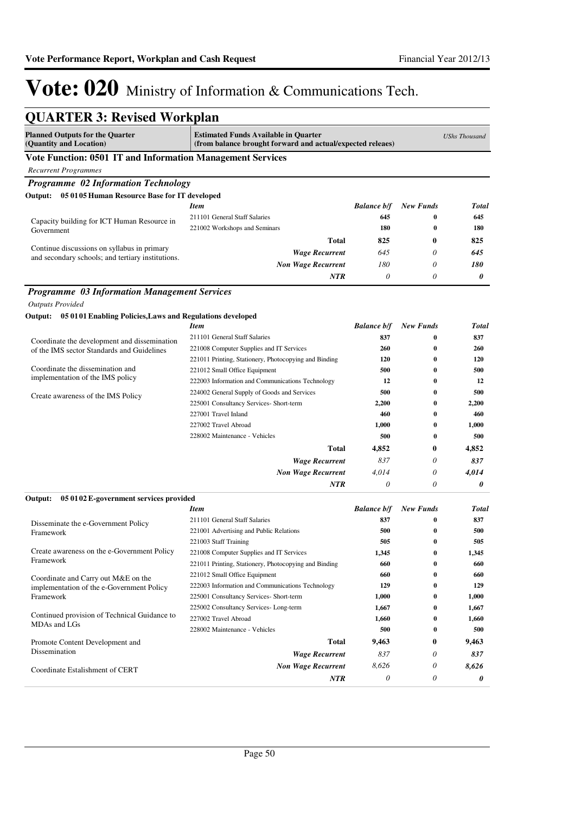| <b>QUARTER 3: Revised Workplan</b>                                                               |                                                                                                           |                           |                              |                      |
|--------------------------------------------------------------------------------------------------|-----------------------------------------------------------------------------------------------------------|---------------------------|------------------------------|----------------------|
| <b>Planned Outputs for the Quarter</b><br>(Quantity and Location)                                | <b>Estimated Funds Available in Quarter</b><br>(from balance brought forward and actual/expected releaes) |                           |                              | <b>UShs Thousand</b> |
| Vote Function: 0501 IT and Information Management Services                                       |                                                                                                           |                           |                              |                      |
| <b>Recurrent Programmes</b>                                                                      |                                                                                                           |                           |                              |                      |
| Programme 02 Information Technology                                                              |                                                                                                           |                           |                              |                      |
| 05 0105 Human Resource Base for IT developed<br>Output:                                          |                                                                                                           |                           |                              |                      |
|                                                                                                  | Item                                                                                                      | <b>Balance b/f</b>        | <b>New Funds</b>             | <b>Total</b>         |
| Capacity building for ICT Human Resource in                                                      | 211101 General Staff Salaries                                                                             | 645                       | $\bf{0}$                     | 645                  |
| Government                                                                                       | 221002 Workshops and Seminars                                                                             | 180                       | $\bf{0}$                     | 180                  |
|                                                                                                  | <b>Total</b>                                                                                              | 825                       | 0                            | 825                  |
| Continue discussions on syllabus in primary<br>and secondary schools; and tertiary institutions. | <b>Wage Recurrent</b>                                                                                     | 645                       | 0                            | 645                  |
|                                                                                                  | <b>Non Wage Recurrent</b>                                                                                 | 180                       | 0                            | 180                  |
|                                                                                                  | NTR                                                                                                       | $\theta$                  | 0                            | 0                    |
| <b>Programme 03 Information Management Services</b>                                              |                                                                                                           |                           |                              |                      |
| <b>Outputs Provided</b>                                                                          |                                                                                                           |                           |                              |                      |
| Output: 05 0101 Enabling Policies, Laws and Regulations developed                                |                                                                                                           |                           |                              |                      |
|                                                                                                  | Item                                                                                                      | <b>Balance b/f</b>        | <b>New Funds</b>             | <b>Total</b>         |
| Coordinate the development and dissemination                                                     | 211101 General Staff Salaries                                                                             | 837                       | $\bf{0}$                     | 837                  |
| of the IMS sector Standards and Guidelines                                                       | 221008 Computer Supplies and IT Services                                                                  | 260                       | $\bf{0}$                     | 260                  |
| Coordinate the dissemination and                                                                 | 221011 Printing, Stationery, Photocopying and Binding                                                     | 120                       | $\bf{0}$                     | 120                  |
| implementation of the IMS policy                                                                 | 221012 Small Office Equipment                                                                             | 500                       | $\bf{0}$                     | 500                  |
|                                                                                                  | 222003 Information and Communications Technology                                                          | 12                        | 0                            | 12                   |
| Create awareness of the IMS Policy                                                               | 224002 General Supply of Goods and Services                                                               | 500                       | $\bf{0}$                     | 500                  |
|                                                                                                  | 225001 Consultancy Services- Short-term<br>227001 Travel Inland                                           | 2,200<br>460              | $\bf{0}$<br>$\bf{0}$         | 2,200<br>460         |
|                                                                                                  | 227002 Travel Abroad                                                                                      | 1,000                     | $\bf{0}$                     | 1,000                |
|                                                                                                  | 228002 Maintenance - Vehicles                                                                             | 500                       | $\bf{0}$                     | 500                  |
|                                                                                                  | <b>Total</b>                                                                                              | 4,852                     | 0                            | 4,852                |
|                                                                                                  |                                                                                                           | 837                       | 0                            | 837                  |
|                                                                                                  | <b>Wage Recurrent</b>                                                                                     |                           | 0                            |                      |
|                                                                                                  | <b>Non Wage Recurrent</b><br>NTR                                                                          | 4,014<br>$\theta$         | 0                            | 4,014<br>0           |
|                                                                                                  |                                                                                                           |                           |                              |                      |
| Output:<br>05 01 02 E-government services provided                                               |                                                                                                           |                           |                              |                      |
|                                                                                                  | Item                                                                                                      | <b>Balance b/f</b><br>837 | <b>New Funds</b><br>$\bf{0}$ | <b>Total</b><br>837  |
| Disseminate the e-Government Policy                                                              | 211101 General Staff Salaries<br>221001 Advertising and Public Relations                                  | 500                       | $\bf{0}$                     | 500                  |
| Framework                                                                                        | 221003 Staff Training                                                                                     | 505                       | $\bf{0}$                     | 505                  |
| Create awareness on the e-Government Policy                                                      | 221008 Computer Supplies and IT Services                                                                  | 1,345                     | $\bf{0}$                     | 1,345                |
| Framework                                                                                        | 221011 Printing, Stationery, Photocopying and Binding                                                     | 660                       | $\bf{0}$                     | 660                  |
|                                                                                                  | 221012 Small Office Equipment                                                                             | 660                       | $\bf{0}$                     | 660                  |
| Coordinate and Carry out M&E on the<br>implementation of the e-Government Policy                 | 222003 Information and Communications Technology                                                          | 129                       | $\bf{0}$                     | 129                  |
| Framework                                                                                        | 225001 Consultancy Services- Short-term                                                                   | 1,000                     | $\bf{0}$                     | 1,000                |
|                                                                                                  | 225002 Consultancy Services-Long-term                                                                     | 1,667                     | 0                            | 1,667                |
| Continued provision of Technical Guidance to<br>MDAs and LGs                                     | 227002 Travel Abroad                                                                                      | 1,660                     | $\bf{0}$                     | 1,660                |
|                                                                                                  | 228002 Maintenance - Vehicles                                                                             | 500                       | $\bf{0}$                     | 500                  |
| Promote Content Development and                                                                  | Total                                                                                                     | 9,463                     | 0                            | 9,463                |
| Dissemination                                                                                    | <b>Wage Recurrent</b>                                                                                     | 837                       | 0                            | 837                  |
| Coordinate Estalishment of CERT                                                                  | <b>Non Wage Recurrent</b>                                                                                 | 8,626                     | 0                            | 8,626                |
|                                                                                                  | NTR                                                                                                       | $\theta$                  | 0                            | 0                    |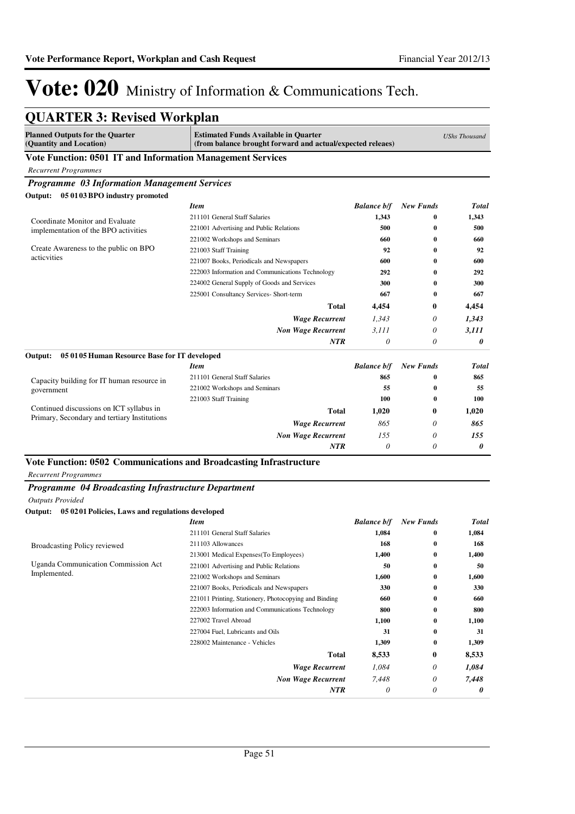| <b>QUARTER 3: Revised Workplan</b>                                |                                                                                                           |                    |                  |                      |
|-------------------------------------------------------------------|-----------------------------------------------------------------------------------------------------------|--------------------|------------------|----------------------|
| <b>Planned Outputs for the Quarter</b><br>(Quantity and Location) | <b>Estimated Funds Available in Quarter</b><br>(from balance brought forward and actual/expected releaes) |                    |                  | <b>UShs Thousand</b> |
| Vote Function: 0501 IT and Information Management Services        |                                                                                                           |                    |                  |                      |
| <b>Recurrent Programmes</b>                                       |                                                                                                           |                    |                  |                      |
| <b>Programme 03 Information Management Services</b>               |                                                                                                           |                    |                  |                      |
| 05 01 03 BPO industry promoted<br>Output:                         |                                                                                                           |                    |                  |                      |
|                                                                   | <b>Item</b>                                                                                               | <b>Balance b/f</b> | <b>New Funds</b> | Total                |
| Coordinate Monitor and Evaluate                                   | 211101 General Staff Salaries                                                                             | 1,343              | 0                | 1.343                |
| implementation of the BPO activities                              | 221001 Advertising and Public Relations                                                                   | 500                | $\bf{0}$         | 500                  |
|                                                                   | 221002 Workshops and Seminars                                                                             | 660                | 0                | 660                  |
| Create Awareness to the public on BPO<br>acticvities              | 221003 Staff Training                                                                                     | 92                 | 0                | 92                   |
|                                                                   | 221007 Books, Periodicals and Newspapers                                                                  | 600                | 0                | 600                  |
|                                                                   | 222003 Information and Communications Technology                                                          | 292                | 0                | 292                  |
|                                                                   | 224002 General Supply of Goods and Services                                                               | 300                | 0                | 300                  |
|                                                                   | 225001 Consultancy Services- Short-term                                                                   | 667                | 0                | 667                  |
|                                                                   | <b>Total</b>                                                                                              | 4,454              | 0                | 4,454                |
|                                                                   | <b>Wage Recurrent</b>                                                                                     | 1.343              | 0                | 1,343                |
|                                                                   | <b>Non Wage Recurrent</b>                                                                                 | 3.111              | 0                | 3,111                |
|                                                                   | <b>NTR</b>                                                                                                | $\theta$           | 0                | 0                    |
| 05 0105 Human Resource Base for IT developed<br>Output:           |                                                                                                           |                    |                  |                      |
|                                                                   | <b>Item</b>                                                                                               | <b>Balance b/f</b> | <b>New Funds</b> | Total                |
| Capacity building for IT human resource in                        | 211101 General Staff Salaries                                                                             | 865                | 0                | 865                  |
| government                                                        | 221002 Workshops and Seminars                                                                             | 55                 | $\bf{0}$         | 55                   |
|                                                                   | 221003 Staff Training                                                                                     | 100                | 0                | 100                  |
| Continued discussions on ICT syllabus in                          | <b>Total</b>                                                                                              | 1,020              | $\bf{0}$         | 1,020                |
| Primary, Secondary and tertiary Institutions                      | <b>Wage Recurrent</b>                                                                                     | 865                | 0                | 865                  |
|                                                                   | <b>Non Wage Recurrent</b>                                                                                 | 155                | 0                | 155                  |
|                                                                   | NTR                                                                                                       | 0                  | 0                | 0                    |

## **Vote Function: 0502 Communications and Broadcasting Infrastructure**

*Recurrent Programmes*

### *Programme 04 Broadcasting Infrastructure Department*

*Outputs Provided*

### **Output: 05 0201 Policies, Laws and regulations developed**

|                                            | <b>Item</b>                                           | <b>Balance b/f</b> | <b>New Funds</b> | <b>Total</b> |
|--------------------------------------------|-------------------------------------------------------|--------------------|------------------|--------------|
|                                            | 211101 General Staff Salaries                         | 1,084              | $\bf{0}$         | 1,084        |
| Broadcasting Policy reviewed               | 211103 Allowances                                     | 168                | $\bf{0}$         | 168          |
|                                            | 213001 Medical Expenses (To Employees)                | 1,400              | $\bf{0}$         | 1,400        |
| <b>Uganda Communication Commission Act</b> | 221001 Advertising and Public Relations               | 50                 | $\bf{0}$         | 50           |
| Implemented.                               | 221002 Workshops and Seminars                         | 1,600              | $\bf{0}$         | 1,600        |
|                                            | 221007 Books, Periodicals and Newspapers              | 330                | $\bf{0}$         | 330          |
|                                            | 221011 Printing, Stationery, Photocopying and Binding | 660                | $\bf{0}$         | 660          |
|                                            | 222003 Information and Communications Technology      | 800                | $\bf{0}$         | 800          |
|                                            | 227002 Travel Abroad                                  | 1,100              | $\bf{0}$         | 1,100        |
|                                            | 227004 Fuel, Lubricants and Oils                      | 31                 | $\bf{0}$         | 31           |
|                                            | 228002 Maintenance - Vehicles                         | 1,309              | $\bf{0}$         | 1,309        |
|                                            | <b>Total</b>                                          | 8,533              | $\bf{0}$         | 8,533        |
|                                            | <b>Wage Recurrent</b>                                 | 1,084              | 0                | 1,084        |
|                                            | <b>Non Wage Recurrent</b>                             | 7,448              | 0                | 7,448        |
|                                            | <b>NTR</b>                                            | $\theta$           | 0                | 0            |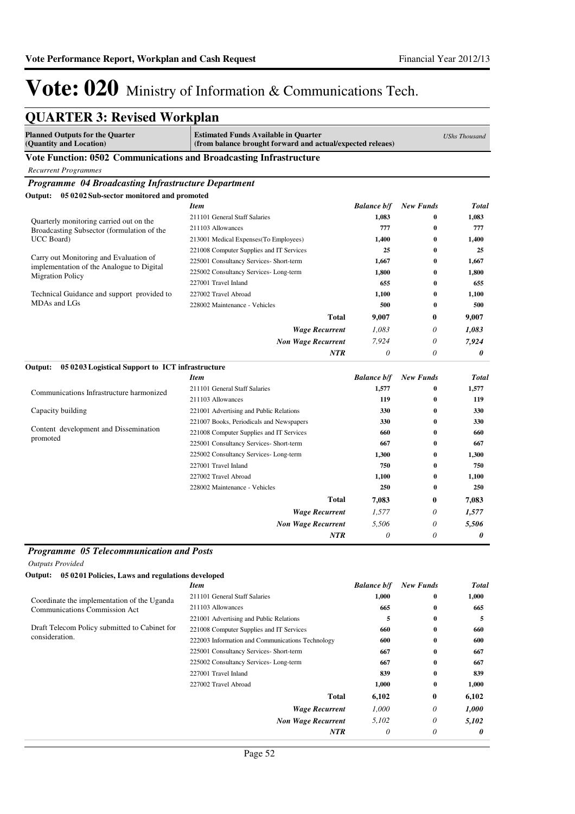| <b>Planned Outputs for the Quarter</b><br>(Quantity and Location)                   | <b>Estimated Funds Available in Quarter</b><br>(from balance brought forward and actual/expected releaes) |                    |                  | <b>UShs Thousand</b>  |
|-------------------------------------------------------------------------------------|-----------------------------------------------------------------------------------------------------------|--------------------|------------------|-----------------------|
| Vote Function: 0502 Communications and Broadcasting Infrastructure                  |                                                                                                           |                    |                  |                       |
| <b>Recurrent Programmes</b>                                                         |                                                                                                           |                    |                  |                       |
| Programme 04 Broadcasting Infrastructure Department                                 |                                                                                                           |                    |                  |                       |
| 05 02 02 Sub-sector monitored and promoted<br>Output:                               |                                                                                                           |                    |                  |                       |
|                                                                                     | <b>Item</b>                                                                                               | <b>Balance b/f</b> | <b>New Funds</b> | <b>Total</b>          |
| Quarterly monitoring carried out on the                                             | 211101 General Staff Salaries                                                                             | 1,083              | $\bf{0}$         | 1,083                 |
| Broadcasting Subsector (formulation of the                                          | 211103 Allowances                                                                                         | 777                | $\bf{0}$         | 777                   |
| UCC Board)                                                                          | 213001 Medical Expenses(To Employees)                                                                     | 1,400              | $\bf{0}$         | 1,400                 |
|                                                                                     | 221008 Computer Supplies and IT Services                                                                  | 25                 | 0                | 25                    |
| Carry out Monitoring and Evaluation of<br>implementation of the Analogue to Digital | 225001 Consultancy Services- Short-term                                                                   | 1.667              | $\bf{0}$         | 1.667                 |
| <b>Migration Policy</b>                                                             | 225002 Consultancy Services-Long-term                                                                     | 1,800              | 0                | 1,800                 |
|                                                                                     | 227001 Travel Inland                                                                                      | 655                | 0                | 655                   |
| Technical Guidance and support provided to                                          | 227002 Travel Abroad                                                                                      | 1,100              | $\bf{0}$         | 1,100                 |
| MDAs and LGs                                                                        | 228002 Maintenance - Vehicles                                                                             | 500                | $\bf{0}$         | 500                   |
|                                                                                     | <b>Total</b>                                                                                              | 9,007              | 0                | 9,007                 |
|                                                                                     | <b>Wage Recurrent</b>                                                                                     | 1,083              | 0                | 1,083                 |
|                                                                                     | <b>Non Wage Recurrent</b>                                                                                 | 7,924              | 0                | 7,924                 |
|                                                                                     | <b>NTR</b>                                                                                                | 0                  | $\theta$         | 0                     |
| 05 02 03 Logistical Support to ICT infrastructure<br>Output:                        |                                                                                                           |                    |                  |                       |
|                                                                                     | <b>Item</b>                                                                                               | <b>Balance b/f</b> | <b>New Funds</b> | <b>Total</b>          |
| Communications Infrastructure harmonized                                            | 211101 General Staff Salaries                                                                             | 1,577              | $\bf{0}$         | 1,577                 |
|                                                                                     | 211103 Allowances                                                                                         | 119                | $\bf{0}$         | 119                   |
| Capacity building                                                                   | 221001 Advertising and Public Relations                                                                   | 330                | $\bf{0}$         | 330                   |
| Content development and Dissemination                                               | 221007 Books, Periodicals and Newspapers                                                                  | 330                | $\bf{0}$         | 330                   |
| promoted                                                                            | 221008 Computer Supplies and IT Services                                                                  | 660                | 0                | 660                   |
|                                                                                     | 225001 Consultancy Services- Short-term                                                                   | 667                | 0                | 667                   |
|                                                                                     | 225002 Consultancy Services- Long-term                                                                    | 1,300              | $\bf{0}$         | 1,300                 |
|                                                                                     | 227001 Travel Inland                                                                                      | 750                | 0                | 750                   |
|                                                                                     | 227002 Travel Abroad                                                                                      | 1,100              | $\bf{0}$         | 1,100                 |
|                                                                                     | 228002 Maintenance - Vehicles                                                                             | 250                | $\bf{0}$         | 250                   |
|                                                                                     | <b>Total</b>                                                                                              | 7,083              | $\bf{0}$         | 7,083                 |
|                                                                                     | <b>Wage Recurrent</b>                                                                                     | 1,577              | 0                | 1,577                 |
|                                                                                     | <b>Non Wage Recurrent</b>                                                                                 | 5,506              | 0                | 5,506                 |
|                                                                                     | <b>NTR</b>                                                                                                | 0                  | $\theta$         | $\boldsymbol{\theta}$ |

*Outputs Provided*

| 05 0201 Policies, Laws and regulations developed<br>Output: |                                                  |                    |                  |              |
|-------------------------------------------------------------|--------------------------------------------------|--------------------|------------------|--------------|
|                                                             | Item                                             | <b>Balance b/f</b> | <b>New Funds</b> | <b>Total</b> |
| Coordinate the implementation of the Uganda                 | 211101 General Staff Salaries                    | 1,000              | $\bf{0}$         | 1,000        |
| <b>Communications Commission Act</b>                        | 211103 Allowances                                | 665                | $\bf{0}$         | 665          |
|                                                             | 221001 Advertising and Public Relations          | 5                  | $\bf{0}$         | 5            |
| Draft Telecom Policy submitted to Cabinet for               | 221008 Computer Supplies and IT Services         | 660                | $\bf{0}$         | 660          |
| consideration.                                              | 222003 Information and Communications Technology | 600                | $\bf{0}$         | 600          |
|                                                             | 225001 Consultancy Services- Short-term          | 667                | $\bf{0}$         | 667          |
|                                                             | 225002 Consultancy Services-Long-term            | 667                | $\bf{0}$         | 667          |
|                                                             | 227001 Travel Inland                             | 839                | 0                | 839          |
|                                                             | 227002 Travel Abroad                             | 1,000              | $\bf{0}$         | 1,000        |
|                                                             | Total                                            | 6,102              | $\bf{0}$         | 6,102        |
|                                                             | <b>Wage Recurrent</b>                            | 1,000              | 0                | 1,000        |
|                                                             | <b>Non Wage Recurrent</b>                        | 5,102              | 0                | 5,102        |
|                                                             | <b>NTR</b>                                       | 0                  | 0                | 0            |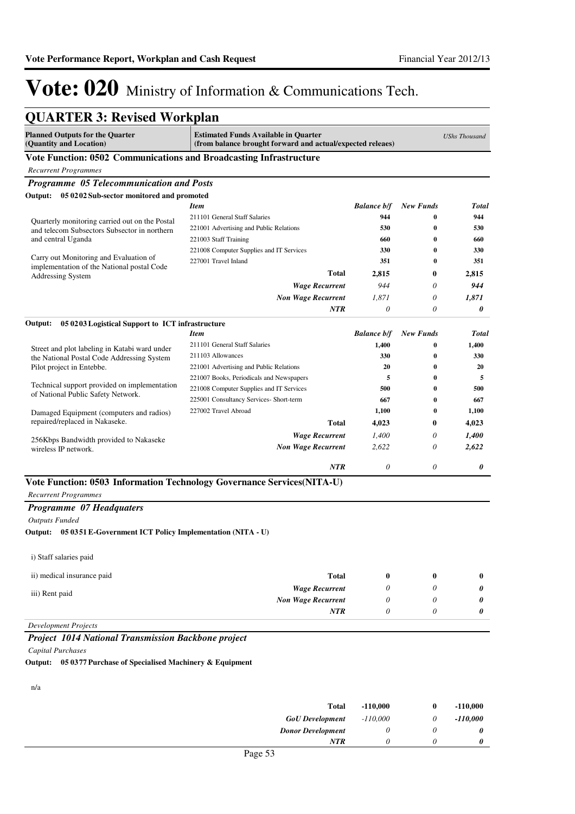| <b>QUARTER 3: Revised Workplan</b>                                                   |                                                                                                           |                    |                  |                      |
|--------------------------------------------------------------------------------------|-----------------------------------------------------------------------------------------------------------|--------------------|------------------|----------------------|
| <b>Planned Outputs for the Quarter</b><br>(Quantity and Location)                    | <b>Estimated Funds Available in Quarter</b><br>(from balance brought forward and actual/expected releaes) |                    |                  | <b>UShs Thousand</b> |
| Vote Function: 0502 Communications and Broadcasting Infrastructure                   |                                                                                                           |                    |                  |                      |
| <b>Recurrent Programmes</b>                                                          |                                                                                                           |                    |                  |                      |
| Programme 05 Telecommunication and Posts                                             |                                                                                                           |                    |                  |                      |
| Output: 05 0202 Sub-sector monitored and promoted                                    |                                                                                                           |                    |                  |                      |
|                                                                                      | <b>Item</b>                                                                                               | <b>Balance b/f</b> | <b>New Funds</b> | <b>Total</b>         |
| Quarterly monitoring carried out on the Postal                                       | 211101 General Staff Salaries                                                                             | 944                | 0                | 944                  |
| and telecom Subsectors Subsector in northern                                         | 221001 Advertising and Public Relations                                                                   | 530                | $\bf{0}$         | 530                  |
| and central Uganda                                                                   | 221003 Staff Training                                                                                     | 660                | $\bf{0}$         | 660                  |
|                                                                                      | 221008 Computer Supplies and IT Services                                                                  | 330                | $\bf{0}$         | 330                  |
| Carry out Monitoring and Evaluation of<br>implementation of the National postal Code | 227001 Travel Inland                                                                                      | 351                | $\bf{0}$         | 351                  |
| <b>Addressing System</b>                                                             | <b>Total</b>                                                                                              | 2,815              | 0                | 2,815                |
|                                                                                      | <b>Wage Recurrent</b>                                                                                     | 944                | 0                | 944                  |
|                                                                                      | <b>Non Wage Recurrent</b>                                                                                 | 1,871              | 0                | 1,871                |
|                                                                                      | <b>NTR</b>                                                                                                | $\theta$           | 0                | 0                    |
|                                                                                      |                                                                                                           |                    |                  |                      |
| 05 0203 Logistical Support to ICT infrastructure<br>Output:                          | <b>Item</b>                                                                                               | <b>Balance b/f</b> | <b>New Funds</b> | <b>Total</b>         |
|                                                                                      | 211101 General Staff Salaries                                                                             | 1,400              | $\bf{0}$         | 1,400                |
| Street and plot labeling in Katabi ward under                                        | 211103 Allowances                                                                                         | 330                | $\bf{0}$         | 330                  |
| the National Postal Code Addressing System<br>Pilot project in Entebbe.              |                                                                                                           | 20                 | $\bf{0}$         | 20                   |
|                                                                                      | 221001 Advertising and Public Relations<br>221007 Books, Periodicals and Newspapers                       | 5                  | $\bf{0}$         | 5                    |
| Technical support provided on implementation                                         | 221008 Computer Supplies and IT Services                                                                  | 500                | $\bf{0}$         | 500                  |
| of National Public Safety Network.                                                   | 225001 Consultancy Services- Short-term                                                                   | 667                | $\bf{0}$         | 667                  |
|                                                                                      | 227002 Travel Abroad                                                                                      | 1,100              | $\bf{0}$         | 1,100                |
| Damaged Equipment (computers and radios)<br>repaired/replaced in Nakaseke.           | <b>Total</b>                                                                                              |                    |                  |                      |
|                                                                                      |                                                                                                           | 4,023              | 0                | 4,023                |
| 256Kbps Bandwidth provided to Nakaseke                                               | <b>Wage Recurrent</b>                                                                                     | 1,400              | 0                | 1,400                |
| wireless IP network.                                                                 | <b>Non Wage Recurrent</b>                                                                                 | 2,622              | 0                | 2,622                |
|                                                                                      | <b>NTR</b>                                                                                                | 0                  | 0                | 0                    |
|                                                                                      | Vote Function: 0503 Information Technology Governance Services(NITA-U)                                    |                    |                  |                      |
| <b>Recurrent Programmes</b>                                                          |                                                                                                           |                    |                  |                      |
| Programme 07 Headquaters                                                             |                                                                                                           |                    |                  |                      |
| <b>Outputs Funded</b>                                                                |                                                                                                           |                    |                  |                      |
| Output: 05 0351 E-Government ICT Policy Implementation (NITA - U)                    |                                                                                                           |                    |                  |                      |
| i) Staff salaries paid                                                               |                                                                                                           |                    |                  |                      |
| ii) medical insurance paid                                                           | <b>Total</b>                                                                                              | 0                  | 0                | $\bf{0}$             |
|                                                                                      | <b>Wage Recurrent</b>                                                                                     | 0                  | 0                | 0                    |
| iii) Rent paid                                                                       | <b>Non Wage Recurrent</b>                                                                                 | 0                  | 0                | 0                    |
|                                                                                      | NTR                                                                                                       | 0                  | 0                | 0                    |
| <b>Development Projects</b>                                                          |                                                                                                           |                    |                  |                      |
| Project 1014 National Transmission Backbone project                                  |                                                                                                           |                    |                  |                      |
| <b>Capital Purchases</b>                                                             |                                                                                                           |                    |                  |                      |
| Output: 050377 Purchase of Specialised Machinery & Faujament                         |                                                                                                           |                    |                  |                      |

**Output: 05 0377 Purchase of Specialised Machinery & Equipment**

n/a

| <b>Total</b>             | $-110,000$ | $\bf{0}$ | $-110,000$ |
|--------------------------|------------|----------|------------|
| <b>GoU</b> Development   | $-110,000$ |          | $-110,000$ |
| <b>Donor Development</b> |            |          |            |
| NTR                      |            |          | 0          |
| $D_{0.22}$ 52            |            |          |            |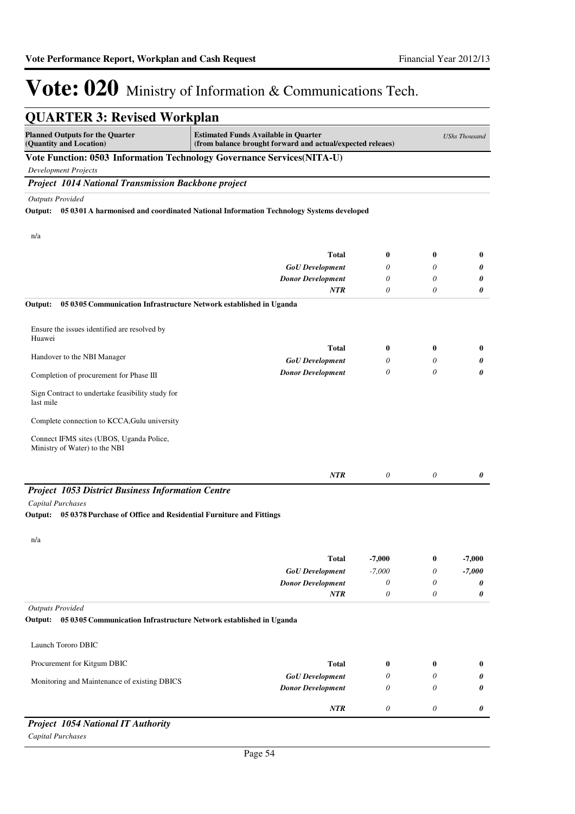| <b>QUARTER 3: Revised Workplan</b>                                                                       |                                                                                                           |                           |                       |                      |
|----------------------------------------------------------------------------------------------------------|-----------------------------------------------------------------------------------------------------------|---------------------------|-----------------------|----------------------|
| <b>Planned Outputs for the Quarter</b><br>(Quantity and Location)                                        | <b>Estimated Funds Available in Quarter</b><br>(from balance brought forward and actual/expected releaes) |                           |                       | <b>UShs Thousand</b> |
| Vote Function: 0503 Information Technology Governance Services(NITA-U)                                   |                                                                                                           |                           |                       |                      |
| <b>Development Projects</b>                                                                              |                                                                                                           |                           |                       |                      |
| <b>Project 1014 National Transmission Backbone project</b>                                               |                                                                                                           |                           |                       |                      |
| <b>Outputs Provided</b>                                                                                  |                                                                                                           |                           |                       |                      |
|                                                                                                          | Output: 05 0301 A harmonised and coordinated National Information Technology Systems developed            |                           |                       |                      |
| n/a                                                                                                      |                                                                                                           |                           |                       |                      |
|                                                                                                          | <b>Total</b>                                                                                              | 0                         | $\bf{0}$              | 0                    |
|                                                                                                          | <b>GoU</b> Development                                                                                    | 0                         | 0                     | 0                    |
|                                                                                                          | <b>Donor Development</b>                                                                                  | 0                         | 0                     | 0                    |
|                                                                                                          | <b>NTR</b>                                                                                                | 0                         | $\theta$              | 0                    |
| Output:<br>05 03 05 Communication Infrastructure Network established in Uganda                           |                                                                                                           |                           |                       |                      |
| Ensure the issues identified are resolved by<br>Huawei                                                   |                                                                                                           |                           |                       |                      |
|                                                                                                          | <b>Total</b>                                                                                              | 0                         | $\bf{0}$              | 0                    |
| Handover to the NBI Manager                                                                              | <b>GoU</b> Development                                                                                    | 0                         | 0                     | 0                    |
| Completion of procurement for Phase III                                                                  | <b>Donor Development</b>                                                                                  | 0                         | $\theta$              | 0                    |
| Sign Contract to undertake feasibility study for<br>last mile                                            |                                                                                                           |                           |                       |                      |
| Complete connection to KCCA, Gulu university                                                             |                                                                                                           |                           |                       |                      |
| Connect IFMS sites (UBOS, Uganda Police,<br>Ministry of Water) to the NBI                                |                                                                                                           |                           |                       |                      |
|                                                                                                          | <b>NTR</b>                                                                                                | 0                         | 0                     | 0                    |
| <b>Project 1053 District Business Information Centre</b>                                                 |                                                                                                           |                           |                       |                      |
| <b>Capital Purchases</b>                                                                                 |                                                                                                           |                           |                       |                      |
| 05 0378 Purchase of Office and Residential Furniture and Fittings<br>Output:                             |                                                                                                           |                           |                       |                      |
| n/a                                                                                                      |                                                                                                           |                           |                       |                      |
|                                                                                                          | Total                                                                                                     | $-7,000$                  | 0                     | $-7,000$             |
|                                                                                                          | <b>GoU</b> Development                                                                                    | $-7,000$                  | 0                     | $-7,000$             |
|                                                                                                          | <b>Donor Development</b>                                                                                  | 0                         | 0                     | 0                    |
|                                                                                                          | NTR                                                                                                       | $\boldsymbol{\mathit{0}}$ | 0                     | 0                    |
| <b>Outputs Provided</b><br>Output:<br>05 0305 Communication Infrastructure Network established in Uganda |                                                                                                           |                           |                       |                      |
| Launch Tororo DBIC                                                                                       |                                                                                                           |                           |                       |                      |
| Procurement for Kitgum DBIC                                                                              | <b>Total</b>                                                                                              | 0                         | $\bf{0}$              | 0                    |
|                                                                                                          | <b>GoU</b> Development                                                                                    | 0                         | 0                     | 0                    |
| Monitoring and Maintenance of existing DBICS                                                             | <b>Donor Development</b>                                                                                  | 0                         | 0                     | 0                    |
|                                                                                                          | <b>NTR</b>                                                                                                | $\boldsymbol{\theta}$     | $\boldsymbol{\theta}$ | 0                    |
| <b>Project 1054 National IT Authority</b>                                                                |                                                                                                           |                           |                       |                      |

*Capital Purchases*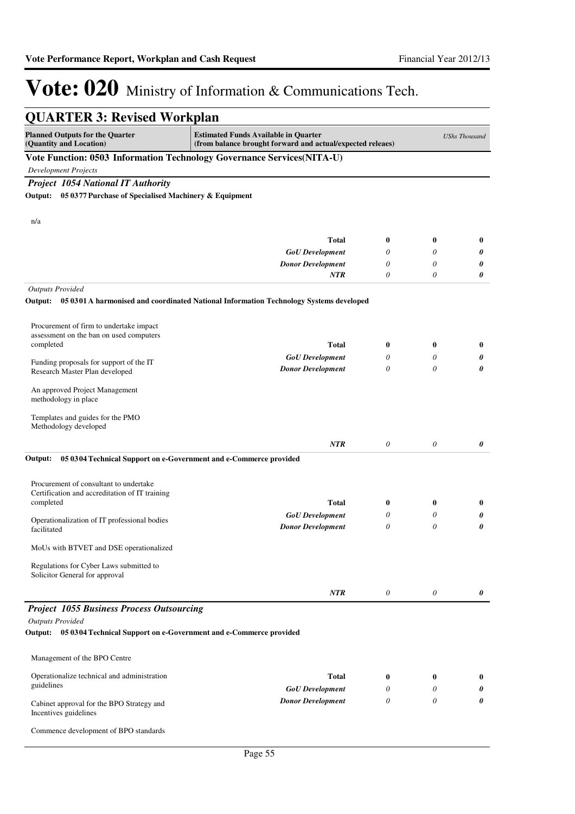| <b>QUARTER 3: Revised Workplan</b>                                                                                                                                             |                                                                                                |                  |                       |          |  |
|--------------------------------------------------------------------------------------------------------------------------------------------------------------------------------|------------------------------------------------------------------------------------------------|------------------|-----------------------|----------|--|
| <b>Planned Outputs for the Quarter</b><br><b>Estimated Funds Available in Quarter</b><br>(Quantity and Location)<br>(from balance brought forward and actual/expected releaes) |                                                                                                |                  |                       |          |  |
|                                                                                                                                                                                | Vote Function: 0503 Information Technology Governance Services(NITA-U)                         |                  |                       |          |  |
| <b>Development Projects</b>                                                                                                                                                    |                                                                                                |                  |                       |          |  |
| <b>Project 1054 National IT Authority</b>                                                                                                                                      |                                                                                                |                  |                       |          |  |
| 05 0377 Purchase of Specialised Machinery & Equipment<br>Output:                                                                                                               |                                                                                                |                  |                       |          |  |
| n/a                                                                                                                                                                            |                                                                                                |                  |                       |          |  |
|                                                                                                                                                                                | Total                                                                                          | $\boldsymbol{0}$ | $\bf{0}$              | $\bf{0}$ |  |
|                                                                                                                                                                                | <b>GoU</b> Development                                                                         | 0                | 0                     | 0        |  |
|                                                                                                                                                                                | <b>Donor Development</b>                                                                       | $\theta$         | $\theta$              | 0        |  |
|                                                                                                                                                                                | NTR                                                                                            | $\theta$         | 0                     | 0        |  |
| <b>Outputs Provided</b>                                                                                                                                                        | Output: 05 0301 A harmonised and coordinated National Information Technology Systems developed |                  |                       |          |  |
| Procurement of firm to undertake impact                                                                                                                                        |                                                                                                |                  |                       |          |  |
| assessment on the ban on used computers                                                                                                                                        |                                                                                                |                  |                       |          |  |
| completed                                                                                                                                                                      | Total                                                                                          | $\bf{0}$         | $\bf{0}$              | $\bf{0}$ |  |
| Funding proposals for support of the IT                                                                                                                                        | <b>GoU</b> Development                                                                         | $\theta$         | $\theta$              | 0        |  |
| Research Master Plan developed                                                                                                                                                 | <b>Donor Development</b>                                                                       | $\theta$         | $\theta$              | 0        |  |
| An approved Project Management<br>methodology in place                                                                                                                         |                                                                                                |                  |                       |          |  |
| Templates and guides for the PMO<br>Methodology developed                                                                                                                      |                                                                                                |                  |                       |          |  |
|                                                                                                                                                                                | <b>NTR</b>                                                                                     | $\theta$         | $\boldsymbol{\theta}$ | 0        |  |
| Output:                                                                                                                                                                        | 05 0304 Technical Support on e-Government and e-Commerce provided                              |                  |                       |          |  |
| Procurement of consultant to undertake                                                                                                                                         |                                                                                                |                  |                       |          |  |
| Certification and accreditation of IT training<br>completed                                                                                                                    | <b>Total</b>                                                                                   | $\bf{0}$         | $\bf{0}$              | $\bf{0}$ |  |
|                                                                                                                                                                                | <b>GoU</b> Development                                                                         | 0                | 0                     | 0        |  |
| Operationalization of IT professional bodies<br>facilitated                                                                                                                    | <b>Donor Development</b>                                                                       | $\theta$         | 0                     | 0        |  |
| MoUs with BTVET and DSE operationalized                                                                                                                                        |                                                                                                |                  |                       |          |  |
| Regulations for Cyber Laws submitted to<br>Solicitor General for approval                                                                                                      |                                                                                                |                  |                       |          |  |
|                                                                                                                                                                                | NTR                                                                                            | $\theta$         | $\theta$              | 0        |  |
| <b>Project 1055 Business Process Outsourcing</b>                                                                                                                               |                                                                                                |                  |                       |          |  |
| <b>Outputs Provided</b>                                                                                                                                                        |                                                                                                |                  |                       |          |  |
| Output: 05 0304 Technical Support on e-Government and e-Commerce provided                                                                                                      |                                                                                                |                  |                       |          |  |
| Management of the BPO Centre                                                                                                                                                   |                                                                                                |                  |                       |          |  |
| Operationalize technical and administration                                                                                                                                    | <b>Total</b>                                                                                   | $\bf{0}$         | $\bf{0}$              | $\bf{0}$ |  |
| guidelines                                                                                                                                                                     | <b>GoU</b> Development                                                                         | 0                | 0                     | 0        |  |
| Cabinet approval for the BPO Strategy and<br>Incentives guidelines                                                                                                             | <b>Donor Development</b>                                                                       | 0                | 0                     | 0        |  |
| Commence development of BPO standards                                                                                                                                          |                                                                                                |                  |                       |          |  |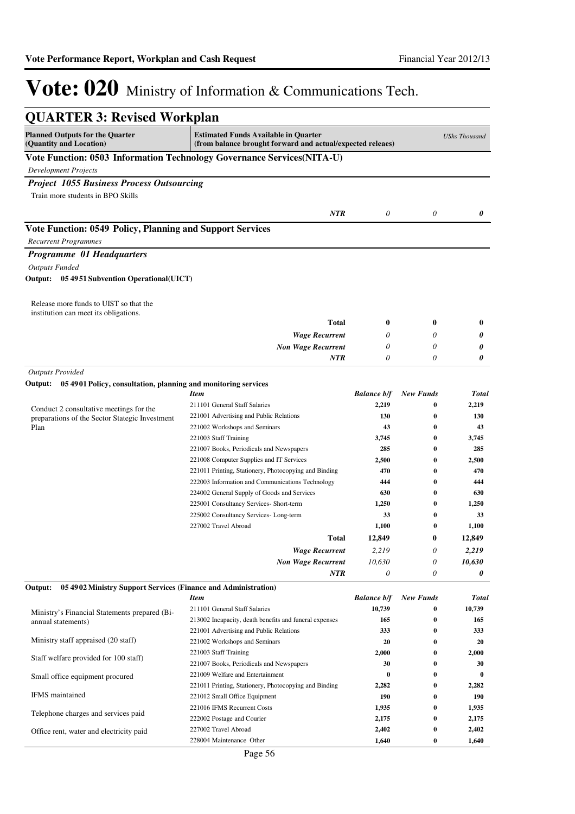| <b>QUARTER 3: Revised Workplan</b>                                                       |                                                                                                                                   |                    |                      |              |  |  |  |
|------------------------------------------------------------------------------------------|-----------------------------------------------------------------------------------------------------------------------------------|--------------------|----------------------|--------------|--|--|--|
| <b>Planned Outputs for the Quarter</b><br>(Quantity and Location)                        | <b>Estimated Funds Available in Quarter</b><br><b>UShs Thousand</b><br>(from balance brought forward and actual/expected releaes) |                    |                      |              |  |  |  |
|                                                                                          | Vote Function: 0503 Information Technology Governance Services(NITA-U)                                                            |                    |                      |              |  |  |  |
| <b>Development Projects</b>                                                              |                                                                                                                                   |                    |                      |              |  |  |  |
| <b>Project 1055 Business Process Outsourcing</b>                                         |                                                                                                                                   |                    |                      |              |  |  |  |
| Train more students in BPO Skills                                                        |                                                                                                                                   |                    |                      |              |  |  |  |
|                                                                                          |                                                                                                                                   |                    |                      |              |  |  |  |
|                                                                                          | <b>NTR</b>                                                                                                                        | 0                  | 0                    | 0            |  |  |  |
| Vote Function: 0549 Policy, Planning and Support Services<br><b>Recurrent Programmes</b> |                                                                                                                                   |                    |                      |              |  |  |  |
| Programme 01 Headquarters                                                                |                                                                                                                                   |                    |                      |              |  |  |  |
| <b>Outputs Funded</b>                                                                    |                                                                                                                                   |                    |                      |              |  |  |  |
| Output: 05 4951 Subvention Operational(UICT)                                             |                                                                                                                                   |                    |                      |              |  |  |  |
| Release more funds to UIST so that the<br>institution can meet its obligations.          |                                                                                                                                   |                    |                      |              |  |  |  |
|                                                                                          | Total                                                                                                                             | $\bf{0}$           | 0                    | 0            |  |  |  |
|                                                                                          | <b>Wage Recurrent</b>                                                                                                             | 0                  | 0                    | 0            |  |  |  |
|                                                                                          | <b>Non Wage Recurrent</b>                                                                                                         | 0                  | 0                    | 0            |  |  |  |
|                                                                                          | <b>NTR</b>                                                                                                                        | 0                  | 0                    | 0            |  |  |  |
| <b>Outputs Provided</b>                                                                  |                                                                                                                                   |                    |                      |              |  |  |  |
| Output: 05 4901 Policy, consultation, planning and monitoring services                   |                                                                                                                                   |                    |                      |              |  |  |  |
|                                                                                          | <b>Item</b>                                                                                                                       | <b>Balance b/f</b> | <b>New Funds</b>     | <b>Total</b> |  |  |  |
| Conduct 2 consultative meetings for the                                                  | 211101 General Staff Salaries                                                                                                     | 2,219              | $\bf{0}$             | 2,219        |  |  |  |
| preparations of the Sector Stategic Investment                                           | 221001 Advertising and Public Relations                                                                                           | 130                | 0                    | 130          |  |  |  |
| Plan                                                                                     | 221002 Workshops and Seminars                                                                                                     | 43                 | 0                    | 43           |  |  |  |
|                                                                                          | 221003 Staff Training<br>221007 Books, Periodicals and Newspapers                                                                 | 3,745<br>285       | 0<br>$\bf{0}$        | 3,745<br>285 |  |  |  |
|                                                                                          | 221008 Computer Supplies and IT Services                                                                                          | 2,500              | $\bf{0}$             | 2,500        |  |  |  |
|                                                                                          | 221011 Printing, Stationery, Photocopying and Binding                                                                             | 470                | $\bf{0}$             | 470          |  |  |  |
|                                                                                          | 222003 Information and Communications Technology                                                                                  | 444                | $\bf{0}$             | 444          |  |  |  |
|                                                                                          | 224002 General Supply of Goods and Services                                                                                       | 630                | $\bf{0}$             | 630          |  |  |  |
|                                                                                          | 225001 Consultancy Services- Short-term                                                                                           | 1,250              | $\bf{0}$             | 1,250        |  |  |  |
|                                                                                          | 225002 Consultancy Services-Long-term                                                                                             | 33                 | $\bf{0}$             | 33           |  |  |  |
|                                                                                          | 227002 Travel Abroad                                                                                                              | 1,100              | 0                    | 1,100        |  |  |  |
|                                                                                          | <b>Total</b>                                                                                                                      | 12,849             | 0                    | 12,849       |  |  |  |
|                                                                                          | <b>Wage Recurrent</b>                                                                                                             | 2,219              | 0                    | 2,219        |  |  |  |
|                                                                                          | <b>Non Wage Recurrent</b>                                                                                                         | 10,630             | 0                    | 10,630       |  |  |  |
|                                                                                          | <b>NTR</b>                                                                                                                        | 0                  | 0                    | 0            |  |  |  |
| 05 4902 Ministry Support Services (Finance and Administration)<br>Output:                |                                                                                                                                   |                    |                      |              |  |  |  |
|                                                                                          | <b>Item</b>                                                                                                                       | <b>Balance b/f</b> | <b>New Funds</b>     | Total        |  |  |  |
| Ministry's Financial Statements prepared (Bi-                                            | 211101 General Staff Salaries                                                                                                     | 10,739             | $\bf{0}$             | 10,739       |  |  |  |
| annual statements)                                                                       | 213002 Incapacity, death benefits and funeral expenses                                                                            | 165                | $\bf{0}$             | 165          |  |  |  |
| Ministry staff appraised (20 staff)                                                      | 221001 Advertising and Public Relations                                                                                           | 333                | $\bf{0}$             | 333          |  |  |  |
|                                                                                          | 221002 Workshops and Seminars<br>221003 Staff Training                                                                            | 20<br>2,000        | $\bf{0}$<br>$\bf{0}$ | 20<br>2,000  |  |  |  |
| Staff welfare provided for 100 staff)                                                    | 221007 Books, Periodicals and Newspapers                                                                                          | 30                 | $\bf{0}$             | 30           |  |  |  |
| Small office equipment procured                                                          | 221009 Welfare and Entertainment                                                                                                  | $\bf{0}$           | $\bf{0}$             | $\bf{0}$     |  |  |  |
|                                                                                          | 221011 Printing, Stationery, Photocopying and Binding                                                                             | 2,282              | $\bf{0}$             | 2,282        |  |  |  |
| IFMS maintained                                                                          | 221012 Small Office Equipment                                                                                                     | 190                | $\bf{0}$             | 190          |  |  |  |
|                                                                                          | 221016 IFMS Recurrent Costs                                                                                                       | 1,935              | $\bf{0}$             | 1,935        |  |  |  |
| Telephone charges and services paid                                                      | 222002 Postage and Courier                                                                                                        | 2,175              | $\bf{0}$             | 2,175        |  |  |  |
| Office rent, water and electricity paid                                                  | 227002 Travel Abroad                                                                                                              | 2,402              | $\bf{0}$             | 2,402        |  |  |  |
|                                                                                          | 228004 Maintenance Other                                                                                                          | 1,640              | $\bf{0}$             | 1,640        |  |  |  |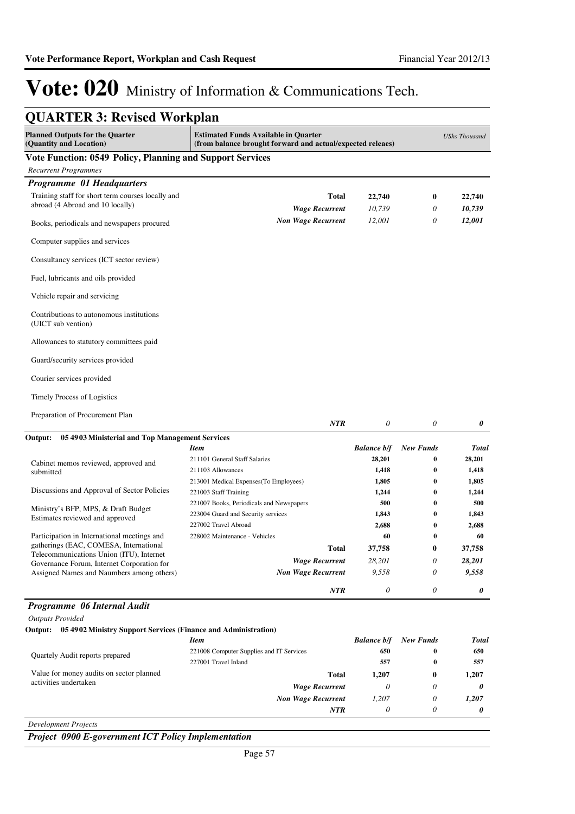*28,201 9,558 0*

*0 0 0*

**0**

**37,758**

# Vote: 020 Ministry of Information & Communications Tech.

| <b>QUARTER 3: Revised Workplan</b>                                                    |                                                                                                           |                    |                  |                  |  |
|---------------------------------------------------------------------------------------|-----------------------------------------------------------------------------------------------------------|--------------------|------------------|------------------|--|
| <b>Planned Outputs for the Quarter</b><br>(Quantity and Location)                     | <b>Estimated Funds Available in Ouarter</b><br>(from balance brought forward and actual/expected releaes) |                    |                  |                  |  |
| Vote Function: 0549 Policy, Planning and Support Services                             |                                                                                                           |                    |                  |                  |  |
| <b>Recurrent Programmes</b>                                                           |                                                                                                           |                    |                  |                  |  |
| Programme 01 Headquarters                                                             |                                                                                                           |                    |                  |                  |  |
| Training staff for short term courses locally and<br>abroad (4 Abroad and 10 locally) | Total<br><b>Wage Recurrent</b>                                                                            | 22,740<br>10.739   | $\bf{0}$<br>0    | 22,740<br>10,739 |  |
| Books, periodicals and newspapers procured                                            | <b>Non Wage Recurrent</b>                                                                                 | 12,001             | 0                | 12,001           |  |
| Computer supplies and services                                                        |                                                                                                           |                    |                  |                  |  |
| Consultancy services (ICT sector review)                                              |                                                                                                           |                    |                  |                  |  |
| Fuel, lubricants and oils provided                                                    |                                                                                                           |                    |                  |                  |  |
| Vehicle repair and servicing                                                          |                                                                                                           |                    |                  |                  |  |
| Contributions to autonomous institutions<br>(UICT sub vention)                        |                                                                                                           |                    |                  |                  |  |
| Allowances to statutory committees paid                                               |                                                                                                           |                    |                  |                  |  |
| Guard/security services provided                                                      |                                                                                                           |                    |                  |                  |  |
| Courier services provided                                                             |                                                                                                           |                    |                  |                  |  |
| <b>Timely Process of Logistics</b>                                                    |                                                                                                           |                    |                  |                  |  |
| Preparation of Procurement Plan                                                       | <b>NTR</b>                                                                                                | $\theta$           | $\theta$         | 0                |  |
| Output:<br>05 4903 Ministerial and Top Management Services                            |                                                                                                           |                    |                  |                  |  |
|                                                                                       | <b>Item</b>                                                                                               | <b>Balance b/f</b> | <b>New Funds</b> | <b>Total</b>     |  |
| Cabinet memos reviewed, approved and                                                  | 211101 General Staff Salaries                                                                             | 28,201             | 0                | 28,201           |  |
| submitted                                                                             | 211103 Allowances                                                                                         | 1,418              | $\bf{0}$         | 1,418            |  |
|                                                                                       | 213001 Medical Expenses(To Employees)                                                                     | 1,805              | $\bf{0}$         | 1,805            |  |
| Discussions and Approval of Sector Policies                                           | 221003 Staff Training                                                                                     | 1,244              | $\bf{0}$         | 1,244            |  |
| Ministry's BFP, MPS, & Draft Budget                                                   | 221007 Books, Periodicals and Newspapers                                                                  | 500                | 0                | 500              |  |
| Estimates reviewed and approved                                                       | 223004 Guard and Security services                                                                        | 1,843              | 0                | 1,843            |  |

Participation in International meetings and gatherings (EAC, COMESA, International Telecommunications Union (ITU), Internet Governance Forum, Internet Corporation for Assigned Names and Naumbers among others) *Non Wage Recurrent* 228002 Maintenance - Vehicles **60 0 60**

### *Programme 06 Internal Audit*

*Outputs Provided*

### **Output: 05 4902 Ministry Support Services (Finance and Administration)**

|                                          | Item                                     | <b>Balance b/f</b> | <b>New Funds</b> | Total    |
|------------------------------------------|------------------------------------------|--------------------|------------------|----------|
| Quartely Audit reports prepared          | 221008 Computer Supplies and IT Services | 650                | 0                | 650      |
|                                          | 227001 Travel Inland                     | 557                | $\bf{0}$         | 557      |
| Value for money audits on sector planned | <b>Total</b>                             | 1.207              | 0                | 1,207    |
| activities undertaken                    | <b>Wage Recurrent</b>                    |                    |                  | $\theta$ |
|                                          | <b>Non Wage Recurrent</b>                | 1.207              |                  | 1,207    |
|                                          | <b>NTR</b>                               | 0                  |                  |          |
|                                          |                                          |                    |                  |          |

*Wage Recurrent*

**Total**

227002 Travel Abroad **2,688 0 2,688**

*28,201 9,558 0*

**37,758**

*NTR*

*Development Projects*

*Project 0900 E-government ICT Policy Implementation*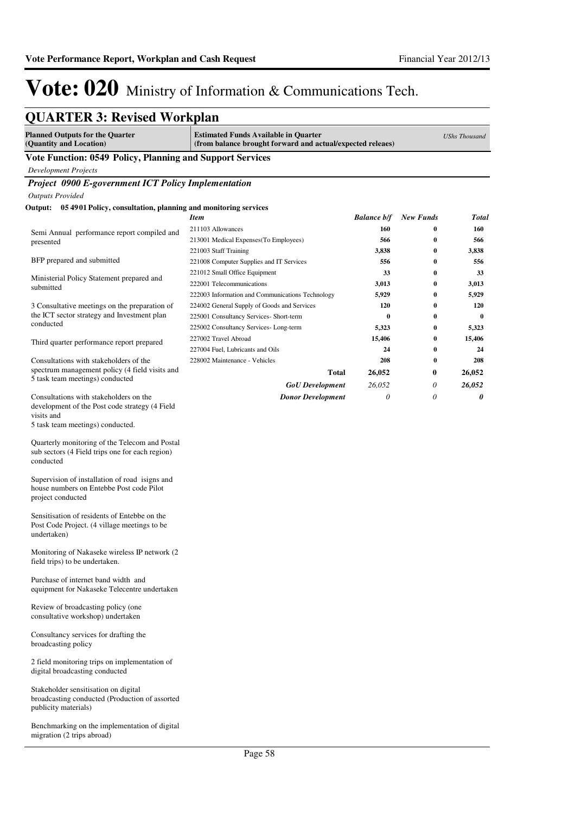# **QUARTER 3: Revised Workplan**

| <b>Planned Outputs for the Quarter</b><br>(Quantity and Location)                                               | <b>Estimated Funds Available in Quarter</b><br>(from balance brought forward and actual/expected releaes) |                    |                  | <b>UShs Thousand</b> |
|-----------------------------------------------------------------------------------------------------------------|-----------------------------------------------------------------------------------------------------------|--------------------|------------------|----------------------|
| Vote Function: 0549 Policy, Planning and Support Services                                                       |                                                                                                           |                    |                  |                      |
| Development Projects                                                                                            |                                                                                                           |                    |                  |                      |
| Project 0900 E-government ICT Policy Implementation                                                             |                                                                                                           |                    |                  |                      |
| <b>Outputs Provided</b>                                                                                         |                                                                                                           |                    |                  |                      |
| Output: 05 4901 Policy, consultation, planning and monitoring services                                          |                                                                                                           |                    |                  |                      |
|                                                                                                                 | Item                                                                                                      | <b>Balance b/f</b> | <b>New Funds</b> | <b>Total</b>         |
|                                                                                                                 | 211103 Allowances                                                                                         | 160                | 0                | 160                  |
| Semi Annual performance report compiled and<br>presented                                                        | 213001 Medical Expenses(To Employees)                                                                     | 566                | 0                | 566                  |
|                                                                                                                 | 221003 Staff Training                                                                                     | 3,838              | $\bf{0}$         | 3,838                |
| BFP prepared and submitted                                                                                      | 221008 Computer Supplies and IT Services                                                                  | 556                | $\bf{0}$         | 556                  |
|                                                                                                                 | 221012 Small Office Equipment                                                                             | 33                 | $\bf{0}$         | 33                   |
| Ministerial Policy Statement prepared and<br>submitted                                                          | 222001 Telecommunications                                                                                 | 3,013              | $\bf{0}$         | 3,013                |
|                                                                                                                 | 222003 Information and Communications Technology                                                          | 5,929              | $\bf{0}$         | 5,929                |
| 3 Consultative meetings on the preparation of                                                                   | 224002 General Supply of Goods and Services                                                               | 120                | $\bf{0}$         | 120                  |
| the ICT sector strategy and Investment plan<br>conducted                                                        | 225001 Consultancy Services- Short-term                                                                   | $\bf{0}$           | $\bf{0}$         | $\bf{0}$             |
|                                                                                                                 | 225002 Consultancy Services-Long-term                                                                     | 5,323              | $\bf{0}$         | 5,323                |
| Third quarter performance report prepared                                                                       | 227002 Travel Abroad                                                                                      | 15,406             | $\bf{0}$         | 15,406               |
|                                                                                                                 | 227004 Fuel, Lubricants and Oils                                                                          | 24                 | 0                | 24                   |
| Consultations with stakeholders of the<br>spectrum management policy (4 field visits and                        | 228002 Maintenance - Vehicles                                                                             | 208                | $\bf{0}$         | 208                  |
| 5 task team meetings) conducted                                                                                 | Total                                                                                                     | 26,052             | 0                | 26,052               |
|                                                                                                                 | <b>GoU</b> Development                                                                                    | 26,052             | 0                | 26,052               |
| Consultations with stakeholders on the<br>development of the Post code strategy (4 Field<br>visits and          | <b>Donor Development</b>                                                                                  | 0                  | 0                | 0                    |
| 5 task team meetings) conducted.                                                                                |                                                                                                           |                    |                  |                      |
| Quarterly monitoring of the Telecom and Postal<br>sub sectors (4 Field trips one for each region)<br>conducted  |                                                                                                           |                    |                  |                      |
| Supervision of installation of road isigns and<br>house numbers on Entebbe Post code Pilot<br>project conducted |                                                                                                           |                    |                  |                      |
| Sensitisation of residents of Entebbe on the<br>Post Code Project. (4 village meetings to be<br>undertaken)     |                                                                                                           |                    |                  |                      |
| Monitoring of Nakaseke wireless IP network (2)<br>field trips) to be undertaken.                                |                                                                                                           |                    |                  |                      |
| Purchase of internet band width and<br>equipment for Nakaseke Telecentre undertaken                             |                                                                                                           |                    |                  |                      |
| Review of broadcasting policy (one<br>consultative workshop) undertaken                                         |                                                                                                           |                    |                  |                      |
| Consultancy services for drafting the<br>broadcasting policy                                                    |                                                                                                           |                    |                  |                      |
| 2 field monitoring trips on implementation of<br>digital broadcasting conducted                                 |                                                                                                           |                    |                  |                      |
| Stakeholder sensitisation on digital<br>broadcasting conducted (Production of assorted<br>publicity materials)  |                                                                                                           |                    |                  |                      |
| Benchmarking on the implementation of digital<br>migration (2 trips abroad)                                     |                                                                                                           |                    |                  |                      |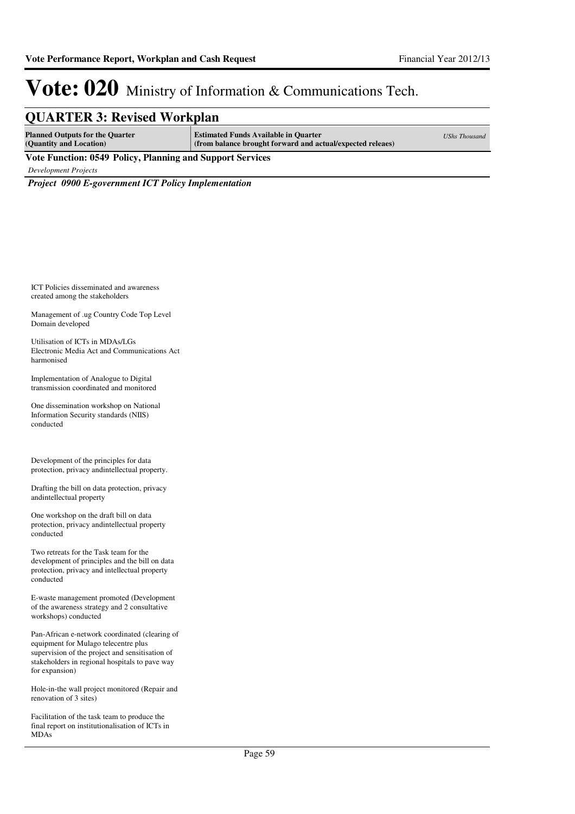### **QUARTER 3: Revised Workplan**

| <b>Planned Outputs for the Quarter</b><br>(Quantity and Location) | <b>Estimated Funds Available in Quarter</b><br>(from balance brought forward and actual/expected releaes) | <b>UShs Thousand</b> |  |  |  |
|-------------------------------------------------------------------|-----------------------------------------------------------------------------------------------------------|----------------------|--|--|--|
| Vote Function: 0549 Policy, Planning and Support Services         |                                                                                                           |                      |  |  |  |

*Development Projects*

*Project 0900 E-government ICT Policy Implementation*

ICT Policies disseminated and awareness created among the stakeholders

Management of .ug Country Code Top Level Domain developed

Utilisation of ICTs in MDAs/LGs Electronic Media Act and Communications Act harmonised

Implementation of Analogue to Digital transmission coordinated and monitored

One dissemination workshop on National Information Security standards (NIIS) conducted

Development of the principles for data protection, privacy andintellectual property.

Drafting the bill on data protection, privacy andintellectual property

One workshop on the draft bill on data protection, privacy andintellectual property conducted

Two retreats for the Task team for the development of principles and the bill on data protection, privacy and intellectual property conducted

E-waste management promoted (Development of the awareness strategy and 2 consultative workshops) conducted

Pan-African e-network coordinated (clearing of equipment for Mulago telecentre plus supervision of the project and sensitisation of stakeholders in regional hospitals to pave way for expansion)

Hole-in-the wall project monitored (Repair and renovation of 3 sites)

Facilitation of the task team to produce the final report on institutionalisation of ICTs in MDAs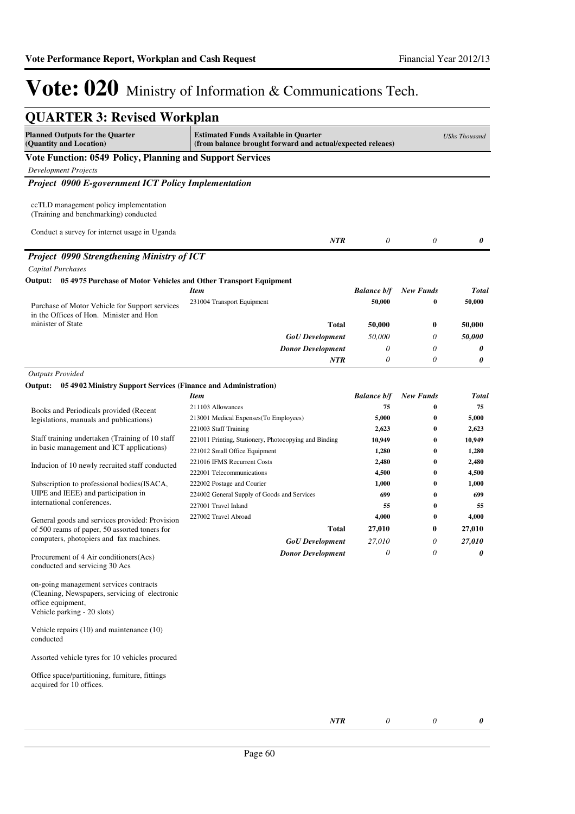| <b>QUARTER 3: Revised Workplan</b>                                                                                                           |                                                                                                           |                       |                  |                      |
|----------------------------------------------------------------------------------------------------------------------------------------------|-----------------------------------------------------------------------------------------------------------|-----------------------|------------------|----------------------|
| <b>Planned Outputs for the Quarter</b><br>(Quantity and Location)                                                                            | <b>Estimated Funds Available in Quarter</b><br>(from balance brought forward and actual/expected releaes) |                       |                  | <b>UShs Thousand</b> |
| <b>Vote Function: 0549 Policy, Planning and Support Services</b>                                                                             |                                                                                                           |                       |                  |                      |
| <b>Development Projects</b>                                                                                                                  |                                                                                                           |                       |                  |                      |
| Project 0900 E-government ICT Policy Implementation                                                                                          |                                                                                                           |                       |                  |                      |
| ccTLD management policy implementation<br>(Training and benchmarking) conducted                                                              |                                                                                                           |                       |                  |                      |
| Conduct a survey for internet usage in Uganda                                                                                                | <b>NTR</b>                                                                                                | $\boldsymbol{\theta}$ | $\theta$         | 0                    |
| <b>Project 0990 Strengthening Ministry of ICT</b>                                                                                            |                                                                                                           |                       |                  |                      |
| Capital Purchases                                                                                                                            |                                                                                                           |                       |                  |                      |
| Output: 05 4975 Purchase of Motor Vehicles and Other Transport Equipment                                                                     |                                                                                                           |                       |                  |                      |
|                                                                                                                                              | <b>Item</b>                                                                                               | <b>Balance b/f</b>    | <b>New Funds</b> | Total                |
|                                                                                                                                              | 231004 Transport Equipment                                                                                | 50,000                | 0                | 50,000               |
| Purchase of Motor Vehicle for Support services<br>in the Offices of Hon. Minister and Hon                                                    |                                                                                                           |                       |                  |                      |
| minister of State                                                                                                                            | Total                                                                                                     | 50,000                | 0                | 50,000               |
|                                                                                                                                              | <b>GoU</b> Development                                                                                    | 50,000                | 0                | 50,000               |
|                                                                                                                                              | <b>Donor Development</b>                                                                                  | 0                     | 0                | 0                    |
|                                                                                                                                              | NTR                                                                                                       | $\theta$              | 0                | 0                    |
| <b>Outputs Provided</b>                                                                                                                      |                                                                                                           |                       |                  |                      |
| 05 4902 Ministry Support Services (Finance and Administration)<br>Output:                                                                    |                                                                                                           |                       |                  |                      |
|                                                                                                                                              | <b>Item</b>                                                                                               | <b>Balance b/f</b>    | <b>New Funds</b> | Total                |
| Books and Periodicals provided (Recent                                                                                                       | 211103 Allowances                                                                                         | 75                    | 0                | 75                   |
| legislations, manuals and publications)                                                                                                      | 213001 Medical Expenses (To Employees)                                                                    | 5,000                 | 0                | 5,000                |
|                                                                                                                                              | 221003 Staff Training                                                                                     | 2,623                 | 0                | 2,623                |
| Staff training undertaken (Training of 10 staff<br>in basic management and ICT applications)                                                 | 221011 Printing, Stationery, Photocopying and Binding                                                     | 10,949                | $\bf{0}$         | 10,949               |
|                                                                                                                                              | 221012 Small Office Equipment                                                                             | 1,280                 | $\bf{0}$         | 1,280                |
| Inducion of 10 newly recruited staff conducted                                                                                               | 221016 IFMS Recurrent Costs                                                                               | 2,480                 | 0                | 2,480                |
|                                                                                                                                              | 222001 Telecommunications                                                                                 | 4,500                 | 0                | 4,500                |
| Subscription to professional bodies(ISACA,<br>UIPE and IEEE) and participation in                                                            | 222002 Postage and Courier<br>224002 General Supply of Goods and Services                                 | 1,000<br>699          | 0<br>$\bf{0}$    | 1,000<br>699         |
| international conferences.                                                                                                                   | 227001 Travel Inland                                                                                      | 55                    | 0                | 55                   |
|                                                                                                                                              | 227002 Travel Abroad                                                                                      | 4,000                 | $\bf{0}$         | 4,000                |
| General goods and services provided: Provision<br>of 500 reams of paper, 50 assorted toners for                                              | Total                                                                                                     | 27,010                | 0                | 27,010               |
| computers, photopiers and fax machines.                                                                                                      | <b>GoU</b> Development                                                                                    | 27,010                | 0                | 27,010               |
| Procurement of 4 Air conditioners (Acs)<br>conducted and servicing 30 Acs                                                                    | <b>Donor Development</b>                                                                                  | 0                     | $\theta$         | 0                    |
| on-going management services contracts<br>(Cleaning, Newspapers, servicing of electronic<br>office equipment,<br>Vehicle parking - 20 slots) |                                                                                                           |                       |                  |                      |
| Vehicle repairs $(10)$ and maintenance $(10)$<br>conducted                                                                                   |                                                                                                           |                       |                  |                      |
| Assorted vehicle tyres for 10 vehicles procured                                                                                              |                                                                                                           |                       |                  |                      |
| Office space/partitioning, furniture, fittings<br>acquired for 10 offices.                                                                   |                                                                                                           |                       |                  |                      |
|                                                                                                                                              | NTR                                                                                                       | $\theta$              | 0                | 0                    |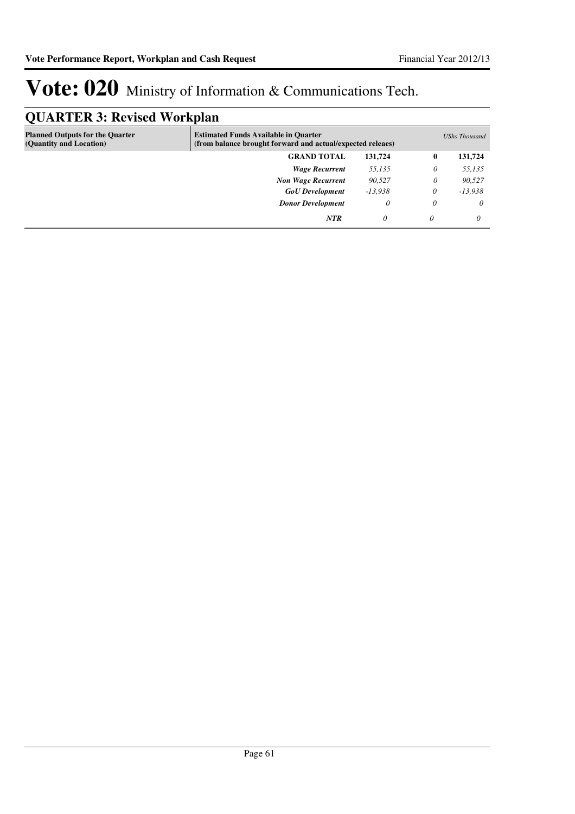## **QUARTER 3: Revised Workplan**

| . -                                                               |                                                                                                           |           |          |               |
|-------------------------------------------------------------------|-----------------------------------------------------------------------------------------------------------|-----------|----------|---------------|
| <b>Planned Outputs for the Quarter</b><br>(Quantity and Location) | <b>Estimated Funds Available in Quarter</b><br>(from balance brought forward and actual/expected releaes) |           |          | UShs Thousand |
|                                                                   | <b>GRAND TOTAL</b>                                                                                        | 131.724   | $\bf{0}$ | 131,724       |
|                                                                   | <b>Wage Recurrent</b>                                                                                     | 55,135    | 0        | 55,135        |
|                                                                   | <b>Non Wage Recurrent</b>                                                                                 | 90,527    | 0        | 90,527        |
|                                                                   | <b>GoU</b> Development                                                                                    | $-13,938$ | 0        | $-13,938$     |
|                                                                   | <b>Donor Development</b>                                                                                  | 0         | $\theta$ | $\theta$      |
|                                                                   | <b>NTR</b>                                                                                                | 0         | 0        | 0             |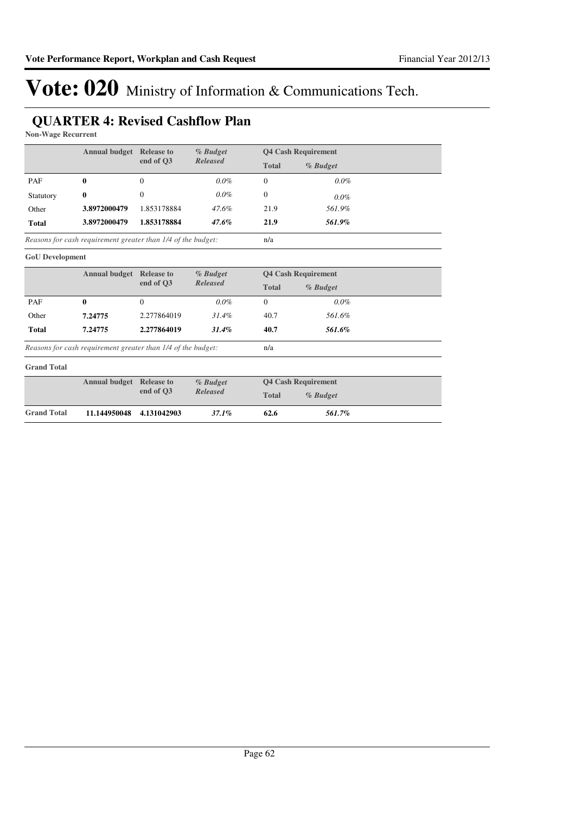## **QUARTER 4: Revised Cashflow Plan**

**Non-Wage Recurrent**

|                        | <b>Annual budget</b>                                         | <b>Release to</b> | $%$ Budget | <b>Q4 Cash Requirement</b> |                            |  |  |  |
|------------------------|--------------------------------------------------------------|-------------------|------------|----------------------------|----------------------------|--|--|--|
|                        |                                                              | end of O3         | Released   | <b>Total</b>               | % Budget                   |  |  |  |
| PAF                    | 0                                                            | 0                 | $0.0\%$    | $\mathbf{0}$               | $0.0\%$                    |  |  |  |
| Statutory              | 0                                                            | 0                 | $0.0\%$    | $\mathbf{0}$               | $0.0\%$                    |  |  |  |
| Other                  | 3.8972000479                                                 | 1.853178884       | 47.6%      | 21.9                       | 561.9%                     |  |  |  |
| Total                  | 3.8972000479                                                 | 1.853178884       | $47.6\%$   | 21.9                       | 561.9%                     |  |  |  |
|                        | Reasons for cash requirement greater than 1/4 of the budget: |                   |            | n/a                        |                            |  |  |  |
| <b>GoU</b> Development |                                                              |                   |            |                            |                            |  |  |  |
|                        | <b>Annual budget Release to</b>                              |                   | % Budget   |                            | <b>04 Cash Requirement</b> |  |  |  |

|              | Annual budget                                                | <b>Release to</b>     | <i>% Budget</i> |              | <b>Q4 Cash Requirement</b> |  |
|--------------|--------------------------------------------------------------|-----------------------|-----------------|--------------|----------------------------|--|
|              |                                                              | Released<br>end of O3 |                 | <b>Total</b> | % Budget                   |  |
| PAF          |                                                              |                       | $0.0\%$         | 0            | $0.0\%$                    |  |
| Other        | 7.24775                                                      | 2.277864019           | $31.4\%$        | 40.7         | 561.6%                     |  |
| <b>Total</b> | 7.24775                                                      | 2.277864019           | 31.4%           | 40.7         | 561.6%                     |  |
|              | Reasons for cash requirement greater than 1/4 of the budget: |                       |                 | n/a          |                            |  |

*Reasons for cash requirement greater than 1/4 of the budget:*

### **Grand Total**

|                    | <b>Annual budget Release to</b> |  | % Budget<br>end of O3<br><b>Released</b> |       | <b>04 Cash Requirement</b> |  |
|--------------------|---------------------------------|--|------------------------------------------|-------|----------------------------|--|
|                    |                                 |  |                                          | Total | % Budget                   |  |
| <b>Grand Total</b> | 11.144950048 4.131042903        |  | 37.1%                                    | 62.6  | 561.7%                     |  |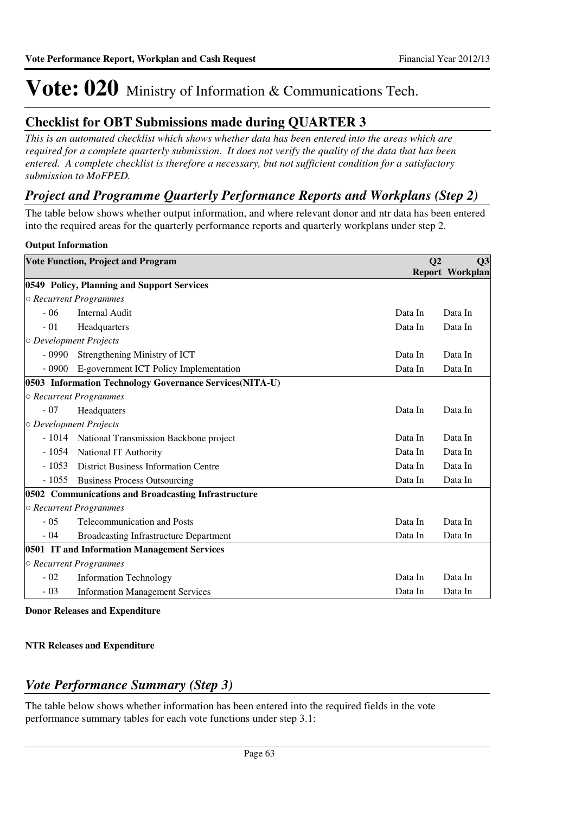## **Checklist for OBT Submissions made during QUARTER 3**

*This is an automated checklist which shows whether data has been entered into the areas which are required for a complete quarterly submission. It does not verify the quality of the data that has been entered. A complete checklist is therefore a necessary, but not sufficient condition for a satisfactory submission to MoFPED.*

### *Project and Programme Quarterly Performance Reports and Workplans (Step 2)*

The table below shows whether output information, and where relevant donor and ntr data has been entered into the required areas for the quarterly performance reports and quarterly workplans under step 2.

### **Output Information**

|                              | <b>Vote Function, Project and Program</b>               | Q <sub>2</sub> | Q3<br><b>Report Workplan</b> |
|------------------------------|---------------------------------------------------------|----------------|------------------------------|
|                              | 0549 Policy, Planning and Support Services              |                |                              |
|                              | ○ Recurrent Programmes                                  |                |                              |
| $-06$                        | <b>Internal Audit</b>                                   | Data In        | Data In                      |
| $-01$                        | Headquarters                                            | Data In        | Data In                      |
| $\circ$ Development Projects |                                                         |                |                              |
| $-0990$                      | Strengthening Ministry of ICT                           | Data In        | Data In                      |
| $-0900$                      | E-government ICT Policy Implementation                  | Data In        | Data In                      |
|                              | 0503 Information Technology Governance Services(NITA-U) |                |                              |
|                              | $\circ$ Recurrent Programmes                            |                |                              |
| $-07$                        | Headquaters                                             | Data In        | Data In                      |
| O Development Projects       |                                                         |                |                              |
| $-1014$                      | National Transmission Backbone project                  | Data In        | Data In                      |
|                              | - 1054 National IT Authority                            | Data In        | Data In                      |
| $-1053$                      | <b>District Business Information Centre</b>             | Data In        | Data In                      |
| $-1055$                      | <b>Business Process Outsourcing</b>                     | Data In        | Data In                      |
|                              | 0502 Communications and Broadcasting Infrastructure     |                |                              |
|                              | ○ Recurrent Programmes                                  |                |                              |
| $-0.5$                       | <b>Telecommunication and Posts</b>                      | Data In        | Data In                      |
| $-04$                        | <b>Broadcasting Infrastructure Department</b>           | Data In        | Data In                      |
|                              | 0501 IT and Information Management Services             |                |                              |
|                              | ○ Recurrent Programmes                                  |                |                              |
| $-02$                        | <b>Information Technology</b>                           | Data In        | Data In                      |
| $-03$                        | <b>Information Management Services</b>                  | Data In        | Data In                      |

**Donor Releases and Expenditure**

### **NTR Releases and Expenditure**

## *Vote Performance Summary (Step 3)*

The table below shows whether information has been entered into the required fields in the vote performance summary tables for each vote functions under step 3.1: